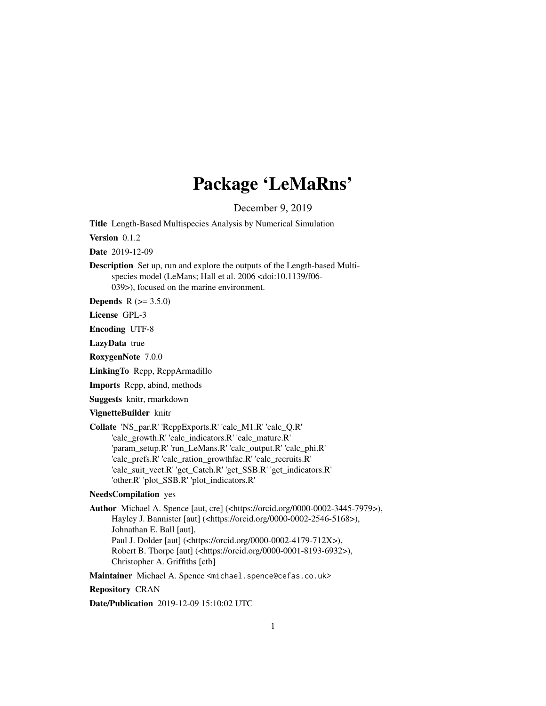# Package 'LeMaRns'

December 9, 2019

<span id="page-0-0"></span>Title Length-Based Multispecies Analysis by Numerical Simulation

Version 0.1.2

Date 2019-12-09

Description Set up, run and explore the outputs of the Length-based Multispecies model (LeMans; Hall et al. 2006 <doi:10.1139/f06-039>), focused on the marine environment.

**Depends**  $R (= 3.5.0)$ 

License GPL-3

Encoding UTF-8

LazyData true

RoxygenNote 7.0.0

LinkingTo Rcpp, RcppArmadillo

Imports Rcpp, abind, methods

Suggests knitr, rmarkdown

VignetteBuilder knitr

Collate 'NS\_par.R' 'RcppExports.R' 'calc\_M1.R' 'calc\_Q.R' 'calc\_growth.R' 'calc\_indicators.R' 'calc\_mature.R' 'param\_setup.R' 'run\_LeMans.R' 'calc\_output.R' 'calc\_phi.R' 'calc\_prefs.R' 'calc\_ration\_growthfac.R' 'calc\_recruits.R' 'calc\_suit\_vect.R' 'get\_Catch.R' 'get\_SSB.R' 'get\_indicators.R' 'other.R' 'plot\_SSB.R' 'plot\_indicators.R'

# NeedsCompilation yes

Author Michael A. Spence [aut, cre] (<https://orcid.org/0000-0002-3445-7979>), Hayley J. Bannister [aut] (<https://orcid.org/0000-0002-2546-5168>), Johnathan E. Ball [aut], Paul J. Dolder [aut] (<https://orcid.org/0000-0002-4179-712X>), Robert B. Thorpe [aut] (<https://orcid.org/0000-0001-8193-6932>), Christopher A. Griffiths [ctb]

Maintainer Michael A. Spence <michael.spence@cefas.co.uk>

Repository CRAN

Date/Publication 2019-12-09 15:10:02 UTC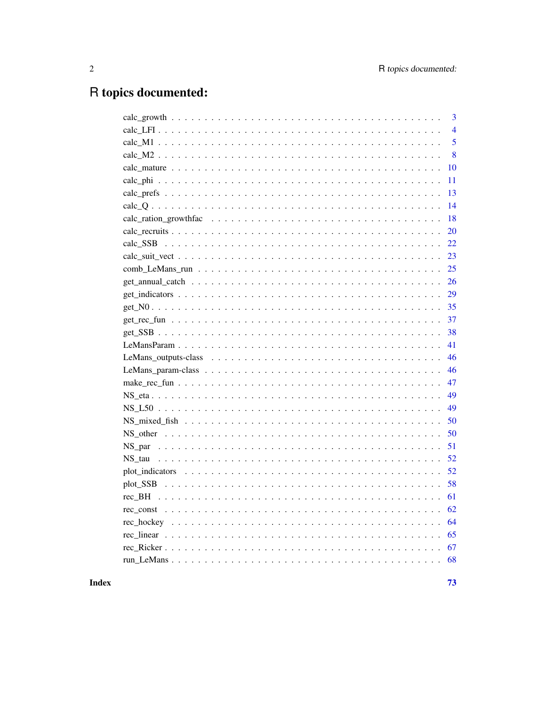# R topics documented:

|    | 3              |
|----|----------------|
|    | $\overline{4}$ |
|    | 5              |
|    | 8              |
|    | 10             |
|    | 11             |
|    | 13             |
|    | 14             |
|    | 18             |
| 20 |                |
| 22 |                |
| 23 |                |
| 25 |                |
| 26 |                |
| 29 |                |
| 35 |                |
| 37 |                |
| 38 |                |
| 41 |                |
| 46 |                |
| 46 |                |
| 47 |                |
| 49 |                |
| 49 |                |
| 50 |                |
| 50 |                |
| 51 |                |
| 52 |                |
| 52 |                |
| 58 |                |
| 61 |                |
| 62 |                |
| 64 |                |
| 65 |                |
| 67 |                |
|    |                |
|    |                |

# **Index**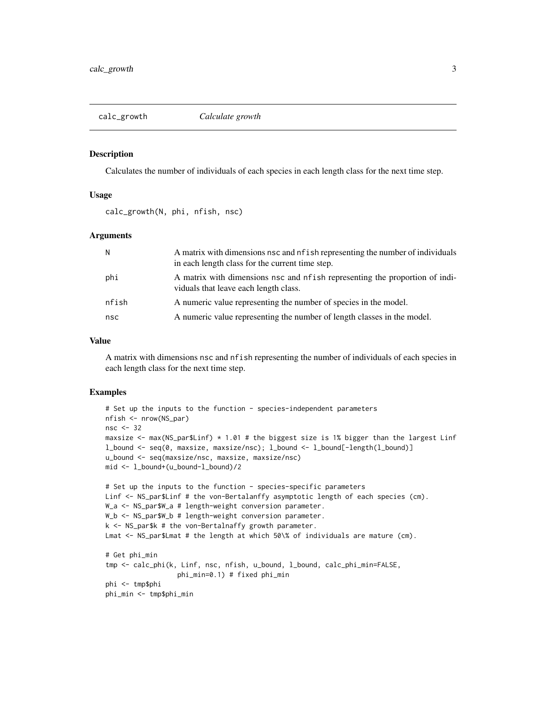<span id="page-2-0"></span>

#### **Description**

Calculates the number of individuals of each species in each length class for the next time step.

# Usage

calc\_growth(N, phi, nfish, nsc)

# Arguments

| $\mathsf{N}$ | A matrix with dimensions nsc and nf ish representing the number of individuals<br>in each length class for the current time step. |
|--------------|-----------------------------------------------------------------------------------------------------------------------------------|
| phi          | A matrix with dimensions nsc and nf ish representing the proportion of indi-<br>viduals that leave each length class.             |
| nfish        | A numeric value representing the number of species in the model.                                                                  |
| nsc          | A numeric value representing the number of length classes in the model.                                                           |

#### Value

A matrix with dimensions nsc and nfish representing the number of individuals of each species in each length class for the next time step.

#### Examples

```
# Set up the inputs to the function - species-independent parameters
nfish <- nrow(NS_par)
nsc <- 32
maxsize \leq max(NS_par$Linf) \star 1.01 # the biggest size is 1% bigger than the largest Linf
l_bound <- seq(0, maxsize, maxsize/nsc); l_bound <- l_bound[-length(l_bound)]
u_bound <- seq(maxsize/nsc, maxsize, maxsize/nsc)
mid <- l_bound+(u_bound-l_bound)/2
# Set up the inputs to the function - species-specific parameters
Linf <- NS_par$Linf # the von-Bertalanffy asymptotic length of each species (cm).
W_a <- NS_par$W_a # length-weight conversion parameter.
W_b <- NS_par$W_b # length-weight conversion parameter.
k <- NS_par$k # the von-Bertalnaffy growth parameter.
Lmat <- NS_par$Lmat # the length at which 50\% of individuals are mature (cm).
# Get phi_min
tmp <- calc_phi(k, Linf, nsc, nfish, u_bound, l_bound, calc_phi_min=FALSE,
                  phi_min=0.1) # fixed phi_min
phi <- tmp$phi
phi_min <- tmp$phi_min
```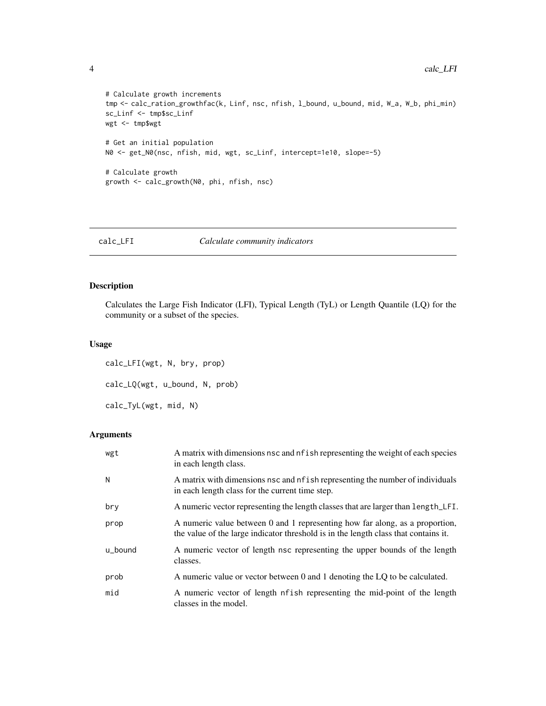```
# Calculate growth increments
tmp <- calc_ration_growthfac(k, Linf, nsc, nfish, l_bound, u_bound, mid, W_a, W_b, phi_min)
sc_Linf <- tmp$sc_Linf
wgt <- tmp$wgt
# Get an initial population
N0 <- get_N0(nsc, nfish, mid, wgt, sc_Linf, intercept=1e10, slope=-5)
# Calculate growth
growth <- calc_growth(N0, phi, nfish, nsc)
```
calc\_LFI *Calculate community indicators*

# Description

Calculates the Large Fish Indicator (LFI), Typical Length (TyL) or Length Quantile (LQ) for the community or a subset of the species.

# Usage

calc\_LFI(wgt, N, bry, prop) calc\_LQ(wgt, u\_bound, N, prob) calc\_TyL(wgt, mid, N)

| wgt     | A matrix with dimensions nsc and nf ish representing the weight of each species<br>in each length class.                                                            |
|---------|---------------------------------------------------------------------------------------------------------------------------------------------------------------------|
| N       | A matrix with dimensions nsc and nf ish representing the number of individuals<br>in each length class for the current time step.                                   |
| bry     | A numeric vector representing the length classes that are larger than length_LFI.                                                                                   |
| prop    | A numeric value between 0 and 1 representing how far along, as a proportion,<br>the value of the large indicator threshold is in the length class that contains it. |
| u_bound | A numeric vector of length nsc representing the upper bounds of the length<br>classes.                                                                              |
| prob    | A numeric value or vector between 0 and 1 denoting the LQ to be calculated.                                                                                         |
| mid     | A numeric vector of length nfish representing the mid-point of the length<br>classes in the model.                                                                  |

<span id="page-3-0"></span>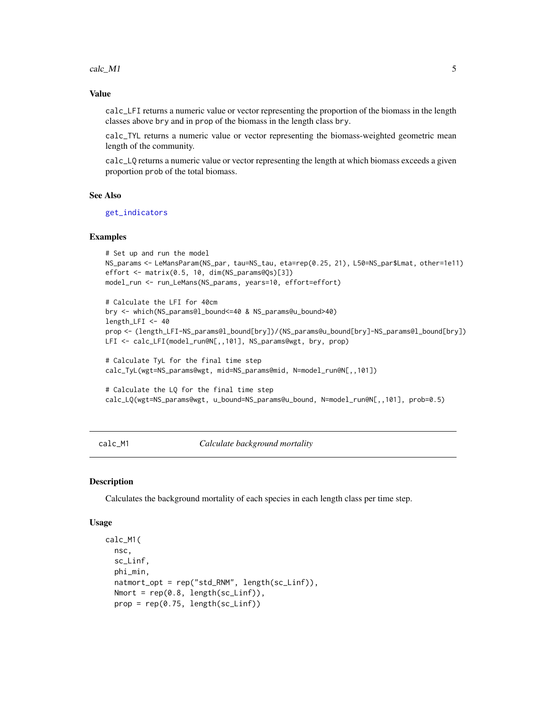<span id="page-4-0"></span> $calc\_M1$  5

#### Value

calc\_LFI returns a numeric value or vector representing the proportion of the biomass in the length classes above bry and in prop of the biomass in the length class bry.

calc\_TYL returns a numeric value or vector representing the biomass-weighted geometric mean length of the community.

calc\_LQ returns a numeric value or vector representing the length at which biomass exceeds a given proportion prob of the total biomass.

# See Also

get indicators

#### Examples

```
# Set up and run the model
NS_params <- LeMansParam(NS_par, tau=NS_tau, eta=rep(0.25, 21), L50=NS_par$Lmat, other=1e11)
effort <- matrix(0.5, 10, dim(NS_params@Qs)[3])
model_run <- run_LeMans(NS_params, years=10, effort=effort)
```

```
# Calculate the LFI for 40cm
bry <- which(NS_params@l_bound<=40 & NS_params@u_bound>40)
length_LFI <- 40
prop <- (length_LFI-NS_params@l_bound[bry])/(NS_params@u_bound[bry]-NS_params@l_bound[bry])
LFI <- calc_LFI(model_run@N[,,101], NS_params@wgt, bry, prop)
```

```
# Calculate TyL for the final time step
calc_TyL(wgt=NS_params@wgt, mid=NS_params@mid, N=model_run@N[,,101])
```

```
# Calculate the LQ for the final time step
calc_LQ(wgt=NS_params@wgt, u_bound=NS_params@u_bound, N=model_run@N[,,101], prob=0.5)
```
calc\_M1 *Calculate background mortality*

### Description

Calculates the background mortality of each species in each length class per time step.

#### Usage

```
calc_M1(
  nsc,
  sc_Linf,
  phi_min,
  natmort_opt = rep("std_RNM", length(sc_Linf)),
  Nmort = rep(0.8, length(sc_Linf)),
  prop = rep(0.75, length(sc_Linf))
```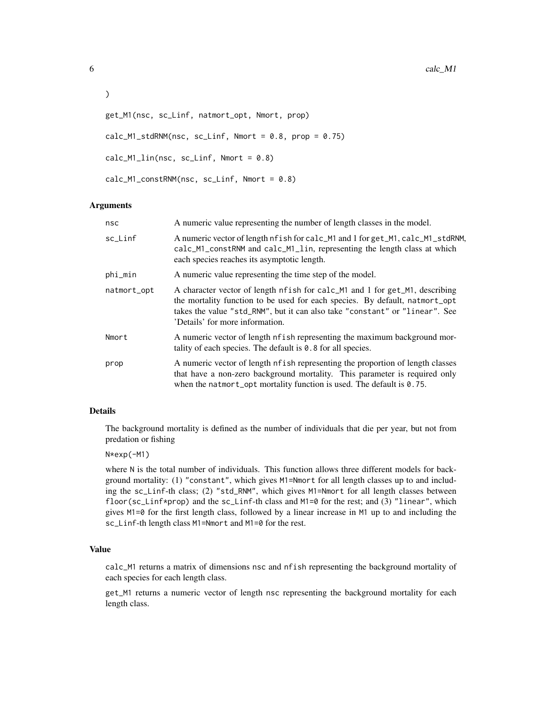```
\mathcal{L}get_M1(nsc, sc_Linf, natmort_opt, Nmort, prop)
calc_M1_stdRNM(nsc, sc_Linf, Nmort = 0.8, prop = 0.75)
calc_M1\_lin(nsc, sc_Linf, Nmort = 0.8)
```
calc\_M1\_constRNM(nsc, sc\_Linf, Nmort = 0.8)

# Arguments

| nsc         | A numeric value representing the number of length classes in the model.                                                                                                                                                                                                      |
|-------------|------------------------------------------------------------------------------------------------------------------------------------------------------------------------------------------------------------------------------------------------------------------------------|
| sc_Linf     | A numeric vector of length nfish for calc_M1 and 1 for get_M1, calc_M1_stdRNM,<br>calc_M1_constRNM and calc_M1_lin, representing the length class at which<br>each species reaches its asymptotic length.                                                                    |
| phi_min     | A numeric value representing the time step of the model.                                                                                                                                                                                                                     |
| natmort_opt | A character vector of length nfish for calc_M1 and 1 for get_M1, describing<br>the mortality function to be used for each species. By default, natmort_opt<br>takes the value "std_RNM", but it can also take "constant" or "linear". See<br>'Details' for more information. |
| Nmort       | A numeric vector of length nf ish representing the maximum background mor-<br>tality of each species. The default is $0.8$ for all species.                                                                                                                                  |
| prop        | A numeric vector of length nf ish representing the proportion of length classes<br>that have a non-zero background mortality. This parameter is required only<br>when the natmort_opt mortality function is used. The default is $0.75$ .                                    |

# Details

The background mortality is defined as the number of individuals that die per year, but not from predation or fishing

#### N\*exp(-M1)

where N is the total number of individuals. This function allows three different models for background mortality: (1) "constant", which gives M1=Nmort for all length classes up to and including the sc\_Linf-th class; (2) "std\_RNM", which gives M1=Nmort for all length classes between floor( $sc\_Linf*prop$ ) and the  $sc\_Linf$ -th class and  $M1=0$  for the rest; and (3) "linear", which gives M1=0 for the first length class, followed by a linear increase in M1 up to and including the sc\_Linf-th length class M1=Nmort and M1=0 for the rest.

# Value

calc\_M1 returns a matrix of dimensions nsc and nfish representing the background mortality of each species for each length class.

get\_M1 returns a numeric vector of length nsc representing the background mortality for each length class.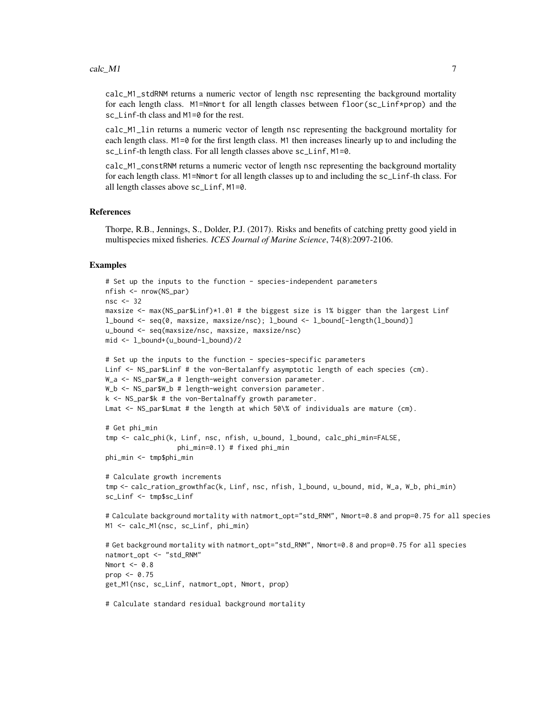calc\_M1\_stdRNM returns a numeric vector of length nsc representing the background mortality for each length class. M1=Nmort for all length classes between floor(sc\_Linf\*prop) and the sc\_Linf-th class and M1=0 for the rest.

calc\_M1\_lin returns a numeric vector of length nsc representing the background mortality for each length class. M1=0 for the first length class. M1 then increases linearly up to and including the sc\_Linf-th length class. For all length classes above sc\_Linf, M1=0.

calc\_M1\_constRNM returns a numeric vector of length nsc representing the background mortality for each length class. M1=Nmort for all length classes up to and including the sc\_Linf-th class. For all length classes above sc\_Linf, M1=0.

#### References

Thorpe, R.B., Jennings, S., Dolder, P.J. (2017). Risks and benefits of catching pretty good yield in multispecies mixed fisheries. *ICES Journal of Marine Science*, 74(8):2097-2106.

#### Examples

```
# Set up the inputs to the function - species-independent parameters
nfish <- nrow(NS_par)
nsc < -32maxsize <- max(NS_par$Linf)*1.01 # the biggest size is 1% bigger than the largest Linf
l_bound <- seq(0, maxsize, maxsize/nsc); l_bound <- l_bound[-length(l_bound)]
u_bound <- seq(maxsize/nsc, maxsize, maxsize/nsc)
mid <- l_bound+(u_bound-l_bound)/2
# Set up the inputs to the function - species-specific parameters
Linf <- NS_par$Linf # the von-Bertalanffy asymptotic length of each species (cm).
W_a <- NS_par$W_a # length-weight conversion parameter.
W_b <- NS_par$W_b # length-weight conversion parameter.
k <- NS_par$k # the von-Bertalnaffy growth parameter.
Lmat <- NS_par$Lmat # the length at which 50\% of individuals are mature (cm).
# Get phi_min
tmp <- calc_phi(k, Linf, nsc, nfish, u_bound, l_bound, calc_phi_min=FALSE,
                  phi_min=0.1) # fixed phi_min
phi_min <- tmp$phi_min
# Calculate growth increments
tmp <- calc_ration_growthfac(k, Linf, nsc, nfish, l_bound, u_bound, mid, W_a, W_b, phi_min)
sc_Linf <- tmp$sc_Linf
# Calculate background mortality with natmort_opt="std_RNM", Nmort=0.8 and prop=0.75 for all species
M1 <- calc_M1(nsc, sc_Linf, phi_min)
# Get background mortality with natmort_opt="std_RNM", Nmort=0.8 and prop=0.75 for all species
natmort_opt <- "std_RNM"
Nmort <-0.8prop \leq -0.75get_M1(nsc, sc_Linf, natmort_opt, Nmort, prop)
# Calculate standard residual background mortality
```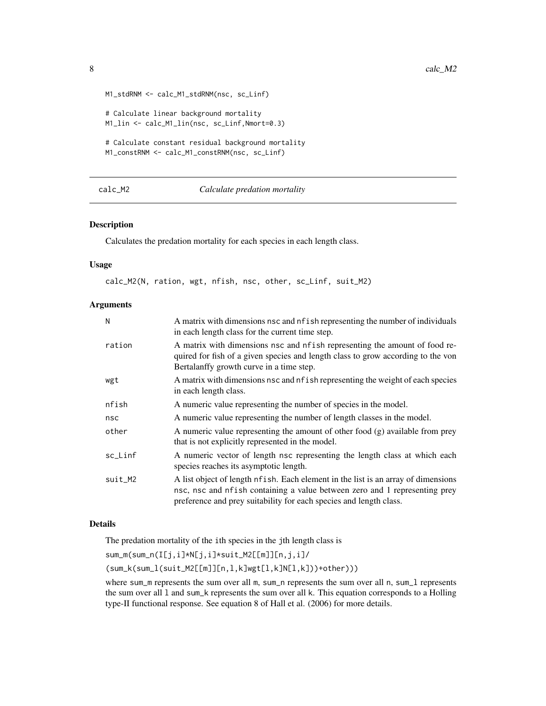```
M1_stdRNM <- calc_M1_stdRNM(nsc, sc_Linf)
# Calculate linear background mortality
M1_lin <- calc_M1_lin(nsc, sc_Linf,Nmort=0.3)
# Calculate constant residual background mortality
M1_constRNM <- calc_M1_constRNM(nsc, sc_Linf)
```
# <span id="page-7-1"></span>calc\_M2 *Calculate predation mortality*

#### Description

Calculates the predation mortality for each species in each length class.

#### Usage

calc\_M2(N, ration, wgt, nfish, nsc, other, sc\_Linf, suit\_M2)

#### Arguments

| N       | A matrix with dimensions nsc and nf ish representing the number of individuals<br>in each length class for the current time step.                                                                                                      |
|---------|----------------------------------------------------------------------------------------------------------------------------------------------------------------------------------------------------------------------------------------|
| ration  | A matrix with dimensions nsc and nfish representing the amount of food re-<br>quired for fish of a given species and length class to grow according to the von<br>Bertalanffy growth curve in a time step.                             |
| wgt     | A matrix with dimensions nsc and nf ish representing the weight of each species<br>in each length class.                                                                                                                               |
| nfish   | A numeric value representing the number of species in the model.                                                                                                                                                                       |
| nsc     | A numeric value representing the number of length classes in the model.                                                                                                                                                                |
| other   | A numeric value representing the amount of other food $(g)$ available from prey<br>that is not explicitly represented in the model.                                                                                                    |
| sc_Linf | A numeric vector of length nsc representing the length class at which each<br>species reaches its asymptotic length.                                                                                                                   |
| suit_M2 | A list object of length nf ish. Each element in the list is an array of dimensions<br>nsc, nsc and nfish containing a value between zero and 1 representing prey<br>preference and prey suitability for each species and length class. |

# Details

The predation mortality of the ith species in the jth length class is

sum\_m(sum\_n(I[j,i]\*N[j,i]\*suit\_M2[[m]][n,j,i]/

(sum\_k(sum\_l(suit\_M2[[m]][n,l,k]wgt[l,k]N[l,k]))+other)))

where sum\_m represents the sum over all m, sum\_n represents the sum over all n, sum\_1 represents the sum over all l and sum\_k represents the sum over all k. This equation corresponds to a Holling type-II functional response. See equation 8 of Hall et al. (2006) for more details.

<span id="page-7-0"></span>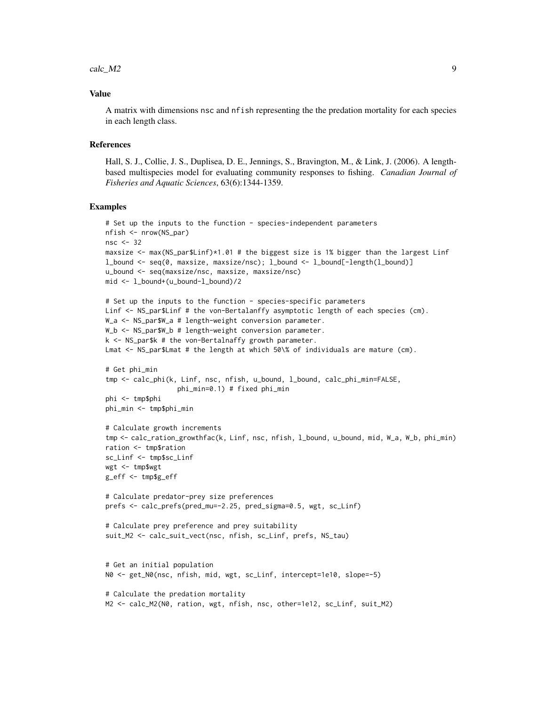#### $\text{calc}\_\text{M2}$  9

#### Value

A matrix with dimensions nsc and nfish representing the the predation mortality for each species in each length class.

#### References

Hall, S. J., Collie, J. S., Duplisea, D. E., Jennings, S., Bravington, M., & Link, J. (2006). A lengthbased multispecies model for evaluating community responses to fishing. *Canadian Journal of Fisheries and Aquatic Sciences*, 63(6):1344-1359.

#### Examples

```
# Set up the inputs to the function - species-independent parameters
nfish <- nrow(NS_par)
nsc <-32maxsize \leq max(NS_par$Linf)*1.01 # the biggest size is 1% bigger than the largest Linf
l_bound <- seq(0, maxsize, maxsize/nsc); l_bound <- l_bound[-length(l_bound)]
u_bound <- seq(maxsize/nsc, maxsize, maxsize/nsc)
mid < -1 bound+(u_bound-1_bound)/2
# Set up the inputs to the function - species-specific parameters
Linf <- NS_par$Linf # the von-Bertalanffy asymptotic length of each species (cm).
W_a <- NS_par$W_a # length-weight conversion parameter.
W_b <- NS_par$W_b # length-weight conversion parameter.
k <- NS_par$k # the von-Bertalnaffy growth parameter.
Lmat <- NS_par$Lmat # the length at which 50\% of individuals are mature (cm).
# Get phi_min
tmp <- calc_phi(k, Linf, nsc, nfish, u_bound, l_bound, calc_phi_min=FALSE,
                  phi_min=0.1) # fixed phi_min
phi <- tmp$phi
phi_min <- tmp$phi_min
# Calculate growth increments
tmp <- calc_ration_growthfac(k, Linf, nsc, nfish, l_bound, u_bound, mid, W_a, W_b, phi_min)
ration <- tmp$ration
sc_Linf <- tmp$sc_Linf
wgt <- tmp$wgt
g_eff <- tmp$g_eff
# Calculate predator-prey size preferences
prefs <- calc_prefs(pred_mu=-2.25, pred_sigma=0.5, wgt, sc_Linf)
# Calculate prey preference and prey suitability
suit_M2 <- calc_suit_vect(nsc, nfish, sc_Linf, prefs, NS_tau)
# Get an initial population
N0 <- get_N0(nsc, nfish, mid, wgt, sc_Linf, intercept=1e10, slope=-5)
# Calculate the predation mortality
M2 <- calc_M2(N0, ration, wgt, nfish, nsc, other=1e12, sc_Linf, suit_M2)
```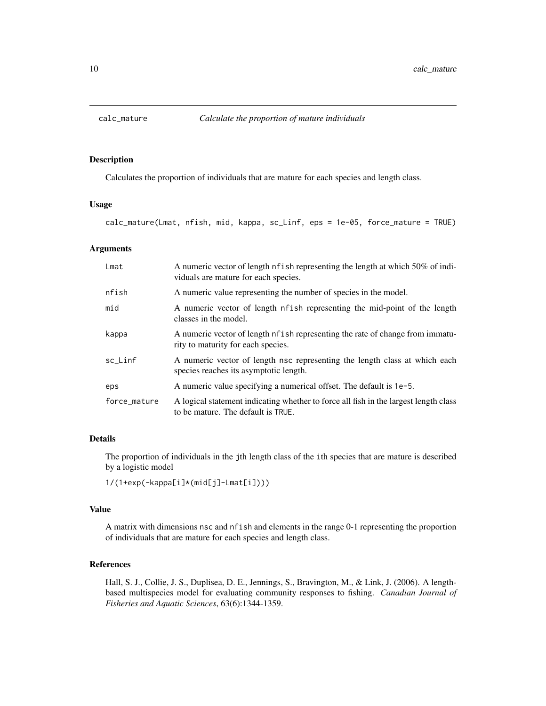<span id="page-9-0"></span>

#### Description

Calculates the proportion of individuals that are mature for each species and length class.

# Usage

calc\_mature(Lmat, nfish, mid, kappa, sc\_Linf, eps = 1e-05, force\_mature = TRUE)

# Arguments

| Lmat         | A numeric vector of length nf ish representing the length at which 50% of indi-<br>viduals are mature for each species.    |
|--------------|----------------------------------------------------------------------------------------------------------------------------|
| nfish        | A numeric value representing the number of species in the model.                                                           |
| mid          | A numeric vector of length nfish representing the mid-point of the length<br>classes in the model.                         |
| kappa        | A numeric vector of length nf ish representing the rate of change from immatu-<br>rity to maturity for each species.       |
| sc_Linf      | A numeric vector of length nsc representing the length class at which each<br>species reaches its asymptotic length.       |
| eps          | A numeric value specifying a numerical offset. The default is 1e-5.                                                        |
| force_mature | A logical statement indicating whether to force all fish in the largest length class<br>to be mature. The default is TRUE. |

# Details

The proportion of individuals in the jth length class of the ith species that are mature is described by a logistic model

1/(1+exp(-kappa[i]\*(mid[j]-Lmat[i])))

#### Value

A matrix with dimensions nsc and nfish and elements in the range 0-1 representing the proportion of individuals that are mature for each species and length class.

# References

Hall, S. J., Collie, J. S., Duplisea, D. E., Jennings, S., Bravington, M., & Link, J. (2006). A lengthbased multispecies model for evaluating community responses to fishing. *Canadian Journal of Fisheries and Aquatic Sciences*, 63(6):1344-1359.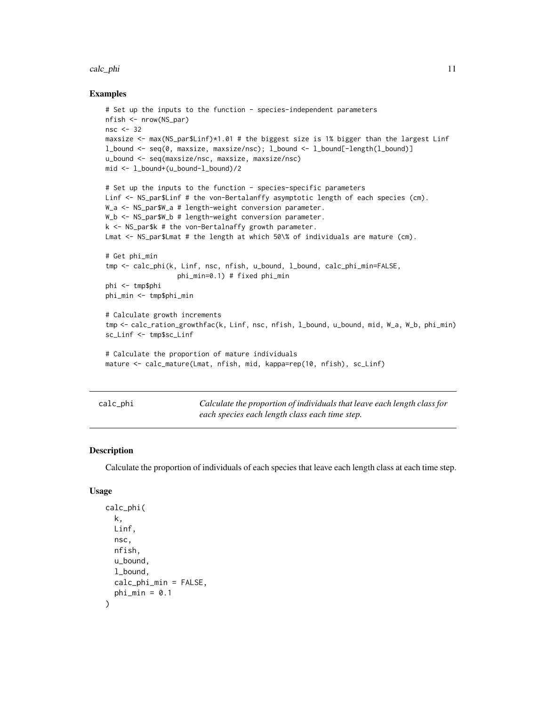#### <span id="page-10-0"></span>calc\_phi 11

#### Examples

```
# Set up the inputs to the function - species-independent parameters
nfish <- nrow(NS_par)
nsc <- 32
maxsize <- max(NS_par$Linf)*1.01 # the biggest size is 1% bigger than the largest Linf
l_bound <- seq(0, maxsize, maxsize/nsc); l_bound <- l_bound[-length(l_bound)]
u_bound <- seq(maxsize/nsc, maxsize, maxsize/nsc)
mid <- l_bound+(u_bound-l_bound)/2
# Set up the inputs to the function - species-specific parameters
Linf <- NS_par$Linf # the von-Bertalanffy asymptotic length of each species (cm).
W_a <- NS_par$W_a # length-weight conversion parameter.
W_b <- NS_par$W_b # length-weight conversion parameter.
k <- NS_par$k # the von-Bertalnaffy growth parameter.
Lmat <- NS_par$Lmat # the length at which 50\% of individuals are mature (cm).
# Get phi_min
tmp <- calc_phi(k, Linf, nsc, nfish, u_bound, l_bound, calc_phi_min=FALSE,
                  phi_min=0.1) # fixed phi_min
phi <- tmp$phi
phi_min <- tmp$phi_min
# Calculate growth increments
tmp <- calc_ration_growthfac(k, Linf, nsc, nfish, l_bound, u_bound, mid, W_a, W_b, phi_min)
sc_Linf <- tmp$sc_Linf
# Calculate the proportion of mature individuals
mature <- calc_mature(Lmat, nfish, mid, kappa=rep(10, nfish), sc_Linf)
```

| calc_phi |  |  |
|----------|--|--|
|          |  |  |

calc\_phi *Calculate the proportion of individuals that leave each length class for each species each length class each time step.*

# Description

Calculate the proportion of individuals of each species that leave each length class at each time step.

#### Usage

```
calc_phi(
  k,
  Linf,
  nsc,
  nfish,
  u_bound,
  l_bound,
  calc_phi_min = FALSE,
  phi_min = 0.1)
```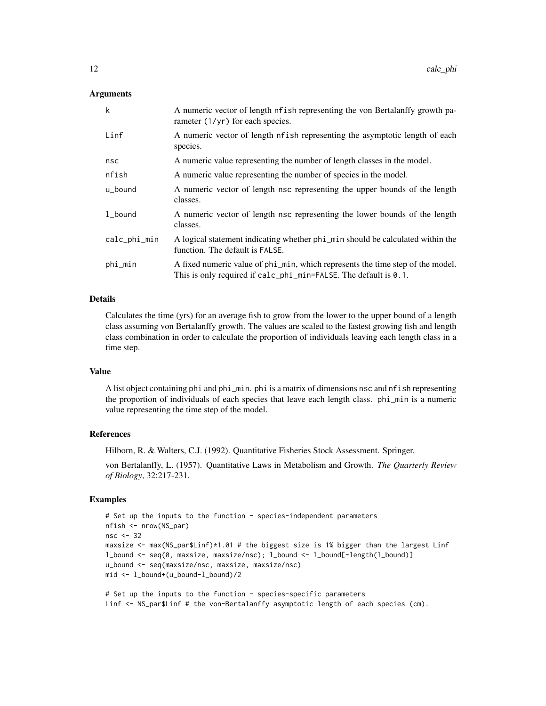# Arguments

| k            | A numeric vector of length nf ish representing the von Bertalanffy growth pa-<br>rameter $(1/yr)$ for each species.                                              |
|--------------|------------------------------------------------------------------------------------------------------------------------------------------------------------------|
| Linf         | A numeric vector of length nfish representing the asymptotic length of each<br>species.                                                                          |
| nsc          | A numeric value representing the number of length classes in the model.                                                                                          |
| nfish        | A numeric value representing the number of species in the model.                                                                                                 |
| u_bound      | A numeric vector of length nsc representing the upper bounds of the length<br>classes.                                                                           |
| 1_bound      | A numeric vector of length nsc representing the lower bounds of the length<br>classes.                                                                           |
| calc_phi_min | A logical statement indicating whether phi_min should be calculated within the<br>function. The default is FALSE.                                                |
| phi_min      | A fixed numeric value of phi_min, which represents the time step of the model.<br>This is only required if $calc_{phi} = Falc_{phi} = Falc_{phi} = Salc_{phi}$ . |

#### Details

Calculates the time (yrs) for an average fish to grow from the lower to the upper bound of a length class assuming von Bertalanffy growth. The values are scaled to the fastest growing fish and length class combination in order to calculate the proportion of individuals leaving each length class in a time step.

#### Value

A list object containing phi and phi\_min. phi is a matrix of dimensions nsc and nfish representing the proportion of individuals of each species that leave each length class. phi\_min is a numeric value representing the time step of the model.

#### **References**

Hilborn, R. & Walters, C.J. (1992). Quantitative Fisheries Stock Assessment. Springer.

von Bertalanffy, L. (1957). Quantitative Laws in Metabolism and Growth. *The Quarterly Review of Biology*, 32:217-231.

#### Examples

```
# Set up the inputs to the function - species-independent parameters
nfish <- nrow(NS_par)
nsc <- 32
maxsize <- max(NS_par$Linf)*1.01 # the biggest size is 1% bigger than the largest Linf
l_bound <- seq(0, maxsize, maxsize/nsc); l_bound <- l_bound[-length(l_bound)]
u_bound <- seq(maxsize/nsc, maxsize, maxsize/nsc)
mid <- l_bound+(u_bound-l_bound)/2
```
# Set up the inputs to the function - species-specific parameters Linf <- NS\_par\$Linf # the von-Bertalanffy asymptotic length of each species (cm).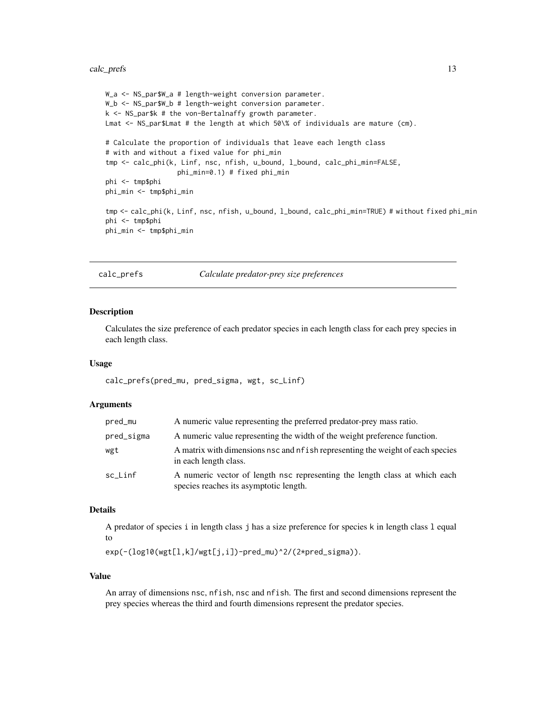#### <span id="page-12-0"></span>calc\_prefs 13

```
W_a <- NS_par$W_a # length-weight conversion parameter.
W_b <- NS_par$W_b # length-weight conversion parameter.
k <- NS_par$k # the von-Bertalnaffy growth parameter.
Lmat <- NS_par$Lmat # the length at which 50\% of individuals are mature (cm).
# Calculate the proportion of individuals that leave each length class
# with and without a fixed value for phi_min
tmp <- calc_phi(k, Linf, nsc, nfish, u_bound, l_bound, calc_phi_min=FALSE,
                  phi_min=0.1) # fixed phi_min
phi <- tmp$phi
phi_min <- tmp$phi_min
tmp <- calc_phi(k, Linf, nsc, nfish, u_bound, l_bound, calc_phi_min=TRUE) # without fixed phi_min
phi <- tmp$phi
phi_min <- tmp$phi_min
```
calc\_prefs *Calculate predator-prey size preferences*

#### Description

Calculates the size preference of each predator species in each length class for each prey species in each length class.

#### Usage

calc\_prefs(pred\_mu, pred\_sigma, wgt, sc\_Linf)

### **Arguments**

| pred_mu    | A numeric value representing the preferred predator-prey mass ratio.                                                 |
|------------|----------------------------------------------------------------------------------------------------------------------|
| pred_sigma | A numeric value representing the width of the weight preference function.                                            |
| wgt        | A matrix with dimensions nsc and nf ish representing the weight of each species<br>in each length class.             |
| sc Linf    | A numeric vector of length nsc representing the length class at which each<br>species reaches its asymptotic length. |

# Details

A predator of species i in length class j has a size preference for species k in length class l equal to

exp(-(log10(wgt[l,k]/wgt[j,i])-pred\_mu)^2/(2\*pred\_sigma)).

#### Value

An array of dimensions nsc, nfish, nsc and nfish. The first and second dimensions represent the prey species whereas the third and fourth dimensions represent the predator species.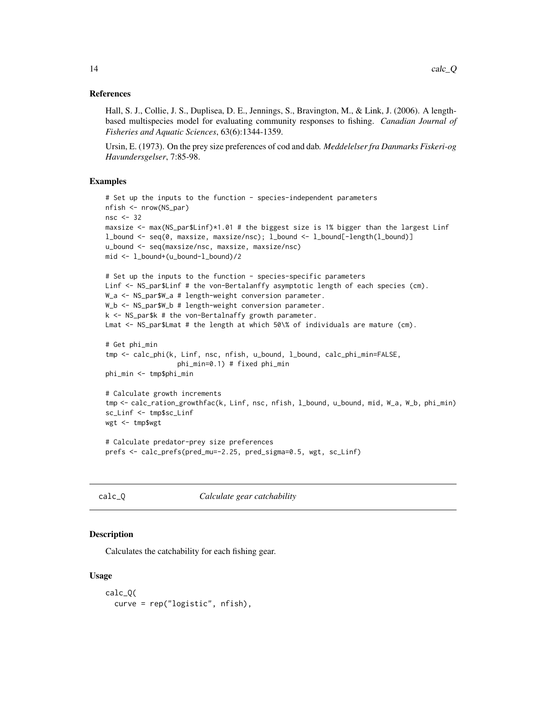#### <span id="page-13-0"></span>References

Hall, S. J., Collie, J. S., Duplisea, D. E., Jennings, S., Bravington, M., & Link, J. (2006). A lengthbased multispecies model for evaluating community responses to fishing. *Canadian Journal of Fisheries and Aquatic Sciences*, 63(6):1344-1359.

Ursin, E. (1973). On the prey size preferences of cod and dab. *Meddelelser fra Danmarks Fiskeri-og Havundersgelser*, 7:85-98.

#### Examples

```
# Set up the inputs to the function - species-independent parameters
nfish <- nrow(NS_par)
nsc <- 32
maxsize <- max(NS_par$Linf)*1.01 # the biggest size is 1% bigger than the largest Linf
l_bound <- seq(0, maxsize, maxsize/nsc); l_bound <- l_bound[-length(l_bound)]
u_bound <- seq(maxsize/nsc, maxsize, maxsize/nsc)
mid <- l_bound+(u_bound-l_bound)/2
# Set up the inputs to the function - species-specific parameters
Linf <- NS_par$Linf # the von-Bertalanffy asymptotic length of each species (cm).
W_a <- NS_par$W_a # length-weight conversion parameter.
W_b <- NS_par$W_b # length-weight conversion parameter.
k \leq -NS\_park # the von-Bertalnaffy growth parameter.
Lmat <- NS_par$Lmat # the length at which 50\% of individuals are mature (cm).
# Get phi_min
tmp <- calc_phi(k, Linf, nsc, nfish, u_bound, l_bound, calc_phi_min=FALSE,
                  phi_min=0.1) # fixed phi_min
phi_min <- tmp$phi_min
# Calculate growth increments
tmp <- calc_ration_growthfac(k, Linf, nsc, nfish, l_bound, u_bound, mid, W_a, W_b, phi_min)
sc_Linf <- tmp$sc_Linf
wgt <- tmp$wgt
# Calculate predator-prey size preferences
prefs <- calc_prefs(pred_mu=-2.25, pred_sigma=0.5, wgt, sc_Linf)
```
calc\_Q *Calculate gear catchability*

#### **Description**

Calculates the catchability for each fishing gear.

#### Usage

```
calc_Q(
  curve = rep("logistic", nfish),
```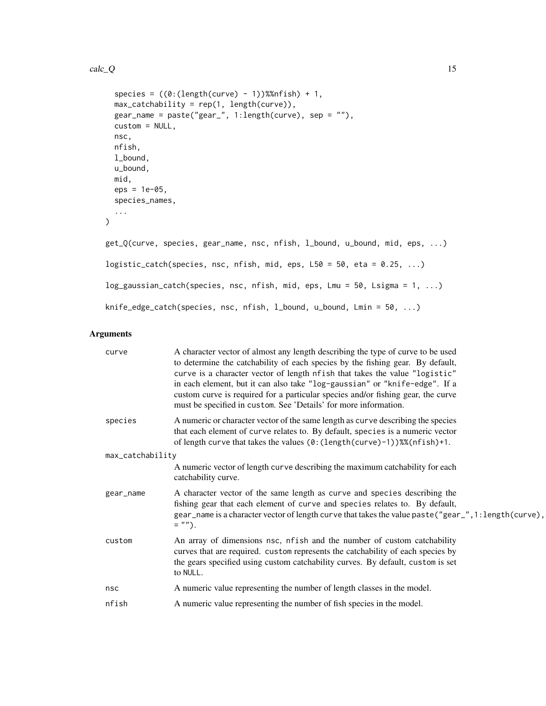#### $calc_Q$  15

```
species = ((0:(\text{length}(curve) - 1))\text{%nfish}) + 1,max_catchability = rep(1, length(curve)),
 gear_name = paste("gear_", 1:length(curve), sep = ""),
 custom = NULL,
 nsc,
 nfish,
 l_bound,
 u_bound,
 mid,
 eps = 1e-05,
  species_names,
  ...
\mathcal{L}get_Q(curve, species, gear_name, nsc, nfish, l_bound, u_bound, mid, eps, ...)
logistic_catch(species, nsc, nfish, mid, eps, L50 = 50, eta = 0.25, ...)
log_gaussian_catch(species, nsc, nfish, mid, eps, Lmu = 50, Lsigma = 1, ...)
knife_edge_catch(species, nsc, nfish, l_bound, u_bound, Lmin = 50, ...)
```

| curve            | A character vector of almost any length describing the type of curve to be used<br>to determine the catchability of each species by the fishing gear. By default,<br>curve is a character vector of length nfish that takes the value "logistic"<br>in each element, but it can also take "log-gaussian" or "knife-edge". If a<br>custom curve is required for a particular species and/or fishing gear, the curve<br>must be specified in custom. See 'Details' for more information. |  |
|------------------|----------------------------------------------------------------------------------------------------------------------------------------------------------------------------------------------------------------------------------------------------------------------------------------------------------------------------------------------------------------------------------------------------------------------------------------------------------------------------------------|--|
| species          | A numeric or character vector of the same length as curve describing the species<br>that each element of curve relates to. By default, species is a numeric vector<br>of length curve that takes the values (0: (length(curve)-1))%%(nfish)+1.                                                                                                                                                                                                                                         |  |
| max_catchability |                                                                                                                                                                                                                                                                                                                                                                                                                                                                                        |  |
|                  | A numeric vector of length curve describing the maximum catchability for each<br>catchability curve.                                                                                                                                                                                                                                                                                                                                                                                   |  |
| gear_name        | A character vector of the same length as curve and species describing the<br>fishing gear that each element of curve and species relates to. By default,<br>gear_name is a character vector of length curve that takes the value paste("gear_", 1: length(curve),<br>$=$ "").                                                                                                                                                                                                          |  |
| custom           | An array of dimensions nsc, nfish and the number of custom catchability<br>curves that are required. custom represents the catchability of each species by<br>the gears specified using custom catchability curves. By default, custom is set<br>to NULL.                                                                                                                                                                                                                              |  |
| nsc              | A numeric value representing the number of length classes in the model.                                                                                                                                                                                                                                                                                                                                                                                                                |  |
| nfish            | A numeric value representing the number of fish species in the model.                                                                                                                                                                                                                                                                                                                                                                                                                  |  |
|                  |                                                                                                                                                                                                                                                                                                                                                                                                                                                                                        |  |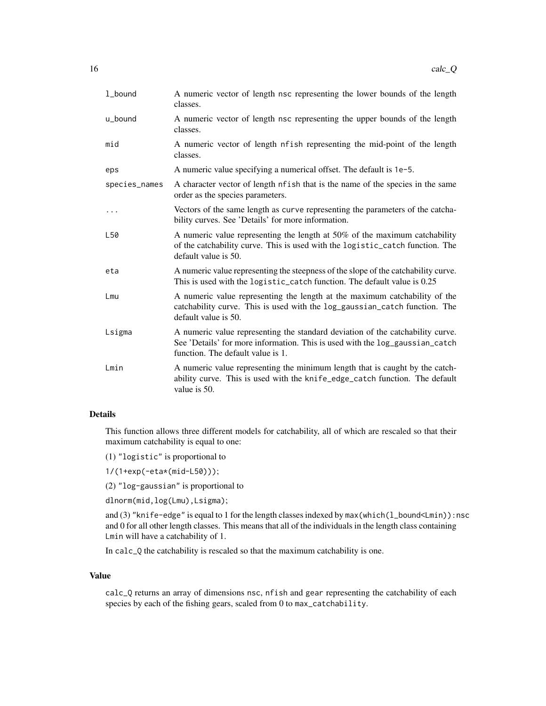| 1_bound       | A numeric vector of length nsc representing the lower bounds of the length<br>classes.                                                                                                              |
|---------------|-----------------------------------------------------------------------------------------------------------------------------------------------------------------------------------------------------|
| u_bound       | A numeric vector of length nsc representing the upper bounds of the length<br>classes.                                                                                                              |
| mid           | A numeric vector of length nfish representing the mid-point of the length<br>classes.                                                                                                               |
| eps           | A numeric value specifying a numerical offset. The default is 1e-5.                                                                                                                                 |
| species_names | A character vector of length nf ish that is the name of the species in the same<br>order as the species parameters.                                                                                 |
| $\cdots$      | Vectors of the same length as curve representing the parameters of the catcha-<br>bility curves. See 'Details' for more information.                                                                |
| L50           | A numeric value representing the length at 50% of the maximum catchability<br>of the catchability curve. This is used with the logistic_catch function. The<br>default value is 50.                 |
| eta           | A numeric value representing the steepness of the slope of the catchability curve.<br>This is used with the logistic_catch function. The default value is 0.25                                      |
| Lmu           | A numeric value representing the length at the maximum catchability of the<br>catchability curve. This is used with the log_gaussian_catch function. The<br>default value is 50.                    |
| Lsigma        | A numeric value representing the standard deviation of the catchability curve.<br>See 'Details' for more information. This is used with the log_gaussian_catch<br>function. The default value is 1. |
| Lmin          | A numeric value representing the minimum length that is caught by the catch-<br>ability curve. This is used with the knife_edge_catch function. The default<br>value is 50.                         |

# Details

This function allows three different models for catchability, all of which are rescaled so that their maximum catchability is equal to one:

(1) "logistic" is proportional to

1/(1+exp(-eta\*(mid-L50)));

(2) "log-gaussian" is proportional to

dlnorm(mid,log(Lmu),Lsigma);

and (3) "knife-edge" is equal to 1 for the length classes indexed by max(which(l\_bound<Lmin)):nsc and 0 for all other length classes. This means that all of the individuals in the length class containing Lmin will have a catchability of 1.

In calc\_Q the catchability is rescaled so that the maximum catchability is one.

#### Value

calc\_Q returns an array of dimensions nsc, nfish and gear representing the catchability of each species by each of the fishing gears, scaled from 0 to max\_catchability.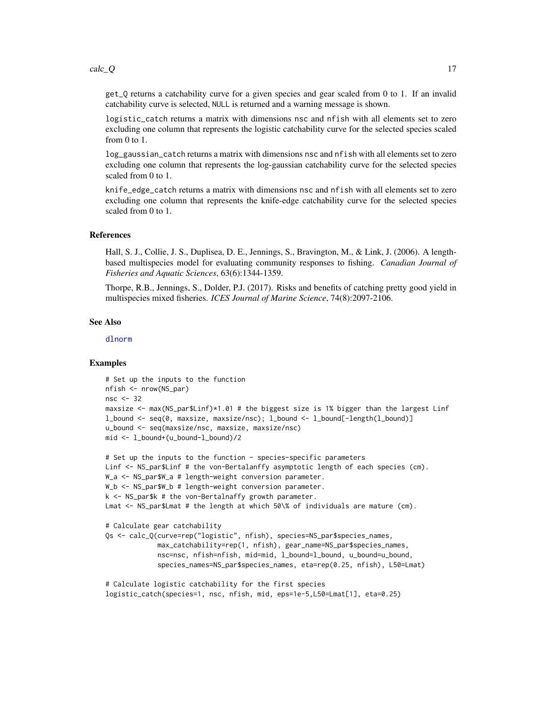get\_Q returns a catchability curve for a given species and gear scaled from 0 to 1. If an invalid catchability curve is selected, NULL is returned and a warning message is shown.

logistic\_catch returns a matrix with dimensions nsc and nfish with all elements set to zero excluding one column that represents the logistic catchability curve for the selected species scaled from 0 to 1.

log\_gaussian\_catch returns a matrix with dimensions nsc and nfish with all elements set to zero excluding one column that represents the log-gaussian catchability curve for the selected species scaled from 0 to 1.

knife\_edge\_catch returns a matrix with dimensions nsc and nfish with all elements set to zero excluding one column that represents the knife-edge catchability curve for the selected species scaled from 0 to 1.

#### References

Hall, S. J., Collie, J. S., Duplisea, D. E., Jennings, S., Bravington, M., & Link, J. (2006). A lengthbased multispecies model for evaluating community responses to fishing. *Canadian Journal of Fisheries and Aquatic Sciences*, 63(6):1344-1359.

Thorpe, R.B., Jennings, S., Dolder, P.J. (2017). Risks and benefits of catching pretty good yield in multispecies mixed fisheries. *ICES Journal of Marine Science*, 74(8):2097-2106.

#### See Also

[dlnorm](#page-0-0)

# Examples

```
# Set up the inputs to the function
nfish <- nrow(NS_par)
nsc <-32maxsize \leq max(NS_par$Linf)*1.01 # the biggest size is 1% bigger than the largest Linf
l_bound <- seq(0, maxsize, maxsize/nsc); l_bound <- l_bound[-length(l_bound)]
u_bound <- seq(maxsize/nsc, maxsize, maxsize/nsc)
mid <- l_bound+(u_bound-l_bound)/2
# Set up the inputs to the function - species-specific parameters
Linf <- NS_par$Linf # the von-Bertalanffy asymptotic length of each species (cm).
```

```
W_a <- NS_par$W_a # length-weight conversion parameter.
W_b <- NS_par$W_b # length-weight conversion parameter.
k <- NS_par$k # the von-Bertalnaffy growth parameter.
Lmat <- NS_par$Lmat # the length at which 50\% of individuals are mature (cm).
# Calculate gear catchability
Qs <- calc_Q(curve=rep("logistic", nfish), species=NS_par$species_names,
             max_catchability=rep(1, nfish), gear_name=NS_par$species_names,
             nsc=nsc, nfish=nfish, mid=mid, l_bound=l_bound, u_bound=u_bound,
             species_names=NS_par$species_names, eta=rep(0.25, nfish), L50=Lmat)
```

```
# Calculate logistic catchability for the first species
logistic_catch(species=1, nsc, nfish, mid, eps=1e-5,L50=Lmat[1], eta=0.25)
```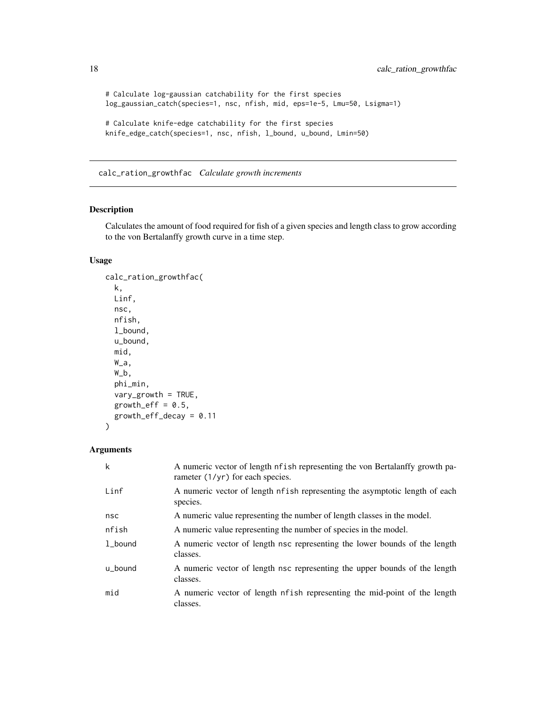```
# Calculate log-gaussian catchability for the first species
log_gaussian_catch(species=1, nsc, nfish, mid, eps=1e-5, Lmu=50, Lsigma=1)
# Calculate knife-edge catchability for the first species
knife_edge_catch(species=1, nsc, nfish, l_bound, u_bound, Lmin=50)
```
calc\_ration\_growthfac *Calculate growth increments*

#### Description

Calculates the amount of food required for fish of a given species and length class to grow according to the von Bertalanffy growth curve in a time step.

# Usage

```
calc_ration_growthfac(
  k,
  Linf,
  nsc,
  nfish,
  l_bound,
  u_bound,
  mid,
  W_a,
  W_b,
  phi_min,
  vary_growth = TRUE,
  growth_eff = 0.5,
  growth_eff_decay = 0.11
\mathcal{L}
```

| $\mathsf k$ | A numeric vector of length nf ish representing the von Bertalanffy growth pa-<br>rameter $(1/yr)$ for each species. |
|-------------|---------------------------------------------------------------------------------------------------------------------|
| Linf        | A numeric vector of length nf ish representing the asymptotic length of each<br>species.                            |
| nsc         | A numeric value representing the number of length classes in the model.                                             |
| nfish       | A numeric value representing the number of species in the model.                                                    |
| 1 bound     | A numeric vector of length nsc representing the lower bounds of the length<br>classes.                              |
| u_bound     | A numeric vector of length nsc representing the upper bounds of the length<br>classes.                              |
| mid         | A numeric vector of length nfish representing the mid-point of the length<br>classes.                               |

<span id="page-17-0"></span>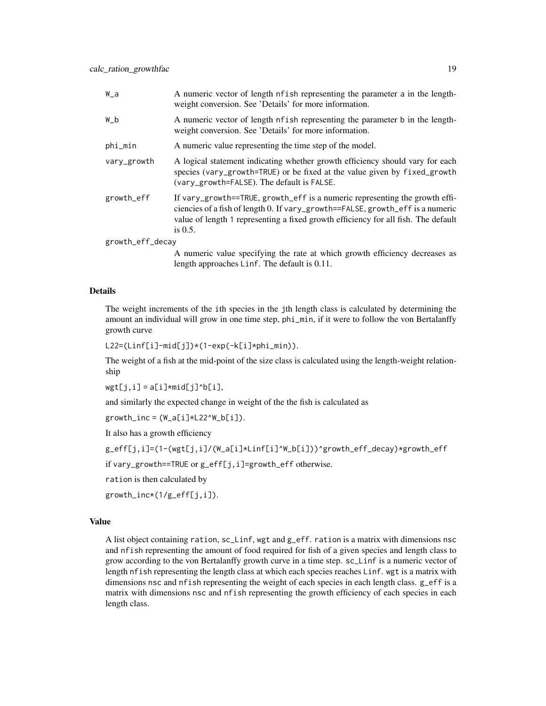| W_a              | A numeric vector of length nfish representing the parameter a in the length-<br>weight conversion. See 'Details' for more information.                                                                                                                            |
|------------------|-------------------------------------------------------------------------------------------------------------------------------------------------------------------------------------------------------------------------------------------------------------------|
| W_b              | A numeric vector of length of ish representing the parameter b in the length-<br>weight conversion. See 'Details' for more information.                                                                                                                           |
| phi_min          | A numeric value representing the time step of the model.                                                                                                                                                                                                          |
| vary_growth      | A logical statement indicating whether growth efficiency should vary for each<br>species (vary_growth=TRUE) or be fixed at the value given by fixed_growth<br>(vary_growth=FALSE). The default is FALSE.                                                          |
| growth_eff       | If vary_growth==TRUE, growth_eff is a numeric representing the growth effi-<br>ciencies of a fish of length 0. If vary_growth==FALSE, growth_eff is a numeric<br>value of length 1 representing a fixed growth efficiency for all fish. The default<br>is $0.5$ . |
| growth_eff_decay |                                                                                                                                                                                                                                                                   |

A numeric value specifying the rate at which growth efficiency decreases as length approaches Linf. The default is 0.11.

# Details

The weight increments of the ith species in the jth length class is calculated by determining the amount an individual will grow in one time step, phi\_min, if it were to follow the von Bertalanffy growth curve

L22=(Linf[i]-mid[j])\*(1-exp(-k[i]\*phi\_min)).

The weight of a fish at the mid-point of the size class is calculated using the length-weight relationship

 $wgt[j,i] = a[i]*mid[j]$ <sup>^</sup>b[i],

and similarly the expected change in weight of the the fish is calculated as

 $growth\_inc = (W_a[i] * L22^W_b[i])$ .

It also has a growth efficiency

```
g_eff[j,i]=(1-(wgt[j,i]/(W_a[i]*Linf[i]^W_b[i]))^growth_eff_decay)*growth_eff
```
if vary\_growth==TRUE or g\_eff[j,i]=growth\_eff otherwise.

ration is then calculated by

growth\_inc\*(1/g\_eff[j,i]).

#### Value

A list object containing ration, sc\_Linf, wgt and g\_eff. ration is a matrix with dimensions nsc and nfish representing the amount of food required for fish of a given species and length class to grow according to the von Bertalanffy growth curve in a time step. sc\_Linf is a numeric vector of length nfish representing the length class at which each species reaches Linf. wgt is a matrix with dimensions nsc and nfish representing the weight of each species in each length class. g\_eff is a matrix with dimensions nsc and nfish representing the growth efficiency of each species in each length class.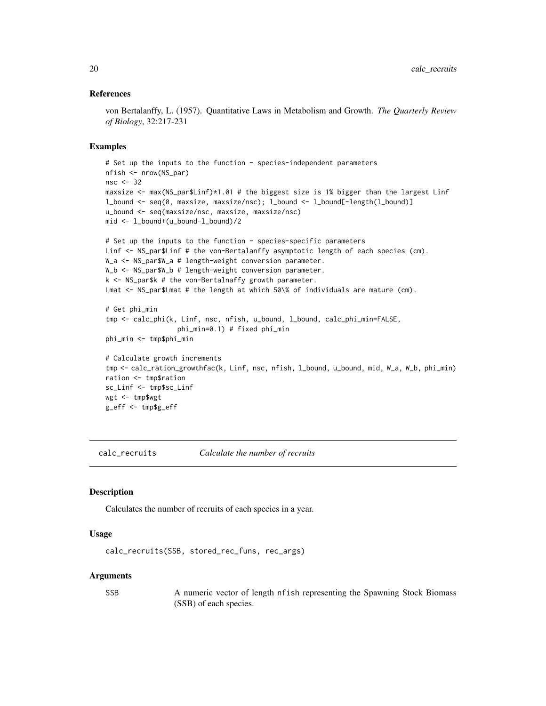#### <span id="page-19-0"></span>References

von Bertalanffy, L. (1957). Quantitative Laws in Metabolism and Growth. *The Quarterly Review of Biology*, 32:217-231

#### Examples

```
# Set up the inputs to the function - species-independent parameters
nfish <- nrow(NS_par)
nsc <- 32
maxsize <- max(NS_par$Linf)*1.01 # the biggest size is 1% bigger than the largest Linf
l_bound <- seq(0, maxsize, maxsize/nsc); l_bound <- l_bound[-length(l_bound)]
u_bound <- seq(maxsize/nsc, maxsize, maxsize/nsc)
mid <- l_bound+(u_bound-l_bound)/2
```

```
# Set up the inputs to the function - species-specific parameters
Linf <- NS_par$Linf # the von-Bertalanffy asymptotic length of each species (cm).
W_a <- NS_par$W_a # length-weight conversion parameter.
W_b <- NS_par$W_b # length-weight conversion parameter.
k <- NS_par$k # the von-Bertalnaffy growth parameter.
Lmat <- NS_par$Lmat # the length at which 50\% of individuals are mature (cm).
```

```
# Get phi_min
tmp <- calc_phi(k, Linf, nsc, nfish, u_bound, l_bound, calc_phi_min=FALSE,
                  phi_min=0.1) # fixed phi_min
phi_min <- tmp$phi_min
```

```
# Calculate growth increments
tmp <- calc_ration_growthfac(k, Linf, nsc, nfish, l_bound, u_bound, mid, W_a, W_b, phi_min)
ration <- tmp$ration
sc_Linf <- tmp$sc_Linf
wgt <- tmp$wgt
g_eff <- tmp$g_eff
```
<span id="page-19-1"></span>calc\_recruits *Calculate the number of recruits*

#### **Description**

Calculates the number of recruits of each species in a year.

#### Usage

```
calc_recruits(SSB, stored_rec_funs, rec_args)
```
#### Arguments

SSB A numeric vector of length nfish representing the Spawning Stock Biomass (SSB) of each species.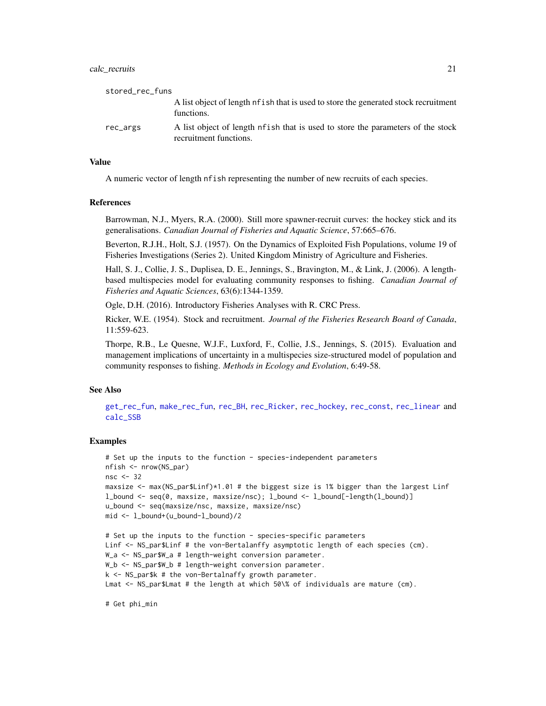#### calc\_recruits 21

| stored_rec_funs |                                                                                                            |
|-----------------|------------------------------------------------------------------------------------------------------------|
|                 | A list object of length of ish that is used to store the generated stock recruitment<br>functions.         |
| rec_args        | A list object of length of ish that is used to store the parameters of the stock<br>recruitment functions. |

#### Value

A numeric vector of length nfish representing the number of new recruits of each species.

#### References

Barrowman, N.J., Myers, R.A. (2000). Still more spawner-recruit curves: the hockey stick and its generalisations. *Canadian Journal of Fisheries and Aquatic Science*, 57:665–676.

Beverton, R.J.H., Holt, S.J. (1957). On the Dynamics of Exploited Fish Populations, volume 19 of Fisheries Investigations (Series 2). United Kingdom Ministry of Agriculture and Fisheries.

Hall, S. J., Collie, J. S., Duplisea, D. E., Jennings, S., Bravington, M., & Link, J. (2006). A lengthbased multispecies model for evaluating community responses to fishing. *Canadian Journal of Fisheries and Aquatic Sciences*, 63(6):1344-1359.

Ogle, D.H. (2016). Introductory Fisheries Analyses with R. CRC Press.

Ricker, W.E. (1954). Stock and recruitment. *Journal of the Fisheries Research Board of Canada*, 11:559-623.

Thorpe, R.B., Le Quesne, W.J.F., Luxford, F., Collie, J.S., Jennings, S. (2015). Evaluation and management implications of uncertainty in a multispecies size-structured model of population and community responses to fishing. *Methods in Ecology and Evolution*, 6:49-58.

#### See Also

[get\\_rec\\_fun](#page-36-1), [make\\_rec\\_fun](#page-46-1), [rec\\_BH](#page-60-1), [rec\\_Ricker](#page-66-1), [rec\\_hockey](#page-63-1), [rec\\_const](#page-61-1), [rec\\_linear](#page-64-1) and [calc\\_SSB](#page-21-1)

# Examples

```
# Set up the inputs to the function - species-independent parameters
nfish <- nrow(NS_par)
nsc <- 32
maxsize \leq max(NS_par$Linf)*1.01 # the biggest size is 1% bigger than the largest Linf
l_bound <- seq(0, maxsize, maxsize/nsc); l_bound <- l_bound[-length(l_bound)]
u_bound <- seq(maxsize/nsc, maxsize, maxsize/nsc)
mid <- l_bound+(u_bound-l_bound)/2
# Set up the inputs to the function - species-specific parameters
Linf <- NS_par$Linf # the von-Bertalanffy asymptotic length of each species (cm).
W_a <- NS_par$W_a # length-weight conversion parameter.
W_b <- NS_par$W_b # length-weight conversion parameter.
k <- NS_par$k # the von-Bertalnaffy growth parameter.
Lmat <- NS_par$Lmat # the length at which 50\% of individuals are mature (cm).
```
# Get phi\_min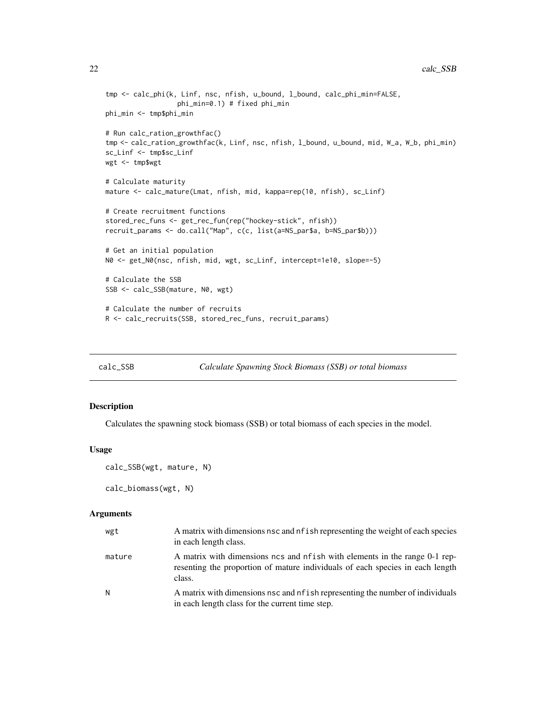```
tmp <- calc_phi(k, Linf, nsc, nfish, u_bound, l_bound, calc_phi_min=FALSE,
                  phi_min=0.1) # fixed phi_min
phi_min <- tmp$phi_min
# Run calc_ration_growthfac()
tmp <- calc_ration_growthfac(k, Linf, nsc, nfish, l_bound, u_bound, mid, W_a, W_b, phi_min)
sc_Linf <- tmp$sc_Linf
wgt <- tmp$wgt
# Calculate maturity
mature <- calc_mature(Lmat, nfish, mid, kappa=rep(10, nfish), sc_Linf)
# Create recruitment functions
stored_rec_funs <- get_rec_fun(rep("hockey-stick", nfish))
recruit_params <- do.call("Map", c(c, list(a=NS_par$a, b=NS_par$b)))
# Get an initial population
N0 <- get_N0(nsc, nfish, mid, wgt, sc_Linf, intercept=1e10, slope=-5)
# Calculate the SSB
SSB <- calc_SSB(mature, N0, wgt)
# Calculate the number of recruits
R <- calc_recruits(SSB, stored_rec_funs, recruit_params)
```
<span id="page-21-1"></span>

```
calc_SSB Calculate Spawning Stock Biomass (SSB) or total biomass
```
# Description

Calculates the spawning stock biomass (SSB) or total biomass of each species in the model.

#### Usage

```
calc_SSB(wgt, mature, N)
```
calc\_biomass(wgt, N)

| wgt    | A matrix with dimensions nsc and nf ish representing the weight of each species<br>in each length class.                                                              |
|--------|-----------------------------------------------------------------------------------------------------------------------------------------------------------------------|
| mature | A matrix with dimensions ncs and nfish with elements in the range 0-1 rep-<br>resenting the proportion of mature individuals of each species in each length<br>class. |
| N      | A matrix with dimensions nsc and nf ish representing the number of individuals<br>in each length class for the current time step.                                     |

<span id="page-21-0"></span>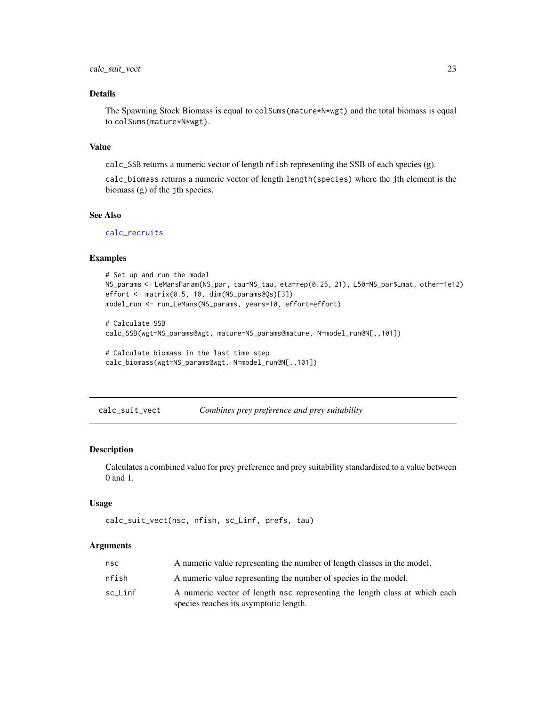# <span id="page-22-0"></span>Details

The Spawning Stock Biomass is equal to colSums(mature\*N\*wgt) and the total biomass is equal to colSums(mature\*N\*wgt).

# Value

calc\_SSB returns a numeric vector of length nfish representing the SSB of each species (g).

calc\_biomass returns a numeric vector of length length(species) where the jth element is the biomass (g) of the jth species.

# See Also

[calc\\_recruits](#page-19-1)

# Examples

```
# Set up and run the model
NS_params <- LeMansParam(NS_par, tau=NS_tau, eta=rep(0.25, 21), L50=NS_par$Lmat, other=1e12)
effort <- matrix(0.5, 10, dim(NS_params@Qs)[3])
model_run <- run_LeMans(NS_params, years=10, effort=effort)
```
# Calculate SSB calc\_SSB(wgt=NS\_params@wgt, mature=NS\_params@mature, N=model\_run@N[,,101])

# Calculate biomass in the last time step calc\_biomass(wgt=NS\_params@wgt, N=model\_run@N[,,101])

calc\_suit\_vect *Combines prey preference and prey suitability*

#### Description

Calculates a combined value for prey preference and prey suitability standardised to a value between 0 and 1.

#### Usage

```
calc_suit_vect(nsc, nfish, sc_Linf, prefs, tau)
```

| nsc     | A numeric value representing the number of length classes in the model.    |
|---------|----------------------------------------------------------------------------|
| nfish   | A numeric value representing the number of species in the model.           |
| sc Linf | A numeric vector of length nsc representing the length class at which each |
|         | species reaches its asymptotic length.                                     |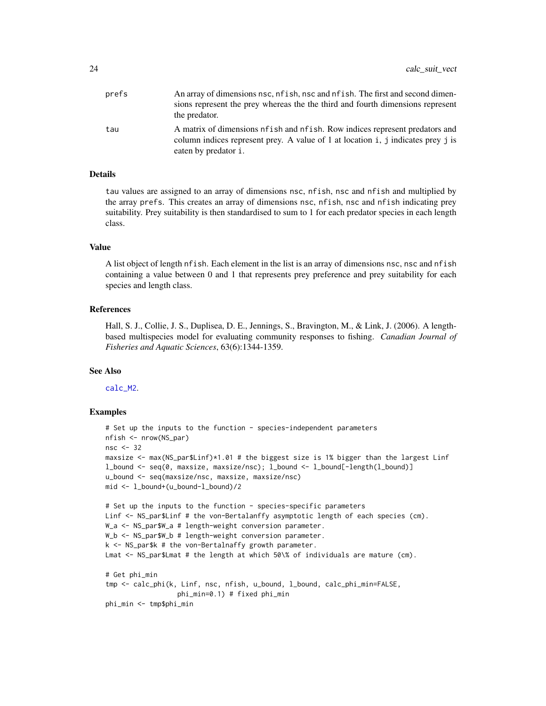| prefs | An array of dimensions nsc, nf ish, nsc and nf ish. The first and second dimen-<br>sions represent the prey whereas the the third and fourth dimensions represent<br>the predator.        |
|-------|-------------------------------------------------------------------------------------------------------------------------------------------------------------------------------------------|
| tau   | A matrix of dimensions of ish and of ish. Row indices represent predators and<br>column indices represent prey. A value of 1 at location i, j indicates prey j is<br>eaten by predator i. |

#### Details

tau values are assigned to an array of dimensions nsc, nfish, nsc and nfish and multiplied by the array prefs. This creates an array of dimensions nsc, nfish, nsc and nfish indicating prey suitability. Prey suitability is then standardised to sum to 1 for each predator species in each length class.

#### Value

A list object of length nfish. Each element in the list is an array of dimensions nsc, nsc and nfish containing a value between 0 and 1 that represents prey preference and prey suitability for each species and length class.

# References

Hall, S. J., Collie, J. S., Duplisea, D. E., Jennings, S., Bravington, M., & Link, J. (2006). A lengthbased multispecies model for evaluating community responses to fishing. *Canadian Journal of Fisheries and Aquatic Sciences*, 63(6):1344-1359.

### See Also

[calc\\_M2](#page-7-1).

# Examples

```
# Set up the inputs to the function - species-independent parameters
nfish <- nrow(NS_par)
nsc <- 32
maxsize <- max(NS_par$Linf)*1.01 # the biggest size is 1% bigger than the largest Linf
l_bound <- seq(0, maxsize, maxsize/nsc); l_bound <- l_bound[-length(l_bound)]
u_bound <- seq(maxsize/nsc, maxsize, maxsize/nsc)
mid <- l_bound+(u_bound-l_bound)/2
# Set up the inputs to the function - species-specific parameters
Linf <- NS_par$Linf # the von-Bertalanffy asymptotic length of each species (cm).
W_a <- NS_par$W_a # length-weight conversion parameter.
W_b <- NS_par$W_b # length-weight conversion parameter.
k <- NS_par$k # the von-Bertalnaffy growth parameter.
Lmat <- NS_par$Lmat # the length at which 50\% of individuals are mature (cm).
# Get phi_min
tmp <- calc_phi(k, Linf, nsc, nfish, u_bound, l_bound, calc_phi_min=FALSE,
                  phi_min=0.1) # fixed phi_min
phi_min <- tmp$phi_min
```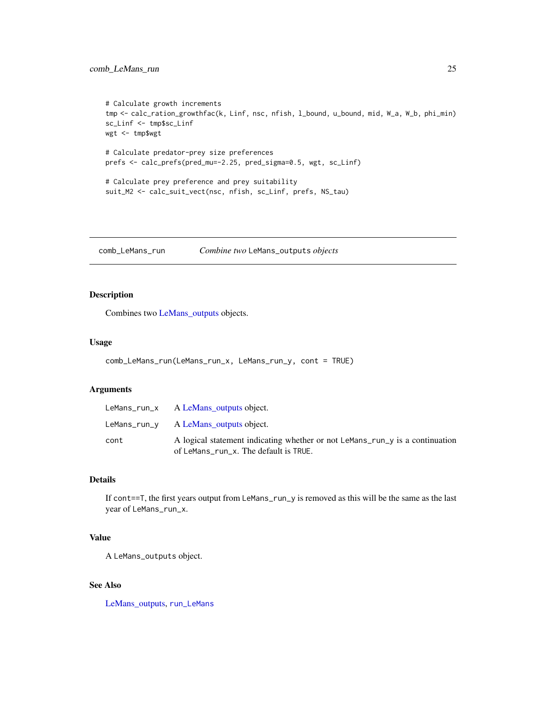```
# Calculate growth increments
tmp <- calc_ration_growthfac(k, Linf, nsc, nfish, l_bound, u_bound, mid, W_a, W_b, phi_min)
sc_Linf <- tmp$sc_Linf
wgt <- tmp$wgt
# Calculate predator-prey size preferences
prefs <- calc_prefs(pred_mu=-2.25, pred_sigma=0.5, wgt, sc_Linf)
# Calculate prey preference and prey suitability
suit_M2 <- calc_suit_vect(nsc, nfish, sc_Linf, prefs, NS_tau)
```
comb\_LeMans\_run *Combine two* LeMans\_outputs *objects*

# Description

Combines two [LeMans\\_outputs](#page-45-1) objects.

# Usage

```
comb_LeMans_run(LeMans_run_x, LeMans_run_y, cont = TRUE)
```
#### Arguments

|      | LeMans_run_x $\Delta$ LeMans outputs object.                                                                          |
|------|-----------------------------------------------------------------------------------------------------------------------|
|      | LeMans_run_y A LeMans outputs object.                                                                                 |
| cont | A logical statement indicating whether or not LeMans_run_y is a continuation<br>of LeMans_run_x. The default is TRUE. |

# Details

If cont==T, the first years output from LeMans\_run\_y is removed as this will be the same as the last year of LeMans\_run\_x.

# Value

A LeMans\_outputs object.

# See Also

[LeMans\\_outputs,](#page-45-1) [run\\_LeMans](#page-67-1)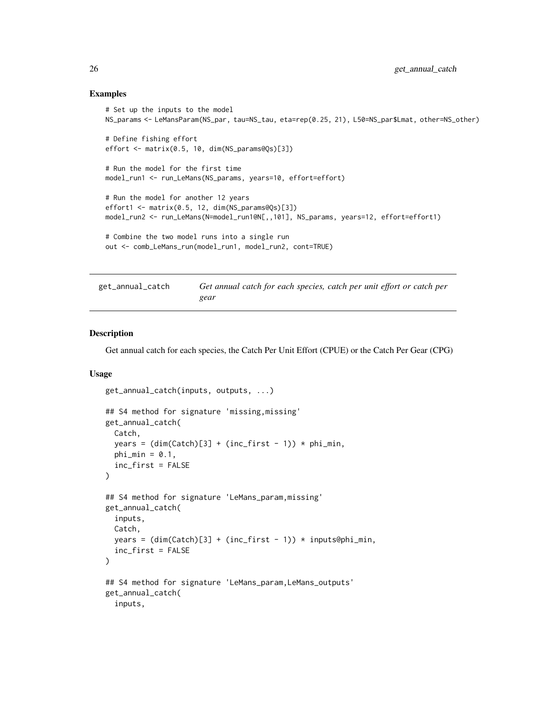#### <span id="page-25-0"></span>Examples

```
# Set up the inputs to the model
NS_params <- LeMansParam(NS_par, tau=NS_tau, eta=rep(0.25, 21), L50=NS_par$Lmat, other=NS_other)
# Define fishing effort
effort <- matrix(0.5, 10, dim(NS_params@Qs)[3])
# Run the model for the first time
model_run1 <- run_LeMans(NS_params, years=10, effort=effort)
# Run the model for another 12 years
effort1 <- matrix(0.5, 12, dim(NS_params@Qs)[3])
model_run2 <- run_LeMans(N=model_run1@N[,,101], NS_params, years=12, effort=effort1)
# Combine the two model runs into a single run
out <- comb_LeMans_run(model_run1, model_run2, cont=TRUE)
```

| get_annual_catch | Get annual catch for each species, catch per unit effort or catch per |
|------------------|-----------------------------------------------------------------------|
|                  | gear                                                                  |

#### Description

Get annual catch for each species, the Catch Per Unit Effort (CPUE) or the Catch Per Gear (CPG)

#### Usage

```
get_annual_catch(inputs, outputs, ...)
## S4 method for signature 'missing,missing'
get_annual_catch(
 Catch,
 years = (dim(Catch)[3] + (inc\_first - 1)) * phi.min,phi_min = 0.1,
  inc_first = FALSE
\lambda## S4 method for signature 'LeMans_param,missing'
get_annual_catch(
  inputs,
 Catch,
 years = (dim(Catch)[3] + (inc\_first - 1)) * inputs@phi...inc_first = FALSE
\lambda## S4 method for signature 'LeMans_param, LeMans_outputs'
get_annual_catch(
  inputs,
```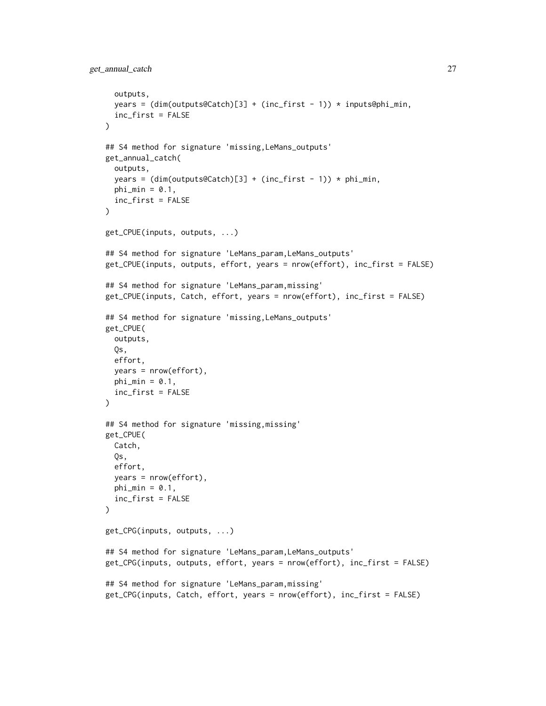```
outputs,
  years = (dim(outputs@Catch)[3] + (inc-first - 1)) * inputs@phi_i_min,inc_first = FALSE
\lambda## S4 method for signature 'missing,LeMans_outputs'
get_annual_catch(
  outputs,
 years = (dim(outputs@Catch)[3] + (inc-first - 1)) * phi.min,phi_min = 0.1,
  inc_first = FALSE
\lambdaget_CPUE(inputs, outputs, ...)
## S4 method for signature 'LeMans_param, LeMans_outputs'
get_CPUE(inputs, outputs, effort, years = nrow(effort), inc_first = FALSE)
## S4 method for signature 'LeMans_param,missing'
get_CPUE(inputs, Catch, effort, years = nrow(effort), inc_first = FALSE)
## S4 method for signature 'missing,LeMans_outputs'
get_CPUE(
 outputs,
  Qs,
  effort,
  years = nrow(effort),
 phi_min = 0.1,
  inc_first = FALSE
\mathcal{L}## S4 method for signature 'missing,missing'
get_CPUE(
  Catch,
  Qs,
 effort,
 years = nrow(effort),
 phi_min = 0.1,
  inc_first = FALSE
\lambdaget_CPG(inputs, outputs, ...)
## S4 method for signature 'LeMans_param,LeMans_outputs'
get_CPG(inputs, outputs, effort, years = nrow(effort), inc_first = FALSE)
## S4 method for signature 'LeMans_param,missing'
get_CPG(inputs, Catch, effort, years = nrow(effort), inc_first = FALSE)
```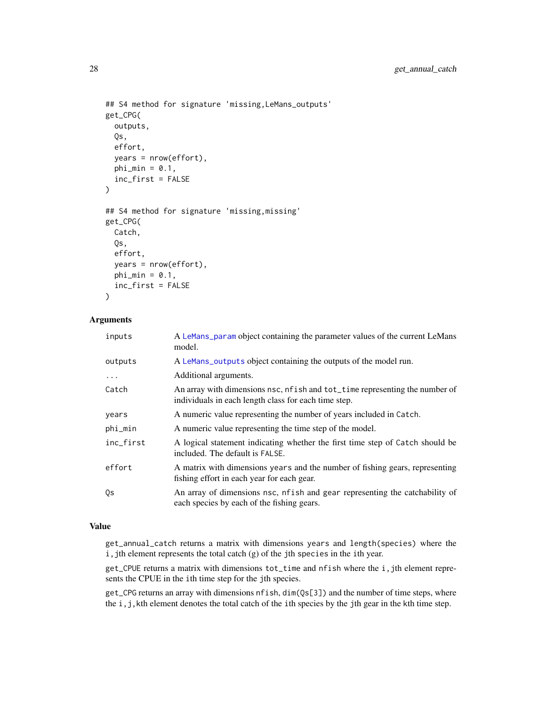```
## S4 method for signature 'missing,LeMans_outputs'
get_CPG(
 outputs,
  Qs,
 effort,
 years = nrow(effort),
 phi_min = 0.1,
  inc_first = FALSE
\lambda## S4 method for signature 'missing,missing'
get_CPG(
 Catch,
 Qs,
  effort,
 years = nrow(effort),
 phi_min = 0.1,
  inc_first = FALSE
\lambda
```
# Arguments

| inputs    | A LeMans_param object containing the parameter values of the current LeMans<br>model.                                                |
|-----------|--------------------------------------------------------------------------------------------------------------------------------------|
| outputs   | A LeMans_outputs object containing the outputs of the model run.                                                                     |
| $\cdots$  | Additional arguments.                                                                                                                |
| Catch     | An array with dimensions nsc, nf ish and tot_time representing the number of<br>individuals in each length class for each time step. |
| years     | A numeric value representing the number of years included in Catch.                                                                  |
| phi_min   | A numeric value representing the time step of the model.                                                                             |
| inc_first | A logical statement indicating whether the first time step of Catch should be<br>included. The default is FALSE.                     |
| effort    | A matrix with dimensions years and the number of fishing gears, representing<br>fishing effort in each year for each gear.           |
| Qs        | An array of dimensions nsc, nf ish and gear representing the catchability of<br>each species by each of the fishing gears.           |

#### Value

get\_annual\_catch returns a matrix with dimensions years and length(species) where the i, jth element represents the total catch (g) of the jth species in the ith year.

get\_CPUE returns a matrix with dimensions tot\_time and nfish where the i,jth element represents the CPUE in the ith time step for the jth species.

get\_CPG returns an array with dimensions nfish, dim(Qs[3]) and the number of time steps, where the i,j,kth element denotes the total catch of the ith species by the jth gear in the kth time step.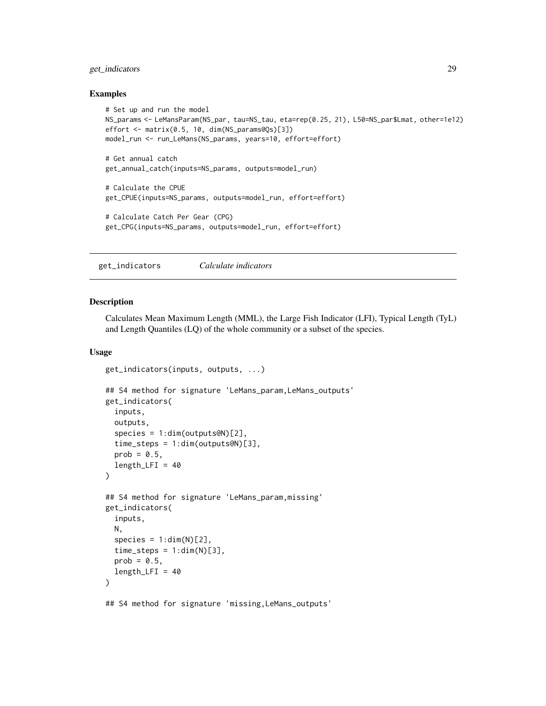# <span id="page-28-0"></span>get\_indicators 29

#### Examples

```
# Set up and run the model
NS_params <- LeMansParam(NS_par, tau=NS_tau, eta=rep(0.25, 21), L50=NS_par$Lmat, other=1e12)
effort <- matrix(0.5, 10, dim(NS_params@Qs)[3])
model_run <- run_LeMans(NS_params, years=10, effort=effort)
# Get annual catch
get_annual_catch(inputs=NS_params, outputs=model_run)
# Calculate the CPUE
get_CPUE(inputs=NS_params, outputs=model_run, effort=effort)
# Calculate Catch Per Gear (CPG)
get_CPG(inputs=NS_params, outputs=model_run, effort=effort)
```
<span id="page-28-1"></span>get\_indicators *Calculate indicators*

# Description

Calculates Mean Maximum Length (MML), the Large Fish Indicator (LFI), Typical Length (TyL) and Length Quantiles (LQ) of the whole community or a subset of the species.

#### Usage

```
get_indicators(inputs, outputs, ...)
```

```
## S4 method for signature 'LeMans_param, LeMans_outputs'
get_indicators(
  inputs,
 outputs,
  species = 1:dim(outputs@N)[2],
  time_steps = 1:dim(outputs@N)[3],
 prob = 0.5,
  length_LFFI = 40)
## S4 method for signature 'LeMans_param,missing'
get_indicators(
  inputs,
 N,
  species = 1:dim(N)[2],time\_steps = 1:dim(N)[3],prob = 0.5,
  length_LFFI = 40\lambda## S4 method for signature 'missing,LeMans_outputs'
```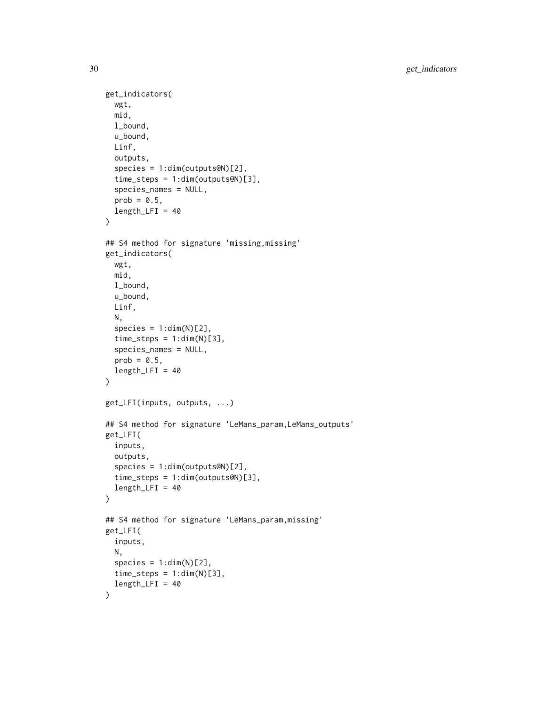```
get_indicators(
  wgt,
  mid,
  l_bound,
  u_bound,
 Linf,
  outputs,
  species = 1:dim(outputs@N)[2],
  time_steps = 1:dim(outputs@N)[3],
  species_names = NULL,
 prob = 0.5,
  length_LFFI = 40)
## S4 method for signature 'missing,missing'
get_indicators(
 wgt,
 mid,
  l_bound,
  u_bound,
 Linf,
 N,
  species = 1:dim(N)[2],time\_steps = 1:dim(N)[3],species_names = NULL,
 prob = 0.5,
  length_LFFI = 40\mathcal{L}get_LFI(inputs, outputs, ...)
## S4 method for signature 'LeMans_param,LeMans_outputs'
get_LFI(
  inputs,
  outputs,
  species = 1:dim(outputs@N)[2],
  time_steps = 1:dim(outputs@N)[3],
  length_LFFI = 40\mathcal{L}## S4 method for signature 'LeMans_param,missing'
get_LFI(
  inputs,
 N,
  species = 1:dim(N)[2],time\_steps = 1:dim(N)[3],length_LFI = 40\mathcal{L}
```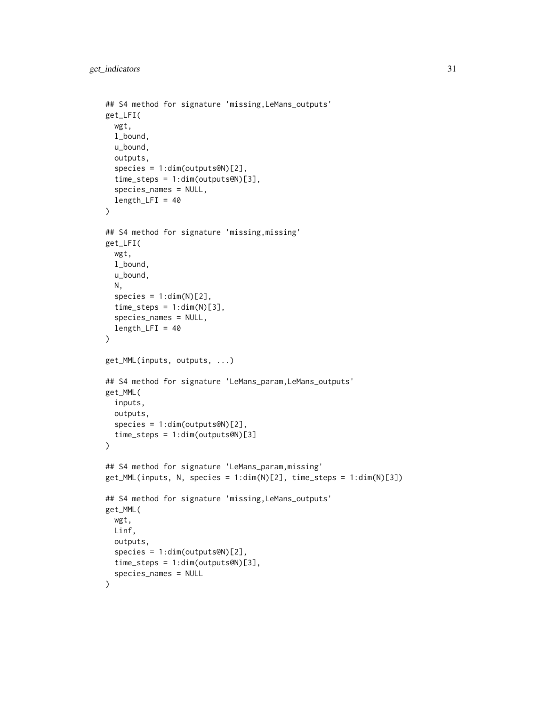```
## S4 method for signature 'missing,LeMans_outputs'
get_LFI(
  wgt,
  l_bound,
  u_bound,
  outputs,
  species = 1:dim(outputs@N)[2],
  time_steps = 1:dim(outputs@N)[3],
  species_names = NULL,
  length_LFFI = 40)
## S4 method for signature 'missing,missing'
get_LFI(
  wgt,
  l_bound,
  u_bound,
 N,
  species = 1:dim(N)[2],time\_steps = 1:dim(N)[3],species_names = NULL,
  length_LFFI = 40\lambdaget_MML(inputs, outputs, ...)
## S4 method for signature 'LeMans_param,LeMans_outputs'
get_MML(
  inputs,
  outputs,
  species = 1:dim(outputs@N)[2],
  time_steps = 1:dim(outputs@N)[3]
\lambda## S4 method for signature 'LeMans_param,missing'
get_MML(inputs, N, species = 1:dim(N)[2], time\_steps = 1:dim(N)[3])## S4 method for signature 'missing,LeMans_outputs'
get_MML(
 wgt,
 Linf,
 outputs,
  species = 1:dim(outputs@N)[2],
  time_steps = 1:dim(outputs@N)[3],
  species_names = NULL
)
```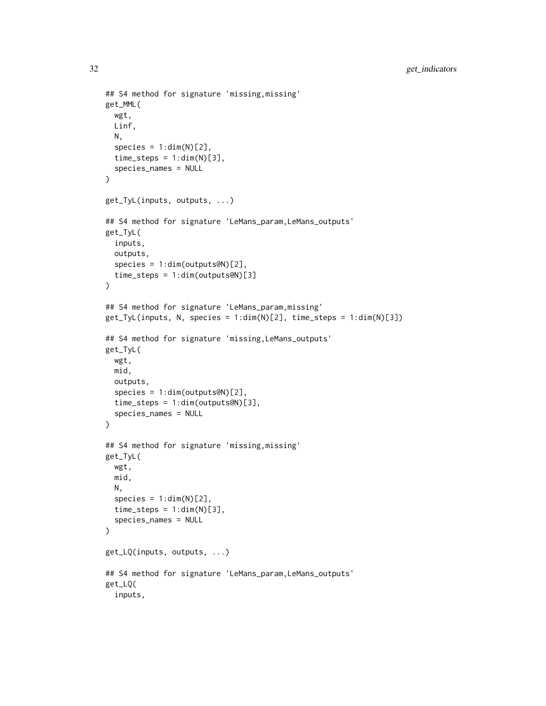```
## S4 method for signature 'missing,missing'
get_MML(
  wgt,
 Linf,
 N,
  species = 1:dim(N)[2],time\_steps = 1:dim(N)[3],species_names = NULL
\lambdaget_TyL(inputs, outputs, ...)
## S4 method for signature 'LeMans_param,LeMans_outputs'
get_TyL(
  inputs,
 outputs,
  species = 1:dim(outputs@N)[2],
  time_steps = 1:dim(outputs@N)[3]
\lambda## S4 method for signature 'LeMans_param,missing'
get_Tyl(inputs, N, species = 1:dim(N)[2], time\_steps = 1:dim(N)[3])## S4 method for signature 'missing,LeMans_outputs'
get_TyL(
 wgt,
 mid,
 outputs,
  species = 1:dim(outputs@N)[2],
  time_steps = 1:dim(outputs@N)[3],
  species_names = NULL
)
## S4 method for signature 'missing,missing'
get_TyL(
 wgt,
 mid,
 N,
  species = 1:dim(N)[2],time\_steps = 1:dim(N)[3],species_names = NULL
)
get_LQ(inputs, outputs, ...)
## S4 method for signature 'LeMans_param,LeMans_outputs'
get_LQ(
  inputs,
```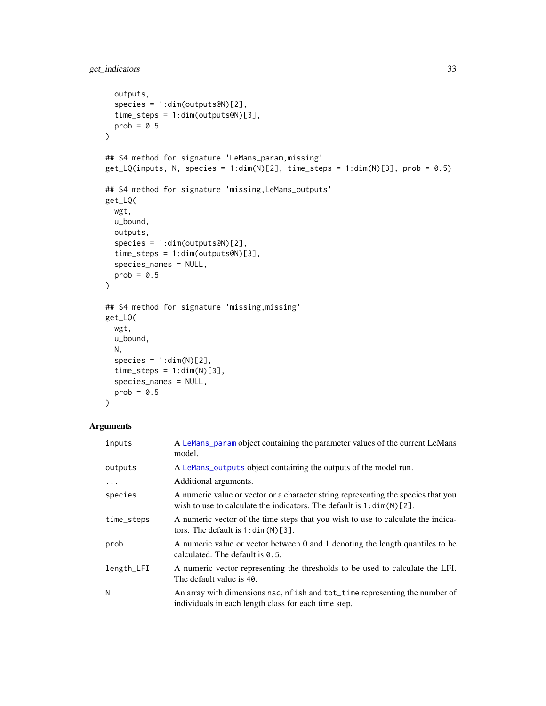```
outputs,
  species = 1:dim(outputs@N)[2],
 time_steps = 1:dim(outputs@N)[3],
 prob = 0.5\lambda## S4 method for signature 'LeMans_param,missing'
get_LQ(inputs, N, species = 1:dim(N)[2], time\_steps = 1:dim(N)[3], prob = 0.5)## S4 method for signature 'missing,LeMans_outputs'
get_LQ(
 wgt,
 u_bound,
 outputs,
  species = 1:dim(outputs@N)[2],
  time_steps = 1:dim(outputs@N)[3],
  species_names = NULL,
 prob = 0.5\lambda## S4 method for signature 'missing,missing'
get_LQ(
 wgt,
 u_bound,
 N,
  species = 1:dim(N)[2],time\_steps = 1:dim(N)[3],species_names = NULL,
 prob = 0.5)
```

| inputs     | A LeMans_param object containing the parameter values of the current LeMans<br>model.                                                                          |
|------------|----------------------------------------------------------------------------------------------------------------------------------------------------------------|
| outputs    | A LeMans_outputs object containing the outputs of the model run.                                                                                               |
| $\ddots$   | Additional arguments.                                                                                                                                          |
| species    | A numeric value or vector or a character string representing the species that you<br>wish to use to calculate the indicators. The default is $1: \dim(N)$ [2]. |
| time_steps | A numeric vector of the time steps that you wish to use to calculate the indica-<br>tors. The default is $1:dim(N)[3]$ .                                       |
| prob       | A numeric value or vector between 0 and 1 denoting the length quantiles to be<br>calculated. The default is $\theta$ . 5.                                      |
| length_LFI | A numeric vector representing the thresholds to be used to calculate the LFI.<br>The default value is 40.                                                      |
| N          | An array with dimensions nsc, nf ish and tot_time representing the number of<br>individuals in each length class for each time step.                           |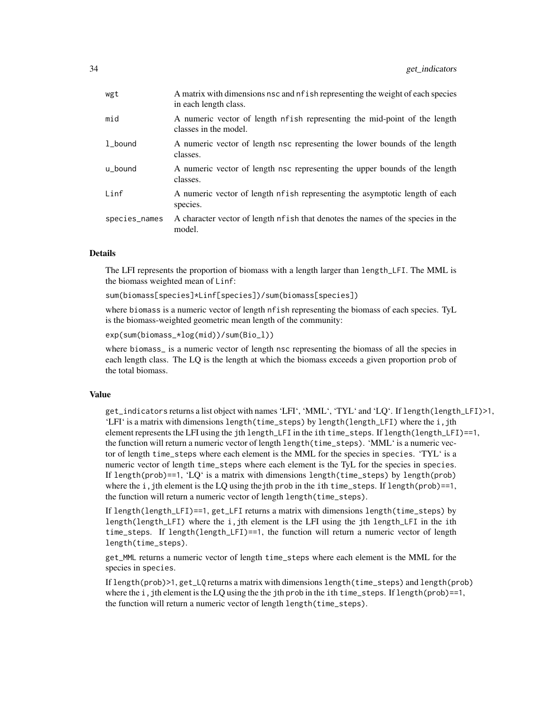| wgt           | A matrix with dimensions nsc and nf ish representing the weight of each species<br>in each length class. |
|---------------|----------------------------------------------------------------------------------------------------------|
| mid           | A numeric vector of length nfish representing the mid-point of the length<br>classes in the model.       |
| 1_bound       | A numeric vector of length nsc representing the lower bounds of the length<br>classes.                   |
| u_bound       | A numeric vector of length nsc representing the upper bounds of the length<br>classes.                   |
| Linf          | A numeric vector of length of ish representing the asymptotic length of each<br>species.                 |
| species_names | A character vector of length nfish that denotes the names of the species in the<br>model.                |
|               |                                                                                                          |

#### Details

The LFI represents the proportion of biomass with a length larger than length\_LFI. The MML is the biomass weighted mean of Linf:

sum(biomass[species]\*Linf[species])/sum(biomass[species])

where biomass is a numeric vector of length nfish representing the biomass of each species. TyL is the biomass-weighted geometric mean length of the community:

exp(sum(biomass\_\*log(mid))/sum(Bio\_l))

where biomass\_ is a numeric vector of length nsc representing the biomass of all the species in each length class. The LQ is the length at which the biomass exceeds a given proportion prob of the total biomass.

### Value

get\_indicators returns a list object with names 'LFI', 'MML', 'TYL' and 'LQ'. If length(length\_LFI)>1, 'LFI' is a matrix with dimensions length(time\_steps) by length(length\_LFI) where the i,jth element represents the LFI using the jth length\_LFI in the ith time\_steps. If length(length\_LFI)==1, the function will return a numeric vector of length length(time\_steps). 'MML' is a numeric vector of length time\_steps where each element is the MML for the species in species. 'TYL' is a numeric vector of length time\_steps where each element is the TyL for the species in species. If length(prob)==1, 'LQ' is a matrix with dimensions length(time\_steps) by length(prob) where the i,jth element is the LQ using the jth prob in the ith time\_steps. If length(prob)==1, the function will return a numeric vector of length length(time\_steps).

If length(length\_LFI)==1, get\_LFI returns a matrix with dimensions length(time\_steps) by length(length $\lfloor$ LFI) where the i,jth element is the LFI using the jth length $\lfloor$ LFI in the ith time\_steps. If length(length\_LFI)==1, the function will return a numeric vector of length length(time\_steps).

get\_MML returns a numeric vector of length time\_steps where each element is the MML for the species in species.

If length(prob)>1, get\_LQ returns a matrix with dimensions length(time\_steps) and length(prob) where the i,jth element is the LQ using the the jth prob in the ith time\_steps. If length(prob)==1, the function will return a numeric vector of length length(time\_steps).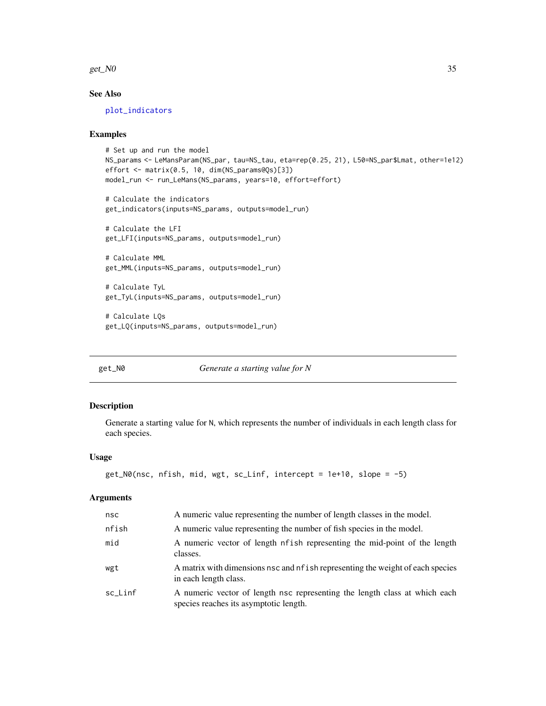<span id="page-34-0"></span>get\_ $N0$  35

# See Also

[plot\\_indicators](#page-51-1)

#### Examples

```
# Set up and run the model
NS_params <- LeMansParam(NS_par, tau=NS_tau, eta=rep(0.25, 21), L50=NS_par$Lmat, other=1e12)
effort <- matrix(0.5, 10, dim(NS_params@Qs)[3])
model_run <- run_LeMans(NS_params, years=10, effort=effort)
```
# Calculate the indicators get\_indicators(inputs=NS\_params, outputs=model\_run)

# Calculate the LFI get\_LFI(inputs=NS\_params, outputs=model\_run)

# Calculate MML get\_MML(inputs=NS\_params, outputs=model\_run)

# Calculate TyL get\_TyL(inputs=NS\_params, outputs=model\_run)

# Calculate LQs get\_LQ(inputs=NS\_params, outputs=model\_run)

get\_N0 *Generate a starting value for N*

# Description

Generate a starting value for N, which represents the number of individuals in each length class for each species.

# Usage

```
get_N0(nsc, nfish, mid, wgt, sc_Linf, intercept = 1e+10, slope = -5)
```

| nsc     | A numeric value representing the number of length classes in the model.                                              |
|---------|----------------------------------------------------------------------------------------------------------------------|
| nfish   | A numeric value representing the number of fish species in the model.                                                |
| mid     | A numeric vector of length nf ish representing the mid-point of the length<br>classes.                               |
| wgt     | A matrix with dimensions nsc and nf ish representing the weight of each species<br>in each length class.             |
| sc_Linf | A numeric vector of length nsc representing the length class at which each<br>species reaches its asymptotic length. |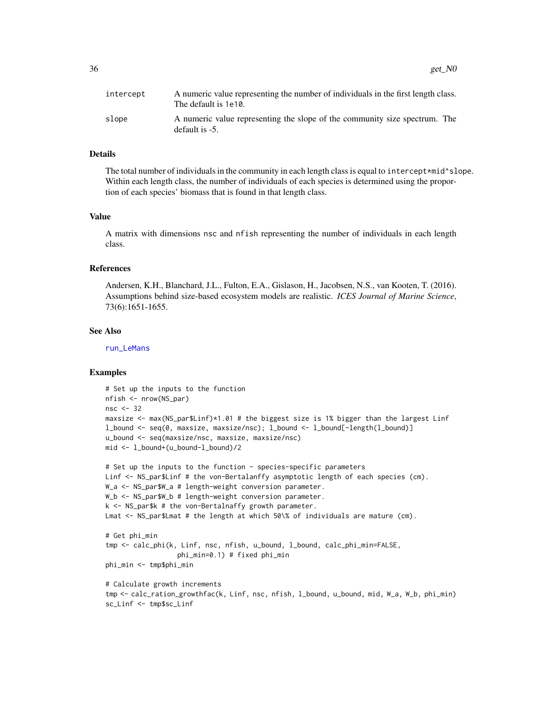# Details

The total number of individuals in the community in each length class is equal to intercept\*mid^slope. Within each length class, the number of individuals of each species is determined using the proportion of each species' biomass that is found in that length class.

# Value

A matrix with dimensions nsc and nfish representing the number of individuals in each length class.

#### References

Andersen, K.H., Blanchard, J.L., Fulton, E.A., Gislason, H., Jacobsen, N.S., van Kooten, T. (2016). Assumptions behind size-based ecosystem models are realistic. *ICES Journal of Marine Science*, 73(6):1651-1655.

#### See Also

[run\\_LeMans](#page-67-1)

## Examples

```
# Set up the inputs to the function
nfish <- nrow(NS_par)
nsc <- 32
maxsize <- max(NS_par$Linf)*1.01 # the biggest size is 1% bigger than the largest Linf
l_bound <- seq(0, maxsize, maxsize/nsc); l_bound <- l_bound[-length(l_bound)]
u_bound <- seq(maxsize/nsc, maxsize, maxsize/nsc)
mid <- l_bound+(u_bound-l_bound)/2
```

```
# Set up the inputs to the function - species-specific parameters
Linf <- NS_par$Linf # the von-Bertalanffy asymptotic length of each species (cm).
W_a <- NS_par$W_a # length-weight conversion parameter.
W_b <- NS_par$W_b # length-weight conversion parameter.
k \leq -NS\_park # the von-Bertalnaffy growth parameter.
Lmat <- NS_par$Lmat # the length at which 50\% of individuals are mature (cm).
```

```
# Get phi_min
tmp <- calc_phi(k, Linf, nsc, nfish, u_bound, l_bound, calc_phi_min=FALSE,
                  phi_min=0.1) # fixed phi_min
phi_min <- tmp$phi_min
```

```
# Calculate growth increments
tmp <- calc_ration_growthfac(k, Linf, nsc, nfish, l_bound, u_bound, mid, W_a, W_b, phi_min)
sc_Linf <- tmp$sc_Linf
```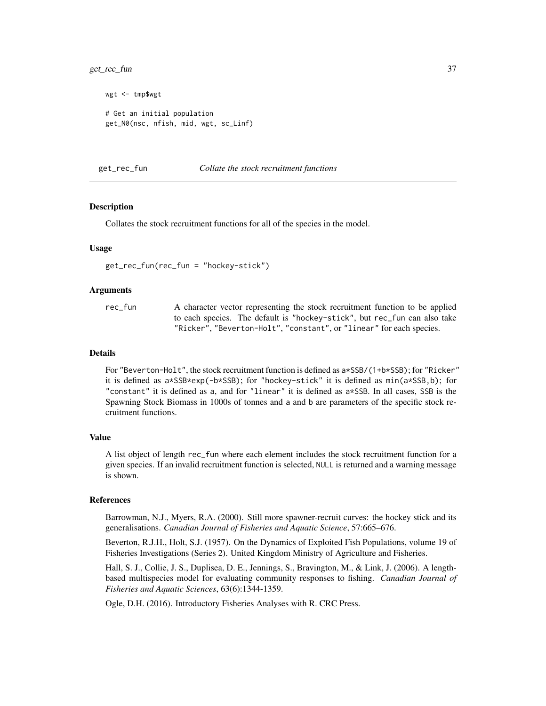## get\_rec\_fun 37

```
wgt <- tmp$wgt
# Get an initial population
get_N0(nsc, nfish, mid, wgt, sc_Linf)
```
<span id="page-36-0"></span>get\_rec\_fun *Collate the stock recruitment functions*

### Description

Collates the stock recruitment functions for all of the species in the model.

### Usage

```
get_rec_fun(rec_fun = "hockey-stick")
```
## Arguments

rec\_fun A character vector representing the stock recruitment function to be applied to each species. The default is "hockey-stick", but rec\_fun can also take "Ricker", "Beverton-Holt", "constant", or "linear" for each species.

#### Details

For "Beverton-Holt", the stock recruitment function is defined as a\*SSB/(1+b\*SSB); for "Ricker" it is defined as a\*SSB\*exp(-b\*SSB); for "hockey-stick" it is defined as min(a\*SSB,b); for "constant" it is defined as a, and for "linear" it is defined as a\*SSB. In all cases, SSB is the Spawning Stock Biomass in 1000s of tonnes and a and b are parameters of the specific stock recruitment functions.

## Value

A list object of length rec\_fun where each element includes the stock recruitment function for a given species. If an invalid recruitment function is selected, NULL is returned and a warning message is shown.

#### References

Barrowman, N.J., Myers, R.A. (2000). Still more spawner-recruit curves: the hockey stick and its generalisations. *Canadian Journal of Fisheries and Aquatic Science*, 57:665–676.

Beverton, R.J.H., Holt, S.J. (1957). On the Dynamics of Exploited Fish Populations, volume 19 of Fisheries Investigations (Series 2). United Kingdom Ministry of Agriculture and Fisheries.

Hall, S. J., Collie, J. S., Duplisea, D. E., Jennings, S., Bravington, M., & Link, J. (2006). A lengthbased multispecies model for evaluating community responses to fishing. *Canadian Journal of Fisheries and Aquatic Sciences*, 63(6):1344-1359.

Ogle, D.H. (2016). Introductory Fisheries Analyses with R. CRC Press.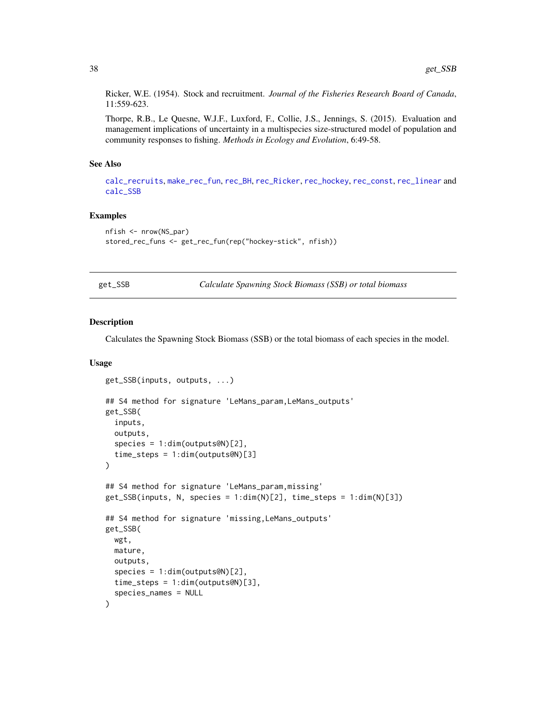Ricker, W.E. (1954). Stock and recruitment. *Journal of the Fisheries Research Board of Canada*, 11:559-623.

Thorpe, R.B., Le Quesne, W.J.F., Luxford, F., Collie, J.S., Jennings, S. (2015). Evaluation and management implications of uncertainty in a multispecies size-structured model of population and community responses to fishing. *Methods in Ecology and Evolution*, 6:49-58.

#### See Also

[calc\\_recruits](#page-19-0), [make\\_rec\\_fun](#page-46-0), [rec\\_BH](#page-60-0), [rec\\_Ricker](#page-66-0), [rec\\_hockey](#page-63-0), [rec\\_const](#page-61-0), [rec\\_linear](#page-64-0) and [calc\\_SSB](#page-21-0)

### Examples

```
nfish <- nrow(NS_par)
stored_rec_funs <- get_rec_fun(rep("hockey-stick", nfish))
```
<span id="page-37-0"></span>

| ≏ |  | ίB |
|---|--|----|
|   |  |    |

Galculate Spawning Stock Biomass (SSB) or total biomass

### <span id="page-37-1"></span>Description

Calculates the Spawning Stock Biomass (SSB) or the total biomass of each species in the model.

## Usage

```
get_SSB(inputs, outputs, ...)
## S4 method for signature 'LeMans_param,LeMans_outputs'
get_SSB(
  inputs,
  outputs,
  species = 1:dim(outputs@N)[2],
  time_steps = 1:dim(outputs@N)[3]
\lambda## S4 method for signature 'LeMans_param,missing'
get_SSB(inputs, N, species = 1:dim(N)[2], time_steps = 1:dim(N)[3])
## S4 method for signature 'missing,LeMans_outputs'
get_SSB(
  wgt,
  mature,
  outputs,
  species = 1:dim(outputs@N)[2],
  time_steps = 1:dim(outputs@N)[3],
  species_names = NULL
)
```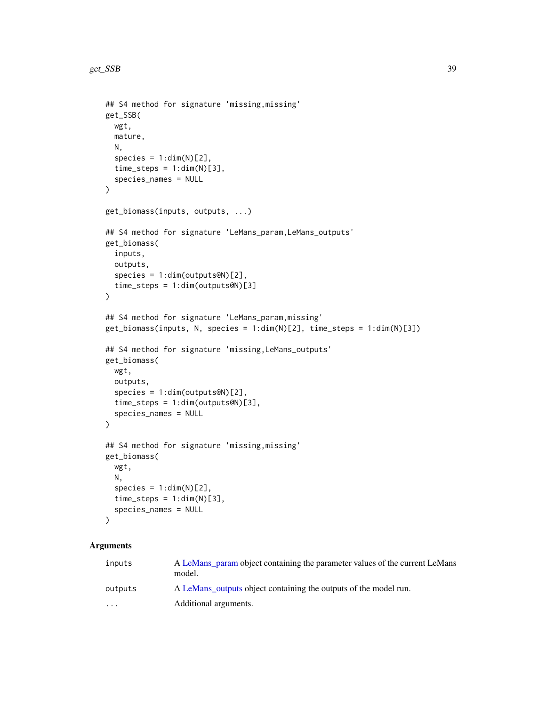```
## S4 method for signature 'missing,missing'
get_SSB(
 wgt,
 mature,
 N,
  species = 1:dim(N)[2],time\_steps = 1:dim(N)[3],species_names = NULL
)
get_biomass(inputs, outputs, ...)
## S4 method for signature 'LeMans_param,LeMans_outputs'
get_biomass(
  inputs,
 outputs,
  species = 1:dim(outputs@N)[2],
  time_steps = 1:dim(outputs@N)[3]
\lambda## S4 method for signature 'LeMans_param,missing'
get_biomass(inputs, N, species = 1:dim(N)[2], time_steps = 1:dim(N)[3])
## S4 method for signature 'missing,LeMans_outputs'
get_biomass(
 wgt,
 outputs,
  species = 1:dim(outputs@N)[2],
  time_steps = 1:dim(outputs@N)[3],
  species_names = NULL
\mathcal{L}## S4 method for signature 'missing,missing'
get_biomass(
 wgt,
 N,
  species = 1:dim(N)[2],time\_steps = 1:dim(N)[3],species_names = NULL
\mathcal{L}
```
## Arguments

| inputs                  | A LeMans_param object containing the parameter values of the current LeMans<br>model. |
|-------------------------|---------------------------------------------------------------------------------------|
| outputs                 | A LeMans outputs object containing the outputs of the model run.                      |
| $\cdot$ $\cdot$ $\cdot$ | Additional arguments.                                                                 |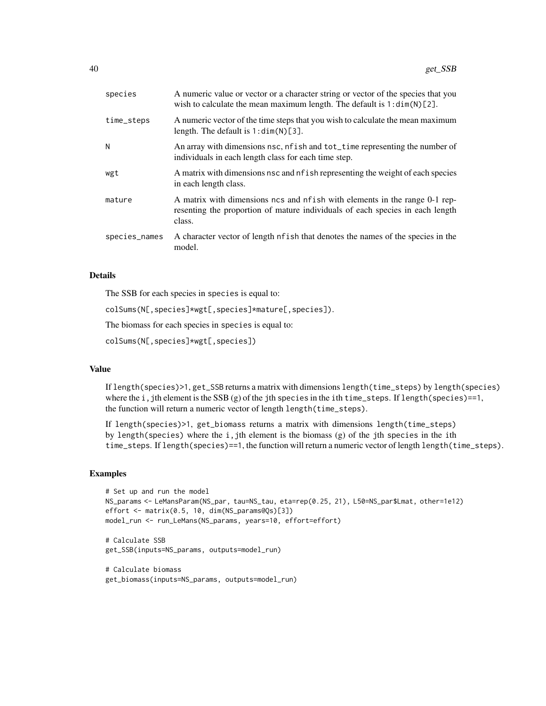| species       | A numeric value or vector or a character string or vector of the species that you<br>wish to calculate the mean maximum length. The default is $1: dim(N)[2]$ .        |
|---------------|------------------------------------------------------------------------------------------------------------------------------------------------------------------------|
| time_steps    | A numeric vector of the time steps that you wish to calculate the mean maximum<br>length. The default is $1:dim(N)[3]$ .                                               |
| N             | An array with dimensions nsc, nf ish and tot_time representing the number of<br>individuals in each length class for each time step.                                   |
| wgt           | A matrix with dimensions nsc and nf ish representing the weight of each species<br>in each length class.                                                               |
| mature        | A matrix with dimensions ncs and nf ish with elements in the range 0-1 rep-<br>resenting the proportion of mature individuals of each species in each length<br>class. |
| species_names | A character vector of length of ish that denotes the names of the species in the<br>model.                                                                             |

### Details

The SSB for each species in species is equal to:

colSums(N[,species]\*wgt[,species]\*mature[,species]).

The biomass for each species in species is equal to:

colSums(N[,species]\*wgt[,species])

## Value

If length(species)>1, get\_SSB returns a matrix with dimensions length(time\_steps) by length(species) where the i,jth element is the SSB  $(g)$  of the jth species in the ith time\_steps. If length(species)==1, the function will return a numeric vector of length length(time\_steps).

If length(species)>1, get\_biomass returns a matrix with dimensions length(time\_steps) by length(species) where the i,jth element is the biomass  $(g)$  of the jth species in the ith time\_steps. If length(species)==1, the function will return a numeric vector of length length(time\_steps).

```
# Set up and run the model
NS_params <- LeMansParam(NS_par, tau=NS_tau, eta=rep(0.25, 21), L50=NS_par$Lmat, other=1e12)
effort <- matrix(0.5, 10, dim(NS_params@Qs)[3])
model_run <- run_LeMans(NS_params, years=10, effort=effort)
```

```
# Calculate SSB
get_SSB(inputs=NS_params, outputs=model_run)
```

```
# Calculate biomass
get_biomass(inputs=NS_params, outputs=model_run)
```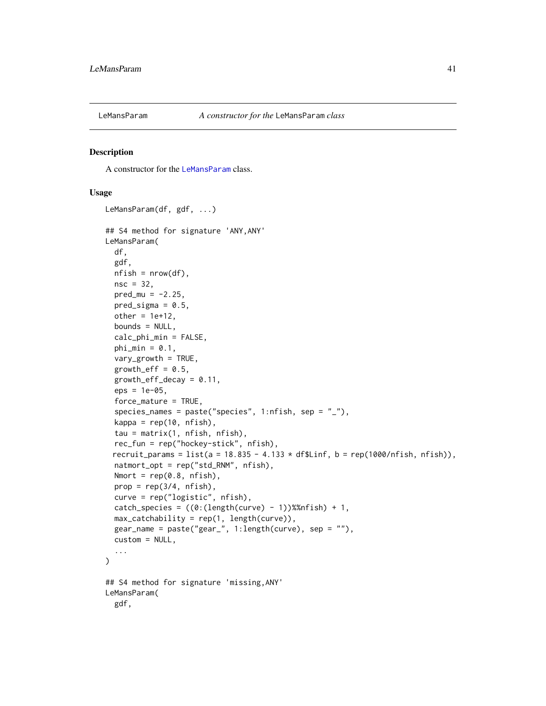<span id="page-40-0"></span>

A constructor for the [LeMansParam](#page-40-0) class.

## Usage

```
LeMansParam(df, gdf, ...)
## S4 method for signature 'ANY,ANY'
LeMansParam(
  df,
  gdf,
  nfish = nrow(df),
  nsc = 32,
 pred_{mu} = -2.25,
  pred_sigma = 0.5,
  other = 1e+12,
  bounds = NULL,
  calc_phi_min = FALSE,
  phi_min = 0.1,
  vary_growth = TRUE,
  growth_eff = 0.5,
  growth_eff_decay = 0.11,
  eps = 1e-05.
  force_mature = TRUE,
  species_names = paste("species", 1:nfish, sep = "_"),
  kappa = rep(10, nfish),tau = matrix(1, nfish, nfish),
  rec_fun = rep("hockey-stick", nfish),
 recruit_params = list(a = 18.835 - 4.133 \star df$Linf, b = rep(1000/nfish, nfish)),
  natmort_opt = rep("std_RNM", nfish),
 Nmort = rep(0.8, nfish),
  prop = rep(3/4, nfish),
  curve = rep("logistic", nfish),
  catch_species = ((0:(length(curve) - 1))% mfish) + 1,max_catchability = rep(1, length(curve)),gear_name = paste("gear_", 1:length(curve), sep = ""),
  custom = NULL,
  ...
)
## S4 method for signature 'missing,ANY'
LeMansParam(
  gdf,
```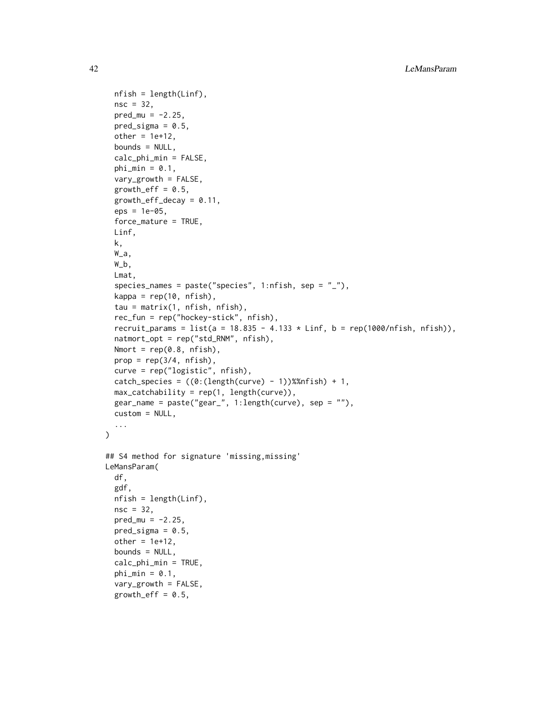```
nfish = length(Linf),
  nsc = 32,
  pred_mu = -2.25,
 pred\_sigma = 0.5,
  other = 1e+12,
  bounds = NULL,
  calc_phi_min = FALSE,
  phi_min = 0.1,
  vary_growth = FALSE,
  growth_eff = 0.5,
  growth_eff_decay = 0.11,
  eps = 1e-05,
  force_mature = TRUE,
 Linf,
  k,
  W_a,
  W_b,
  Lmat,
  species_names = paste("species", 1:nfish, sep = "_"),
  kappa = rep(10, nfish),tau = matrix(1, nfish, nfish),
  rec_fun = rep("hockey-stick", nfish),
  recruit_params = list(a = 18.835 - 4.133 \star Linf, b = rep(1000/nfish, nfish)),
  natmort_opt = rep("std_RNM", nfish),
 Nmort = rep(0.8, nfish),
 prop = rep(3/4, nfish),curve = rep("logistic", nfish),
  catch_species = ((0:(length(curve) - 1))%nfish) + 1,
  max_catchability = rep(1, length(curve)),gear_name = paste("gear_", 1:length(curve), sep = ""),
  custom = NULL,
  ...
\mathcal{L}## S4 method for signature 'missing,missing'
LeMansParam(
  df,
  gdf,
  nfish = length(Linf),
  nsc = 32,
 pred_{mu} = -2.25,
 pred\_sigma = 0.5,
  other = 1e+12,
  bounds = NULL,
  calc_phi_min = TRUE,
  phi_min = 0.1,
  vary_growth = FALSE,
  growth_eff = 0.5,
```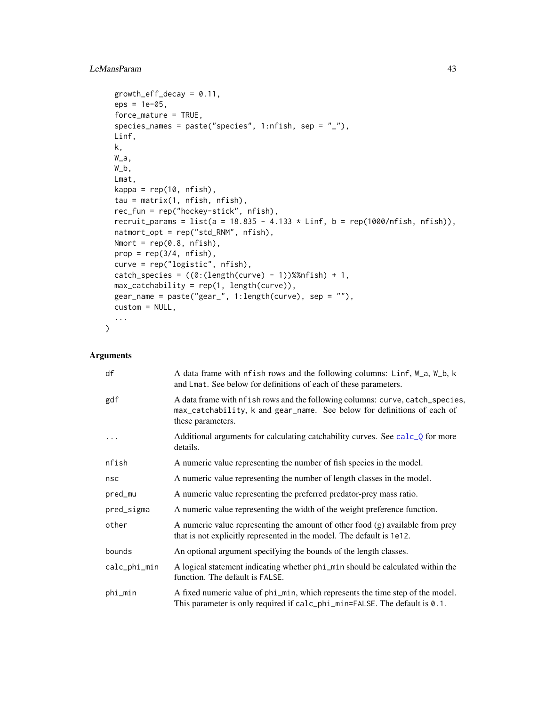# LeMansParam 43

```
growth_eff_decay = 0.11,
eps = 1e-05,
force_mature = TRUE,
species_names = paste("species", 1:nfish, sep = "_"),
Linf,
k,
W_a,
W_b,
Lmat,
kappa = rep(10, nfish),
tau = matrix(1, nfish, nfish),
rec_fun = rep("hockey-stick", nfish),
recruit_params = list(a = 18.835 - 4.133 * Linf, b = rep(1000/nfish, nfish)),
natmort_opt = rep("std_RNM", nfish),
Nmort = rep(0.8, nfish),
prop = rep(3/4, nfish),curve = rep("logistic", nfish),
catch_species = ((0:(length(curve) - 1))% mfish) + 1,max_catchability = rep(1, length(curve)),
gear_name = paste("gear_", 1:length(curve), sep = ""),
custom = NULL,
...
```
## Arguments

 $\mathcal{L}$ 

| df           | A data frame with nfish rows and the following columns: Linf, W_a, W_b, k<br>and Lmat. See below for definitions of each of these parameters.                                 |
|--------------|-------------------------------------------------------------------------------------------------------------------------------------------------------------------------------|
| gdf          | A data frame with nfish rows and the following columns: curve, catch_species,<br>max_catchability, k and gear_name. See below for definitions of each of<br>these parameters. |
| .            | Additional arguments for calculating catchability curves. See calc_Q for more<br>details.                                                                                     |
| nfish        | A numeric value representing the number of fish species in the model.                                                                                                         |
| nsc          | A numeric value representing the number of length classes in the model.                                                                                                       |
| pred_mu      | A numeric value representing the preferred predator-prey mass ratio.                                                                                                          |
| pred_sigma   | A numeric value representing the width of the weight preference function.                                                                                                     |
| other        | A numeric value representing the amount of other food $(g)$ available from prey<br>that is not explicitly represented in the model. The default is 1e12.                      |
| bounds       | An optional argument specifying the bounds of the length classes.                                                                                                             |
| calc_phi_min | A logical statement indicating whether phi_min should be calculated within the<br>function. The default is FALSE.                                                             |
| phi_min      | A fixed numeric value of phi_min, which represents the time step of the model.<br>This parameter is only required if calc_phi_min=FALSE. The default is 0.1.                  |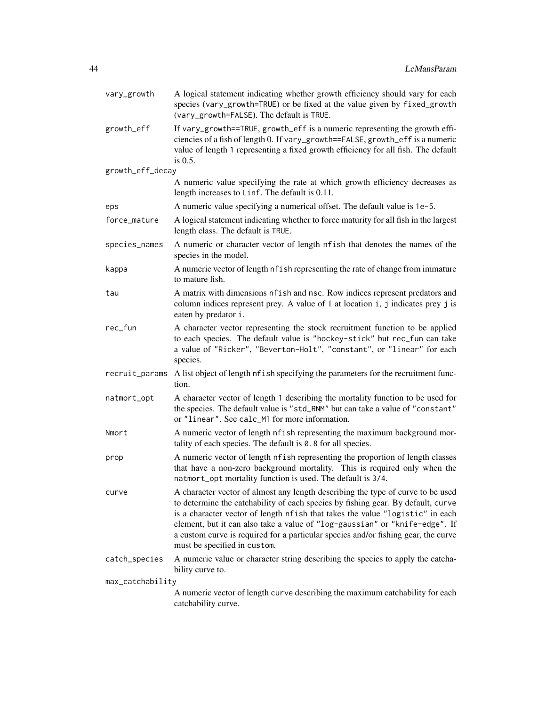| vary_growth      | A logical statement indicating whether growth efficiency should vary for each<br>species (vary_growth=TRUE) or be fixed at the value given by fixed_growth<br>(vary_growth=FALSE). The default is TRUE.                                                                                                                                                                                                                                                   |  |
|------------------|-----------------------------------------------------------------------------------------------------------------------------------------------------------------------------------------------------------------------------------------------------------------------------------------------------------------------------------------------------------------------------------------------------------------------------------------------------------|--|
| growth_eff       | If vary_growth==TRUE, growth_eff is a numeric representing the growth effi-<br>ciencies of a fish of length 0. If vary_growth==FALSE, growth_eff is a numeric<br>value of length 1 representing a fixed growth efficiency for all fish. The default<br>is $0.5$ .                                                                                                                                                                                         |  |
| growth_eff_decay |                                                                                                                                                                                                                                                                                                                                                                                                                                                           |  |
|                  | A numeric value specifying the rate at which growth efficiency decreases as<br>length increases to Linf. The default is 0.11.                                                                                                                                                                                                                                                                                                                             |  |
| eps              | A numeric value specifying a numerical offset. The default value is 1e-5.                                                                                                                                                                                                                                                                                                                                                                                 |  |
| force_mature     | A logical statement indicating whether to force maturity for all fish in the largest<br>length class. The default is TRUE.                                                                                                                                                                                                                                                                                                                                |  |
| species_names    | A numeric or character vector of length nfish that denotes the names of the<br>species in the model.                                                                                                                                                                                                                                                                                                                                                      |  |
| kappa            | A numeric vector of length nf ish representing the rate of change from immature<br>to mature fish.                                                                                                                                                                                                                                                                                                                                                        |  |
| tau              | A matrix with dimensions nfish and nsc. Row indices represent predators and<br>column indices represent prey. A value of 1 at location i, j indicates prey j is<br>eaten by predator i.                                                                                                                                                                                                                                                                   |  |
| rec_fun          | A character vector representing the stock recruitment function to be applied<br>to each species. The default value is "hockey-stick" but rec_fun can take<br>a value of "Ricker", "Beverton-Holt", "constant", or "linear" for each<br>species.                                                                                                                                                                                                           |  |
| recruit_params   | A list object of length nfish specifying the parameters for the recruitment func-<br>tion.                                                                                                                                                                                                                                                                                                                                                                |  |
| natmort_opt      | A character vector of length 1 describing the mortality function to be used for<br>the species. The default value is "std_RNM" but can take a value of "constant"<br>or "linear". See calc_M1 for more information.                                                                                                                                                                                                                                       |  |
| Nmort            | A numeric vector of length nfish representing the maximum background mor-<br>tality of each species. The default is $0.8$ for all species.                                                                                                                                                                                                                                                                                                                |  |
| prop             | A numeric vector of length nfish representing the proportion of length classes<br>that have a non-zero background mortality. This is required only when the<br>natmort_opt mortality function is used. The default is 3/4.                                                                                                                                                                                                                                |  |
| curve            | A character vector of almost any length describing the type of curve to be used<br>to determine the catchability of each species by fishing gear. By default, curve<br>is a character vector of length nfish that takes the value "logistic" in each<br>element, but it can also take a value of "log-gaussian" or "knife-edge". If<br>a custom curve is required for a particular species and/or fishing gear, the curve<br>must be specified in custom. |  |
| catch_species    | A numeric value or character string describing the species to apply the catcha-<br>bility curve to.                                                                                                                                                                                                                                                                                                                                                       |  |
| max_catchability |                                                                                                                                                                                                                                                                                                                                                                                                                                                           |  |
|                  | A numeric vector of length curve describing the maximum catchability for each<br>catchability curve.                                                                                                                                                                                                                                                                                                                                                      |  |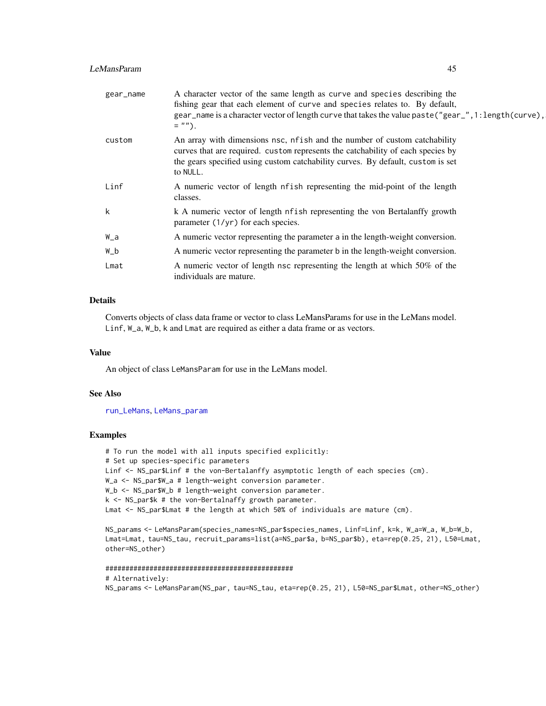# LeMansParam 45

| gear_name | A character vector of the same length as curve and species describing the<br>fishing gear that each element of curve and species relates to. By default,<br>gear_name is a character vector of length curve that takes the value paste ("gear_", 1: length (curve),<br>$=$ ""). |
|-----------|---------------------------------------------------------------------------------------------------------------------------------------------------------------------------------------------------------------------------------------------------------------------------------|
| custom    | An array with dimensions nsc, nf ish and the number of custom catchability<br>curves that are required. custom represents the catchability of each species by<br>the gears specified using custom catchability curves. By default, custom is set<br>to NULL.                    |
| Linf      | A numeric vector of length nf ish representing the mid-point of the length<br>classes.                                                                                                                                                                                          |
| k         | k A numeric vector of length nfish representing the von Bertalanffy growth<br>parameter $(1/yr)$ for each species.                                                                                                                                                              |
| W_a       | A numeric vector representing the parameter a in the length-weight conversion.                                                                                                                                                                                                  |
| W_b       | A numeric vector representing the parameter b in the length-weight conversion.                                                                                                                                                                                                  |
| Lmat      | A numeric vector of length nsc representing the length at which 50% of the<br>individuals are mature.                                                                                                                                                                           |

# Details

Converts objects of class data frame or vector to class LeMansParams for use in the LeMans model. Linf, W\_a, W\_b, k and Lmat are required as either a data frame or as vectors.

### Value

An object of class LeMansParam for use in the LeMans model.

## See Also

[run\\_LeMans](#page-67-0), [LeMans\\_param](#page-45-0)

#### Examples

# To run the model with all inputs specified explicitly: # Set up species-specific parameters Linf <- NS\_par\$Linf # the von-Bertalanffy asymptotic length of each species (cm). W\_a <- NS\_par\$W\_a # length-weight conversion parameter. W\_b <- NS\_par\$W\_b # length-weight conversion parameter. k <- NS\_par\$k # the von-Bertalnaffy growth parameter. Lmat <- NS\_par\$Lmat # the length at which 50% of individuals are mature (cm).

NS\_params <- LeMansParam(species\_names=NS\_par\$species\_names, Linf=Linf, k=k, W\_a=W\_a, W\_b=W\_b, Lmat=Lmat, tau=NS\_tau, recruit\_params=list(a=NS\_par\$a, b=NS\_par\$b), eta=rep(0.25, 21), L50=Lmat, other=NS\_other)

```
###############################################
# Alternatively:
NS_params <- LeMansParam(NS_par, tau=NS_tau, eta=rep(0.25, 21), L50=NS_par$Lmat, other=NS_other)
```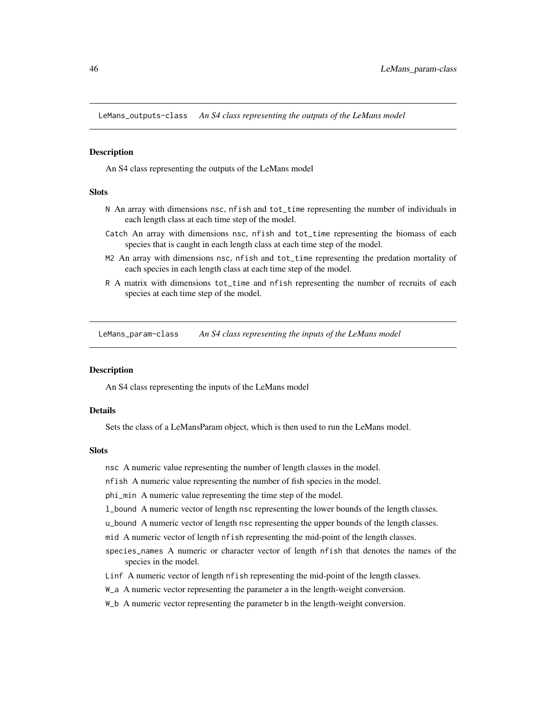<span id="page-45-1"></span>LeMans\_outputs-class *An S4 class representing the outputs of the LeMans model*

#### **Description**

An S4 class representing the outputs of the LeMans model

## Slots

- N An array with dimensions nsc, nfish and tot\_time representing the number of individuals in each length class at each time step of the model.
- Catch An array with dimensions nsc, nfish and tot\_time representing the biomass of each species that is caught in each length class at each time step of the model.
- M2 An array with dimensions nsc, nfish and tot\_time representing the predation mortality of each species in each length class at each time step of the model.
- R A matrix with dimensions tot\_time and nfish representing the number of recruits of each species at each time step of the model.

<span id="page-45-0"></span>LeMans\_param-class *An S4 class representing the inputs of the LeMans model*

## **Description**

An S4 class representing the inputs of the LeMans model

#### Details

Sets the class of a LeMansParam object, which is then used to run the LeMans model.

#### **Slots**

- nsc A numeric value representing the number of length classes in the model.
- nfish A numeric value representing the number of fish species in the model.

phi\_min A numeric value representing the time step of the model.

- l\_bound A numeric vector of length nsc representing the lower bounds of the length classes.
- u\_bound A numeric vector of length nsc representing the upper bounds of the length classes.
- mid A numeric vector of length nfish representing the mid-point of the length classes.
- species\_names A numeric or character vector of length nfish that denotes the names of the species in the model.
- Linf A numeric vector of length nfish representing the mid-point of the length classes.
- W\_a A numeric vector representing the parameter a in the length-weight conversion.
- W\_b A numeric vector representing the parameter b in the length-weight conversion.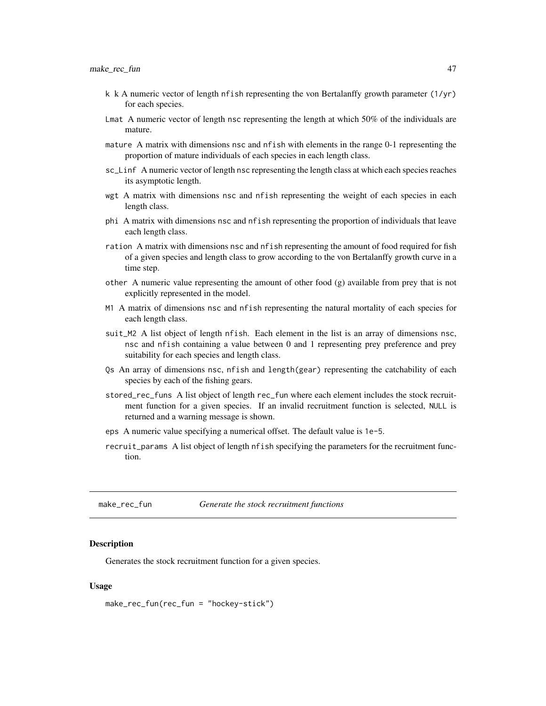- k k A numeric vector of length nfish representing the von Bertalanffy growth parameter  $(1/\gamma r)$ for each species.
- Lmat A numeric vector of length nsc representing the length at which 50% of the individuals are mature.
- mature A matrix with dimensions nsc and nfish with elements in the range 0-1 representing the proportion of mature individuals of each species in each length class.
- sc\_Linf A numeric vector of length nsc representing the length class at which each species reaches its asymptotic length.
- wgt A matrix with dimensions nsc and nfish representing the weight of each species in each length class.
- phi A matrix with dimensions nsc and nfish representing the proportion of individuals that leave each length class.
- ration A matrix with dimensions nsc and nfish representing the amount of food required for fish of a given species and length class to grow according to the von Bertalanffy growth curve in a time step.
- other A numeric value representing the amount of other food (g) available from prey that is not explicitly represented in the model.
- M1 A matrix of dimensions nsc and nfish representing the natural mortality of each species for each length class.
- suit\_M2 A list object of length nfish. Each element in the list is an array of dimensions nsc, nsc and nfish containing a value between 0 and 1 representing prey preference and prey suitability for each species and length class.
- Qs An array of dimensions nsc, nfish and length(gear) representing the catchability of each species by each of the fishing gears.
- stored\_rec\_funs A list object of length rec\_fun where each element includes the stock recruitment function for a given species. If an invalid recruitment function is selected, NULL is returned and a warning message is shown.
- eps A numeric value specifying a numerical offset. The default value is 1e-5.
- recruit\_params A list object of length nfish specifying the parameters for the recruitment function.

<span id="page-46-0"></span>make\_rec\_fun *Generate the stock recruitment functions*

## Description

Generates the stock recruitment function for a given species.

### Usage

make\_rec\_fun(rec\_fun = "hockey-stick")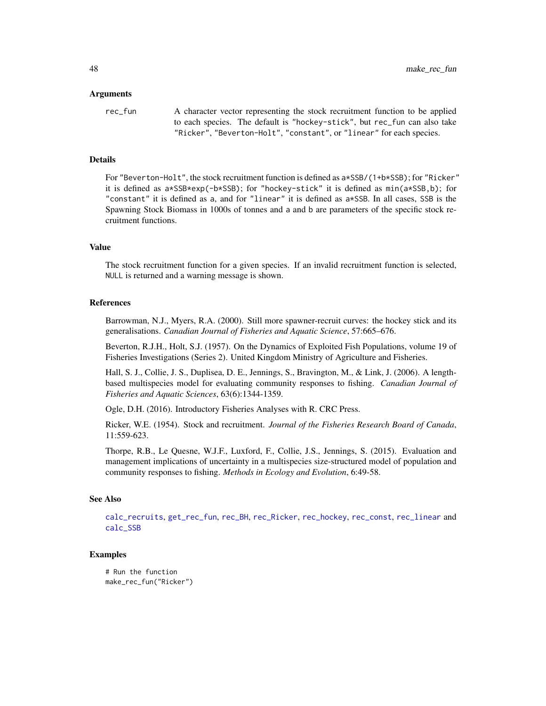#### Arguments

rec\_fun A character vector representing the stock recruitment function to be applied to each species. The default is "hockey-stick", but rec\_fun can also take "Ricker", "Beverton-Holt", "constant", or "linear" for each species.

### Details

For "Beverton-Holt", the stock recruitment function is defined as a\*SSB/(1+b\*SSB); for "Ricker" it is defined as a\*SSB\*exp(-b\*SSB); for "hockey-stick" it is defined as min(a\*SSB,b); for "constant" it is defined as a, and for "linear" it is defined as a\*SSB. In all cases, SSB is the Spawning Stock Biomass in 1000s of tonnes and a and b are parameters of the specific stock recruitment functions.

#### Value

The stock recruitment function for a given species. If an invalid recruitment function is selected, NULL is returned and a warning message is shown.

#### References

Barrowman, N.J., Myers, R.A. (2000). Still more spawner-recruit curves: the hockey stick and its generalisations. *Canadian Journal of Fisheries and Aquatic Science*, 57:665–676.

Beverton, R.J.H., Holt, S.J. (1957). On the Dynamics of Exploited Fish Populations, volume 19 of Fisheries Investigations (Series 2). United Kingdom Ministry of Agriculture and Fisheries.

Hall, S. J., Collie, J. S., Duplisea, D. E., Jennings, S., Bravington, M., & Link, J. (2006). A lengthbased multispecies model for evaluating community responses to fishing. *Canadian Journal of Fisheries and Aquatic Sciences*, 63(6):1344-1359.

Ogle, D.H. (2016). Introductory Fisheries Analyses with R. CRC Press.

Ricker, W.E. (1954). Stock and recruitment. *Journal of the Fisheries Research Board of Canada*, 11:559-623.

Thorpe, R.B., Le Quesne, W.J.F., Luxford, F., Collie, J.S., Jennings, S. (2015). Evaluation and management implications of uncertainty in a multispecies size-structured model of population and community responses to fishing. *Methods in Ecology and Evolution*, 6:49-58.

#### See Also

[calc\\_recruits](#page-19-0), [get\\_rec\\_fun](#page-36-0), [rec\\_BH](#page-60-0), [rec\\_Ricker](#page-66-0), [rec\\_hockey](#page-63-0), [rec\\_const](#page-61-0), [rec\\_linear](#page-64-0) and [calc\\_SSB](#page-21-0)

```
# Run the function
make_rec_fun("Ricker")
```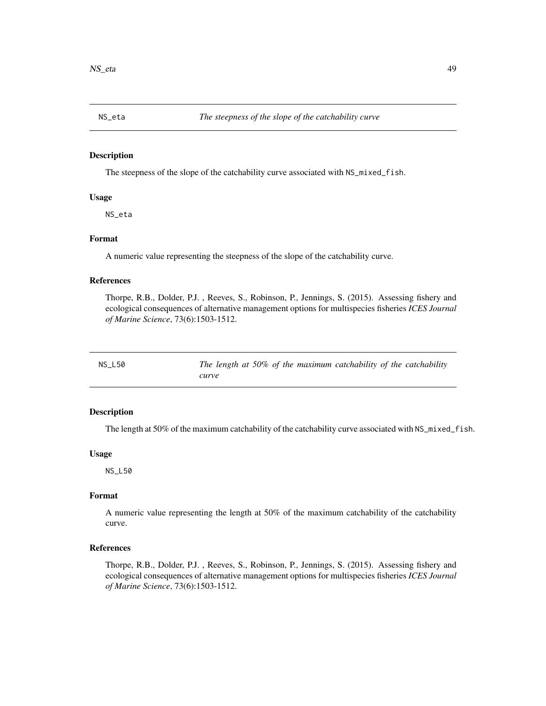The steepness of the slope of the catchability curve associated with NS\_mixed\_fish.

## Usage

NS\_eta

# Format

A numeric value representing the steepness of the slope of the catchability curve.

# References

Thorpe, R.B., Dolder, P.J. , Reeves, S., Robinson, P., Jennings, S. (2015). Assessing fishery and ecological consequences of alternative management options for multispecies fisheries *ICES Journal of Marine Science*, 73(6):1503-1512.

NS\_L50 *The length at 50% of the maximum catchability of the catchability curve*

# Description

The length at 50% of the maximum catchability of the catchability curve associated with NS\_mixed\_fish.

#### Usage

NS\_L50

# Format

A numeric value representing the length at 50% of the maximum catchability of the catchability curve.

## References

Thorpe, R.B., Dolder, P.J. , Reeves, S., Robinson, P., Jennings, S. (2015). Assessing fishery and ecological consequences of alternative management options for multispecies fisheries *ICES Journal of Marine Science*, 73(6):1503-1512.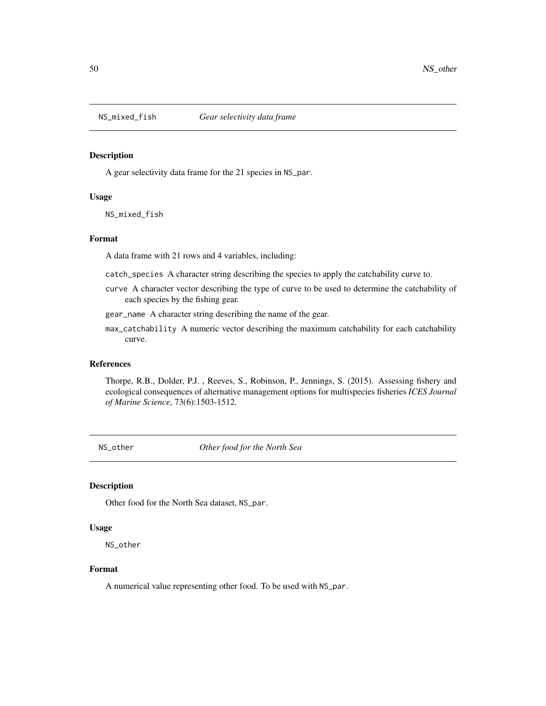A gear selectivity data frame for the 21 species in NS\_par.

#### Usage

NS\_mixed\_fish

#### Format

A data frame with 21 rows and 4 variables, including:

- catch\_species A character string describing the species to apply the catchability curve to.
- curve A character vector describing the type of curve to be used to determine the catchability of each species by the fishing gear.
- gear\_name A character string describing the name of the gear.
- max\_catchability A numeric vector describing the maximum catchability for each catchability curve.

#### References

Thorpe, R.B., Dolder, P.J. , Reeves, S., Robinson, P., Jennings, S. (2015). Assessing fishery and ecological consequences of alternative management options for multispecies fisheries *ICES Journal of Marine Science*, 73(6):1503-1512.

NS\_other *Other food for the North Sea*

# Description

Other food for the North Sea dataset, NS\_par.

## Usage

NS\_other

# Format

A numerical value representing other food. To be used with NS\_par.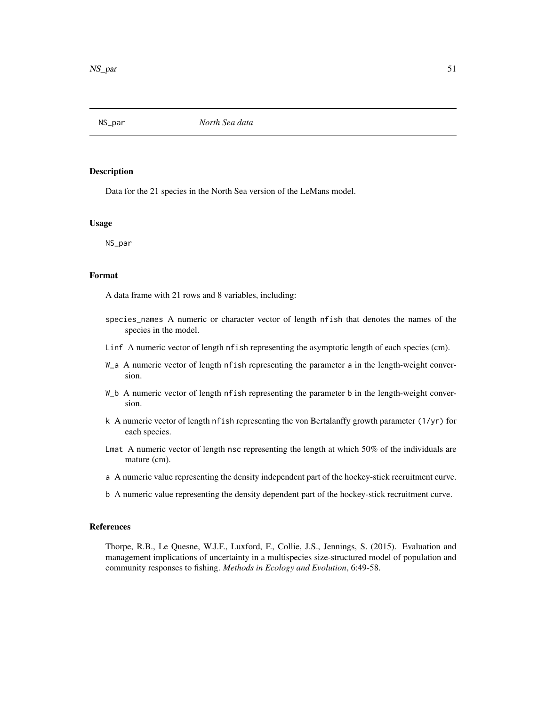Data for the 21 species in the North Sea version of the LeMans model.

#### Usage

NS\_par

# Format

A data frame with 21 rows and 8 variables, including:

- species\_names A numeric or character vector of length nfish that denotes the names of the species in the model.
- Linf A numeric vector of length nfish representing the asymptotic length of each species (cm).
- W\_a A numeric vector of length nfish representing the parameter a in the length-weight conversion.
- W\_b A numeric vector of length nfish representing the parameter b in the length-weight conversion.
- k A numeric vector of length nfish representing the von Bertalanffy growth parameter (1/yr) for each species.
- Lmat A numeric vector of length nsc representing the length at which 50% of the individuals are mature (cm).
- a A numeric value representing the density independent part of the hockey-stick recruitment curve.
- b A numeric value representing the density dependent part of the hockey-stick recruitment curve.

#### References

Thorpe, R.B., Le Quesne, W.J.F., Luxford, F., Collie, J.S., Jennings, S. (2015). Evaluation and management implications of uncertainty in a multispecies size-structured model of population and community responses to fishing. *Methods in Ecology and Evolution*, 6:49-58.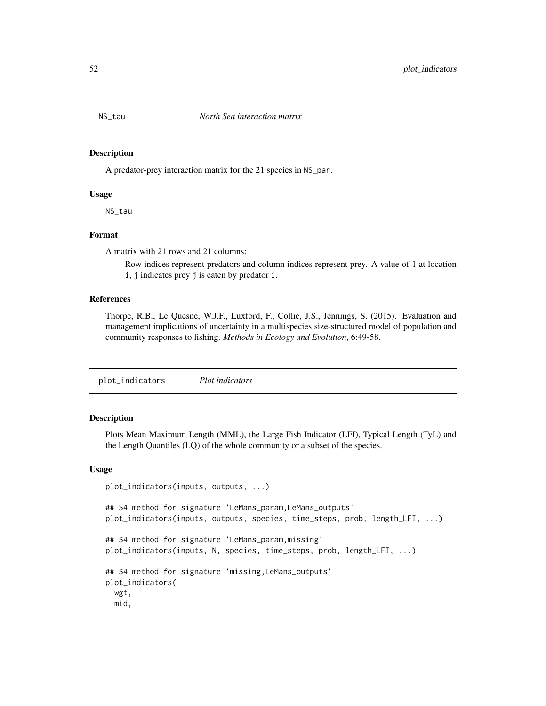A predator-prey interaction matrix for the 21 species in NS\_par.

#### Usage

NS\_tau

# Format

A matrix with 21 rows and 21 columns:

Row indices represent predators and column indices represent prey. A value of 1 at location i, j indicates prey j is eaten by predator i.

# References

Thorpe, R.B., Le Quesne, W.J.F., Luxford, F., Collie, J.S., Jennings, S. (2015). Evaluation and management implications of uncertainty in a multispecies size-structured model of population and community responses to fishing. *Methods in Ecology and Evolution*, 6:49-58.

plot\_indicators *Plot indicators*

#### Description

Plots Mean Maximum Length (MML), the Large Fish Indicator (LFI), Typical Length (TyL) and the Length Quantiles (LQ) of the whole community or a subset of the species.

#### Usage

```
plot_indicators(inputs, outputs, ...)
## S4 method for signature 'LeMans_param,LeMans_outputs'
plot_indicators(inputs, outputs, species, time_steps, prob, length_LFI, ...)
## S4 method for signature 'LeMans_param,missing'
plot_indicators(inputs, N, species, time_steps, prob, length_LFI, ...)
## S4 method for signature 'missing,LeMans_outputs'
plot_indicators(
 wgt,
 mid,
```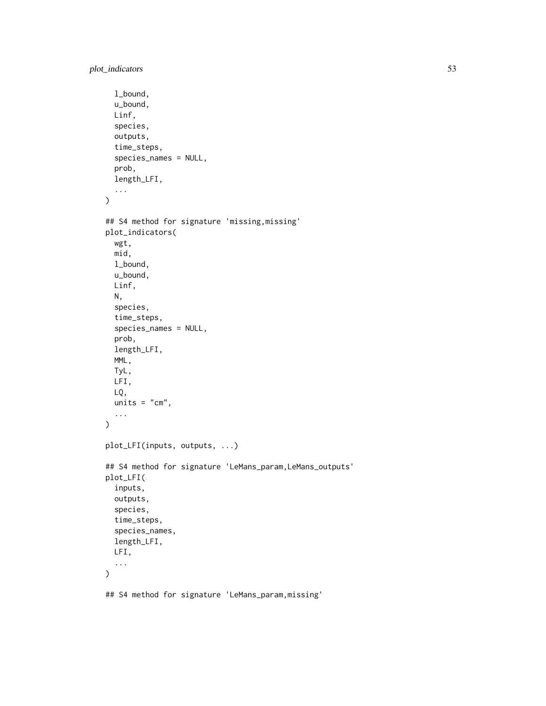```
l_bound,
  u_bound,
 Linf,
  species,
  outputs,
  time_steps,
  species_names = NULL,
  prob,
  length_LFI,
  ...
\mathcal{L}## S4 method for signature 'missing, missing'
plot_indicators(
 wgt,
 mid,
 l_bound,
 u_bound,
 Linf,
 N,
  species,
  time_steps,
  species_names = NULL,
  prob,
  length_LFI,
 MML,
 TyL,
 LFI,
 LQ,
 units = "cm",...
)
plot_LFI(inputs, outputs, ...)
## S4 method for signature 'LeMans_param,LeMans_outputs'
plot_LFI(
  inputs,
  outputs,
  species,
  time_steps,
  species_names,
 length_LFI,
 LFI,
  ...
)
```
## S4 method for signature 'LeMans\_param,missing'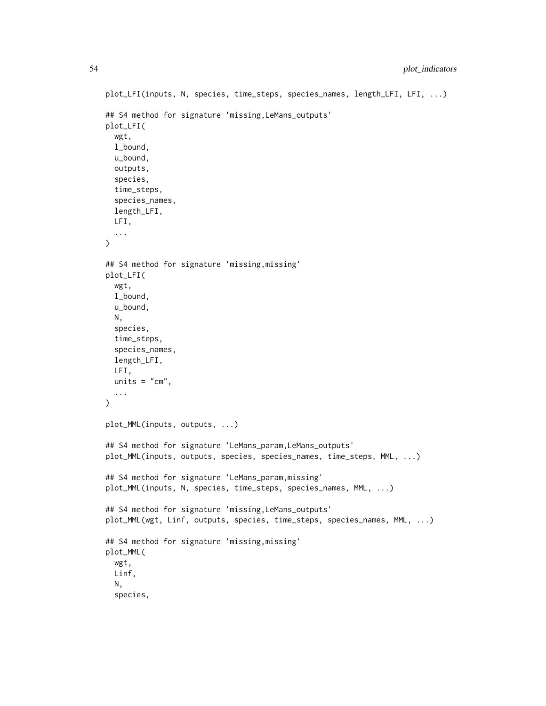```
plot_LFI(inputs, N, species, time_steps, species_names, length_LFI, LFI, ...)
## S4 method for signature 'missing,LeMans_outputs'
plot_LFI(
  wgt,
  l_bound,
  u_bound,
  outputs,
  species,
  time_steps,
  species_names,
  length_LFI,
 LFI,
  ...
\mathcal{L}## S4 method for signature 'missing,missing'
plot_LFI(
 wgt,
  l_bound,
  u_bound,
 N,
  species,
  time_steps,
  species_names,
 length_LFI,
 LFI,
 units = "cm",...
\mathcal{L}plot_MML(inputs, outputs, ...)
## S4 method for signature 'LeMans_param,LeMans_outputs'
plot_MML(inputs, outputs, species, species_names, time_steps, MML, ...)
## S4 method for signature 'LeMans_param,missing'
plot_MML(inputs, N, species, time_steps, species_names, MML, ...)
## S4 method for signature 'missing,LeMans_outputs'
plot_MML(wgt, Linf, outputs, species, time_steps, species_names, MML, ...)
## S4 method for signature 'missing,missing'
plot_MML(
 wgt,
 Linf,
 N,
  species,
```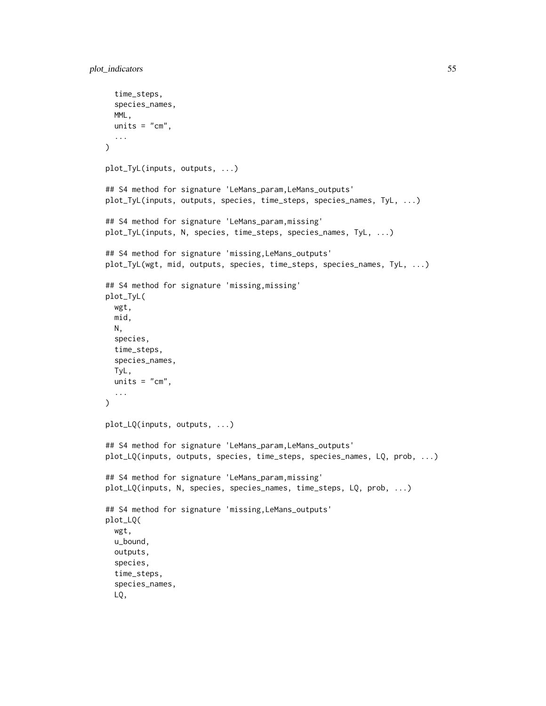```
time_steps,
  species_names,
  MML,
  units = "cm",...
)
plot_TyL(inputs, outputs, ...)
## S4 method for signature 'LeMans_param, LeMans_outputs'
plot_TyL(inputs, outputs, species, time_steps, species_names, TyL, ...)
## S4 method for signature 'LeMans_param,missing'
plot_TyL(inputs, N, species, time_steps, species_names, TyL, ...)
## S4 method for signature 'missing,LeMans_outputs'
plot_TyL(wgt, mid, outputs, species, time_steps, species_names, TyL, ...)
## S4 method for signature 'missing,missing'
plot_TyL(
 wgt,
  mid,
 N,
  species,
  time_steps,
  species_names,
  TyL,
 units = "cm",...
\mathcal{L}plot_LQ(inputs, outputs, ...)
## S4 method for signature 'LeMans_param, LeMans_outputs'
plot_LQ(inputs, outputs, species, time_steps, species_names, LQ, prob, ...)
## S4 method for signature 'LeMans_param,missing'
plot_LQ(inputs, N, species, species_names, time_steps, LQ, prob, ...)
## S4 method for signature 'missing,LeMans_outputs'
plot_LQ(
  wgt,
  u_bound,
  outputs,
  species,
  time_steps,
  species_names,
  LQ,
```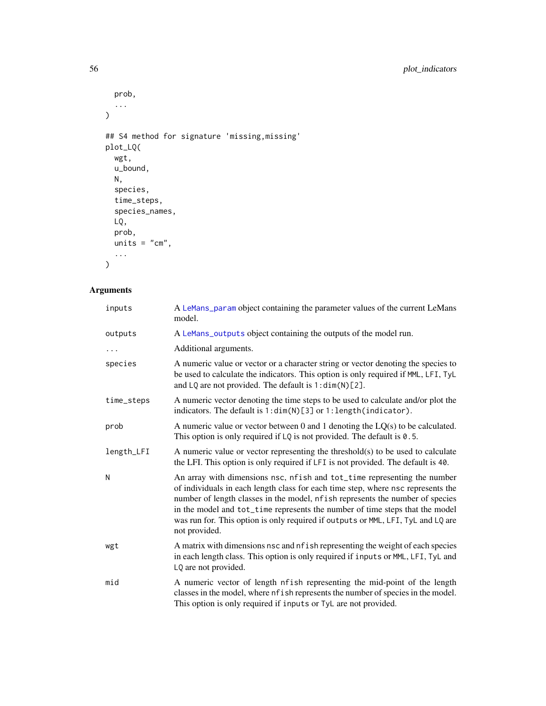```
prob,
  ...
\overline{)}## S4 method for signature 'missing,missing'
plot_LQ(
  wgt,
  u_bound,
  N,
  species,
  time_steps,
  species_names,
  LQ,
  prob,
  units = "cm",...
\mathcal{L}
```
# Arguments

| inputs     | A LeMans_param object containing the parameter values of the current LeMans<br>model.                                                                                                                                                                                                                                                                                                                                              |
|------------|------------------------------------------------------------------------------------------------------------------------------------------------------------------------------------------------------------------------------------------------------------------------------------------------------------------------------------------------------------------------------------------------------------------------------------|
| outputs    | A LeMans_outputs object containing the outputs of the model run.                                                                                                                                                                                                                                                                                                                                                                   |
| .          | Additional arguments.                                                                                                                                                                                                                                                                                                                                                                                                              |
| species    | A numeric value or vector or a character string or vector denoting the species to<br>be used to calculate the indicators. This option is only required if MML, LFI, TyL<br>and LQ are not provided. The default is 1:dim(N)[2].                                                                                                                                                                                                    |
| time_steps | A numeric vector denoting the time steps to be used to calculate and/or plot the<br>indicators. The default is 1: dim(N)[3] or 1: length(indicator).                                                                                                                                                                                                                                                                               |
| prob       | A numeric value or vector between 0 and 1 denoting the $LQ(s)$ to be calculated.<br>This option is only required if $LQ$ is not provided. The default is 0.5.                                                                                                                                                                                                                                                                      |
| length_LFI | A numeric value or vector representing the threshold(s) to be used to calculate<br>the LFI. This option is only required if LFI is not provided. The default is 40.                                                                                                                                                                                                                                                                |
| N          | An array with dimensions nsc, nfish and tot_time representing the number<br>of individuals in each length class for each time step, where nsc represents the<br>number of length classes in the model, nfish represents the number of species<br>in the model and tot_time represents the number of time steps that the model<br>was run for. This option is only required if outputs or MML, LFI, TyL and LQ are<br>not provided. |
| wgt        | A matrix with dimensions nsc and nf ish representing the weight of each species<br>in each length class. This option is only required if inputs or MML, LFI, TyL and<br>LQ are not provided.                                                                                                                                                                                                                                       |
| mid        | A numeric vector of length nfish representing the mid-point of the length<br>classes in the model, where nf ish represents the number of species in the model.<br>This option is only required if inputs or TyL are not provided.                                                                                                                                                                                                  |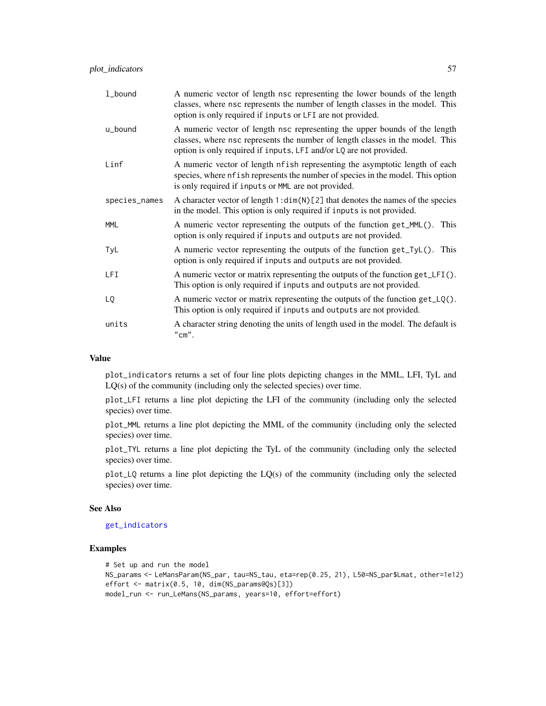| 1_bound       | A numeric vector of length nsc representing the lower bounds of the length<br>classes, where nsc represents the number of length classes in the model. This<br>option is only required if inputs or LFI are not provided.         |
|---------------|-----------------------------------------------------------------------------------------------------------------------------------------------------------------------------------------------------------------------------------|
| u_bound       | A numeric vector of length nsc representing the upper bounds of the length<br>classes, where nsc represents the number of length classes in the model. This<br>option is only required if inputs, LFI and/or LQ are not provided. |
| Linf          | A numeric vector of length nfish representing the asymptotic length of each<br>species, where nf i sh represents the number of species in the model. This option<br>is only required if inputs or MML are not provided.           |
| species_names | A character vector of length $1:dim(N)[2]$ that denotes the names of the species<br>in the model. This option is only required if inputs is not provided.                                                                         |
| <b>MML</b>    | A numeric vector representing the outputs of the function get_MML(). This<br>option is only required if inputs and outputs are not provided.                                                                                      |
| TyL           | A numeric vector representing the outputs of the function get_TyL(). This<br>option is only required if inputs and outputs are not provided.                                                                                      |
| <b>LFI</b>    | A numeric vector or matrix representing the outputs of the function get_LFI().<br>This option is only required if inputs and outputs are not provided.                                                                            |
| LQ            | A numeric vector or matrix representing the outputs of the function $get\_LQ()$ .<br>This option is only required if inputs and outputs are not provided.                                                                         |
| units         | A character string denoting the units of length used in the model. The default is<br>"cm".                                                                                                                                        |

## Value

plot\_indicators returns a set of four line plots depicting changes in the MML, LFI, TyL and LQ(s) of the community (including only the selected species) over time.

plot\_LFI returns a line plot depicting the LFI of the community (including only the selected species) over time.

plot\_MML returns a line plot depicting the MML of the community (including only the selected species) over time.

plot\_TYL returns a line plot depicting the TyL of the community (including only the selected species) over time.

plot\_LQ returns a line plot depicting the LQ(s) of the community (including only the selected species) over time.

#### See Also

## [get\\_indicators](#page-28-0)

```
# Set up and run the model
NS_params <- LeMansParam(NS_par, tau=NS_tau, eta=rep(0.25, 21), L50=NS_par$Lmat, other=1e12)
effort <- matrix(0.5, 10, dim(NS_params@Qs)[3])
model_run <- run_LeMans(NS_params, years=10, effort=effort)
```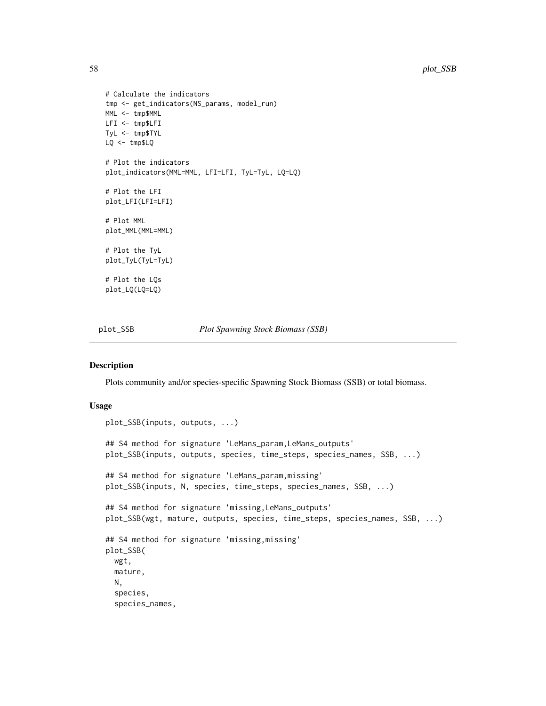```
# Calculate the indicators
tmp <- get_indicators(NS_params, model_run)
MML <- tmp$MML
LFI <- tmp$LFI
TyL <- tmp$TYL
LQ <- tmp$LQ
# Plot the indicators
plot_indicators(MML=MML, LFI=LFI, TyL=TyL, LQ=LQ)
# Plot the LFI
plot_LFI(LFI=LFI)
# Plot MML
plot_MML(MML=MML)
# Plot the TyL
plot_TyL(TyL=TyL)
# Plot the LQs
plot_LQ(LQ=LQ)
```
plot\_SSB *Plot Spawning Stock Biomass (SSB)*

### Description

Plots community and/or species-specific Spawning Stock Biomass (SSB) or total biomass.

#### Usage

```
plot_SSB(inputs, outputs, ...)
## S4 method for signature 'LeMans_param, LeMans_outputs'
plot_SSB(inputs, outputs, species, time_steps, species_names, SSB, ...)
## S4 method for signature 'LeMans_param,missing'
plot_SSB(inputs, N, species, time_steps, species_names, SSB, ...)
## S4 method for signature 'missing,LeMans_outputs'
plot_SSB(wgt, mature, outputs, species, time_steps, species_names, SSB, ...)
## S4 method for signature 'missing,missing'
plot_SSB(
 wgt,
 mature,
 N,
  species,
  species_names,
```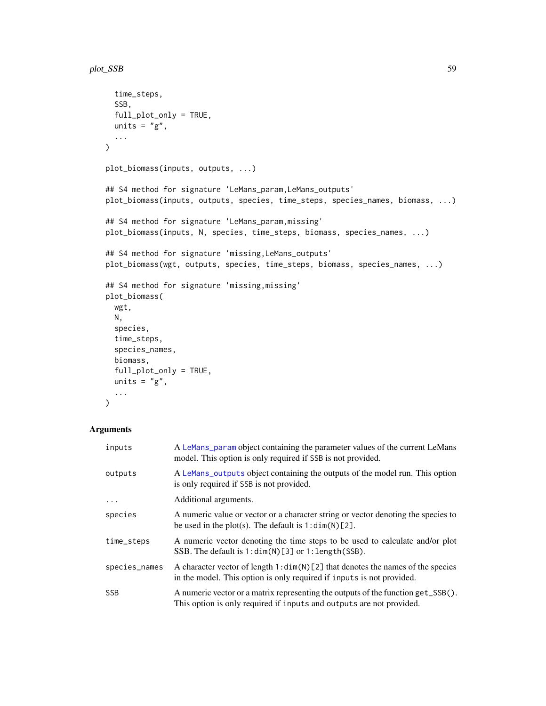```
time_steps,
  SSB,
  full_plot_only = TRUE,
 units = "g",...
)
plot_biomass(inputs, outputs, ...)
## S4 method for signature 'LeMans_param, LeMans_outputs'
plot_biomass(inputs, outputs, species, time_steps, species_names, biomass, ...)
## S4 method for signature 'LeMans_param,missing'
plot_biomass(inputs, N, species, time_steps, biomass, species_names, ...)
## S4 method for signature 'missing,LeMans_outputs'
plot_biomass(wgt, outputs, species, time_steps, biomass, species_names, ...)
## S4 method for signature 'missing,missing'
plot_biomass(
 wgt,
 N,
  species,
  time_steps,
  species_names,
 biomass,
  full_plot_only = TRUE,
 units = "g",...
\mathcal{L}
```
# Arguments

| inputs        | A LeMans_param object containing the parameter values of the current LeMans<br>model. This option is only required if SSB is not provided.                |
|---------------|-----------------------------------------------------------------------------------------------------------------------------------------------------------|
| outputs       | A LeMans_outputs object containing the outputs of the model run. This option<br>is only required if SSB is not provided.                                  |
| $\ddots$ .    | Additional arguments.                                                                                                                                     |
| species       | A numeric value or vector or a character string or vector denoting the species to<br>be used in the plot(s). The default is $1:dim(N)[2]$ .               |
| time_steps    | A numeric vector denoting the time steps to be used to calculate and/or plot<br>SSB. The default is 1: dim(N)[3] or 1: length(SSB).                       |
| species_names | A character vector of length $1:dim(N)[2]$ that denotes the names of the species<br>in the model. This option is only required if inputs is not provided. |
| <b>SSB</b>    | A numeric vector or a matrix representing the outputs of the function get_SSB().<br>This option is only required if inputs and outputs are not provided.  |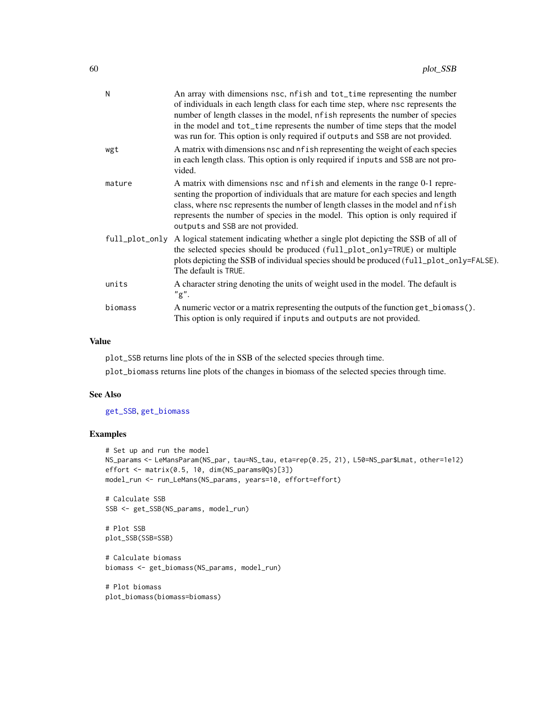| N       | An array with dimensions nsc, nfish and tot_time representing the number<br>of individuals in each length class for each time step, where nsc represents the<br>number of length classes in the model, nf ish represents the number of species<br>in the model and tot_time represents the number of time steps that the model<br>was run for. This option is only required if outputs and SSB are not provided. |
|---------|------------------------------------------------------------------------------------------------------------------------------------------------------------------------------------------------------------------------------------------------------------------------------------------------------------------------------------------------------------------------------------------------------------------|
| wgt     | A matrix with dimensions nsc and nf ish representing the weight of each species<br>in each length class. This option is only required if inputs and SSB are not pro-<br>vided.                                                                                                                                                                                                                                   |
| mature  | A matrix with dimensions nsc and nf ish and elements in the range 0-1 repre-<br>senting the proportion of individuals that are mature for each species and length<br>class, where nsc represents the number of length classes in the model and nf ish<br>represents the number of species in the model. This option is only required if<br>outputs and SSB are not provided.                                     |
|         | full_plot_only A logical statement indicating whether a single plot depicting the SSB of all of<br>the selected species should be produced (full_plot_only=TRUE) or multiple<br>plots depicting the SSB of individual species should be produced (full_plot_only=FALSE).<br>The default is TRUE.                                                                                                                 |
| units   | A character string denoting the units of weight used in the model. The default is<br>"g".                                                                                                                                                                                                                                                                                                                        |
| biomass | A numeric vector or a matrix representing the outputs of the function get_biomass().<br>This option is only required if inputs and outputs are not provided.                                                                                                                                                                                                                                                     |

#### Value

plot\_SSB returns line plots of the in SSB of the selected species through time.

plot\_biomass returns line plots of the changes in biomass of the selected species through time.

# See Also

[get\\_SSB](#page-37-0), [get\\_biomass](#page-37-1)

## Examples

```
# Set up and run the model
NS_params <- LeMansParam(NS_par, tau=NS_tau, eta=rep(0.25, 21), L50=NS_par$Lmat, other=1e12)
effort <- matrix(0.5, 10, dim(NS_params@Qs)[3])
model_run <- run_LeMans(NS_params, years=10, effort=effort)
```
# Calculate SSB SSB <- get\_SSB(NS\_params, model\_run)

# Plot SSB plot\_SSB(SSB=SSB)

# Calculate biomass biomass <- get\_biomass(NS\_params, model\_run)

# Plot biomass plot\_biomass(biomass=biomass)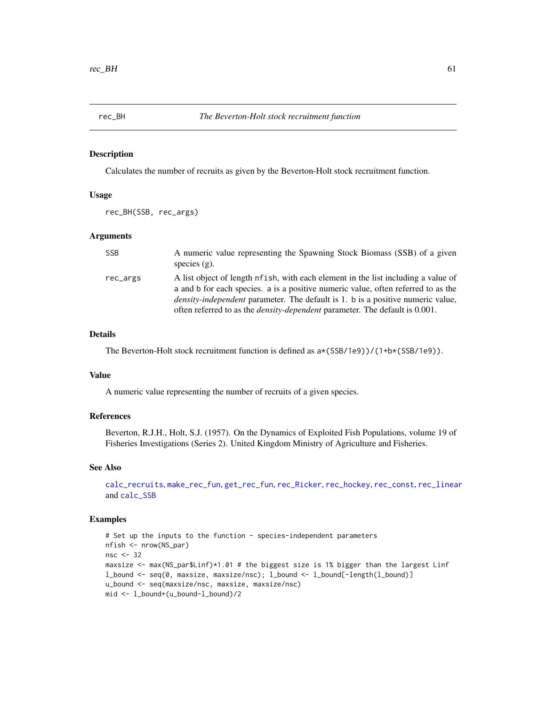<span id="page-60-0"></span>

Calculates the number of recruits as given by the Beverton-Holt stock recruitment function.

## Usage

```
rec_BH(SSB, rec_args)
```
#### Arguments

| <b>SSB</b> | A numeric value representing the Spawning Stock Biomass (SSB) of a given<br>species $(g)$ .                                                                                                                                                                                                                                                             |
|------------|---------------------------------------------------------------------------------------------------------------------------------------------------------------------------------------------------------------------------------------------------------------------------------------------------------------------------------------------------------|
| rec_args   | A list object of length of ish, with each element in the list including a value of<br>a and b for each species, a is a positive numeric value, often referred to as the<br><i>density-independent</i> parameter. The default is 1, b is a positive numeric value,<br>often referred to as the <i>density-dependent</i> parameter. The default is 0.001. |

### Details

The Beverton-Holt stock recruitment function is defined as  $a*(SSB/1e9)/(1+b*(SSB/1e9))$ .

# Value

A numeric value representing the number of recruits of a given species.

## References

Beverton, R.J.H., Holt, S.J. (1957). On the Dynamics of Exploited Fish Populations, volume 19 of Fisheries Investigations (Series 2). United Kingdom Ministry of Agriculture and Fisheries.

## See Also

```
calc_recruits, make_rec_fun, get_rec_fun, rec_Ricker, rec_hockey, rec_const, rec_linear
and calc_SSB
```

```
# Set up the inputs to the function - species-independent parameters
nfish <- nrow(NS_par)
nsc <- 32
maxsize <- max(NS_par$Linf)*1.01 # the biggest size is 1% bigger than the largest Linf
l_bound <- seq(0, maxsize, maxsize/nsc); l_bound <- l_bound[-length(l_bound)]
u_bound <- seq(maxsize/nsc, maxsize, maxsize/nsc)
mid <- l_bound+(u_bound-l_bound)/2
```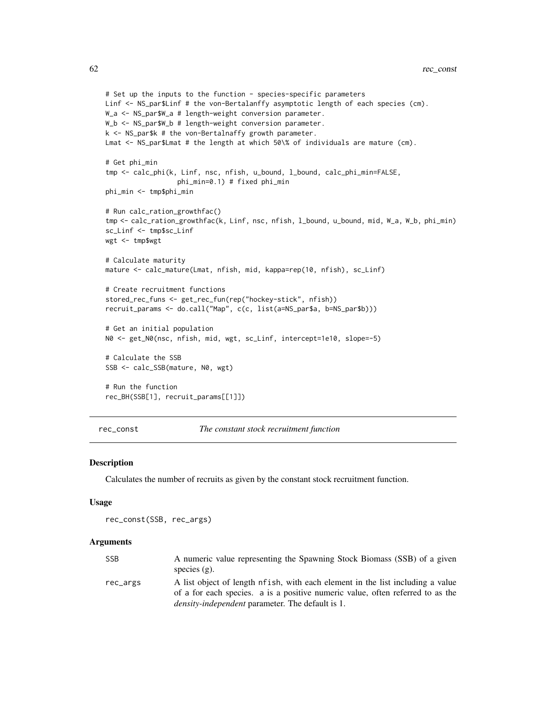```
# Set up the inputs to the function - species-specific parameters
Linf <- NS_par$Linf # the von-Bertalanffy asymptotic length of each species (cm).
W_a <- NS_par$W_a # length-weight conversion parameter.
W_b <- NS_par$W_b # length-weight conversion parameter.
k <- NS_par$k # the von-Bertalnaffy growth parameter.
Lmat <- NS_par$Lmat # the length at which 50\% of individuals are mature (cm).
# Get phi_min
tmp <- calc_phi(k, Linf, nsc, nfish, u_bound, l_bound, calc_phi_min=FALSE,
                  phi_min=0.1) # fixed phi_min
phi_min <- tmp$phi_min
# Run calc_ration_growthfac()
tmp <- calc_ration_growthfac(k, Linf, nsc, nfish, l_bound, u_bound, mid, W_a, W_b, phi_min)
sc_Linf <- tmp$sc_Linf
wgt <- tmp$wgt
# Calculate maturity
mature <- calc_mature(Lmat, nfish, mid, kappa=rep(10, nfish), sc_Linf)
# Create recruitment functions
stored_rec_funs <- get_rec_fun(rep("hockey-stick", nfish))
recruit_params <- do.call("Map", c(c, list(a=NS_par$a, b=NS_par$b)))
# Get an initial population
N0 <- get_N0(nsc, nfish, mid, wgt, sc_Linf, intercept=1e10, slope=-5)
# Calculate the SSB
SSB <- calc_SSB(mature, N0, wgt)
# Run the function
rec_BH(SSB[1], recruit_params[[1]])
```
<span id="page-61-0"></span>rec\_const *The constant stock recruitment function*

#### **Description**

Calculates the number of recruits as given by the constant stock recruitment function.

#### Usage

```
rec_const(SSB, rec_args)
```
#### Arguments

| SSB      | A numeric value representing the Spawning Stock Biomass (SSB) of a given        |
|----------|---------------------------------------------------------------------------------|
|          | species $(g)$ .                                                                 |
| rec_args | A list object of length nf ish, with each element in the list including a value |
|          | of a for each species. a is a positive numeric value, often referred to as the  |
|          | <i>density-independent</i> parameter. The default is 1.                         |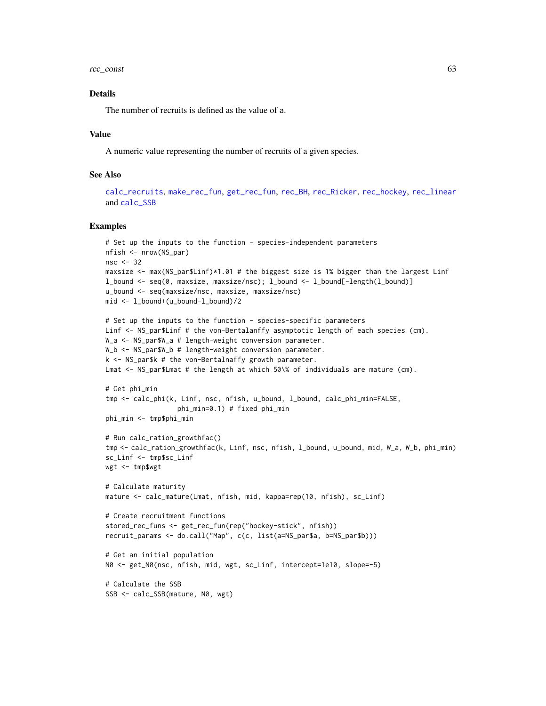rec\_const 63

# Details

The number of recruits is defined as the value of a.

### Value

A numeric value representing the number of recruits of a given species.

## See Also

```
calc_recruits, make_rec_fun, get_rec_fun, rec_BH, rec_Ricker, rec_hockey, rec_linear
and calc_SSB
```

```
# Set up the inputs to the function - species-independent parameters
nfish <- nrow(NS_par)
nsc <- 32
maxsize <- max(NS_par$Linf)*1.01 # the biggest size is 1% bigger than the largest Linf
l_bound <- seq(0, maxsize, maxsize/nsc); l_bound <- l_bound[-length(l_bound)]
u_bound <- seq(maxsize/nsc, maxsize, maxsize/nsc)
mid <- l_bound+(u_bound-l_bound)/2
# Set up the inputs to the function - species-specific parameters
Linf <- NS_par$Linf # the von-Bertalanffy asymptotic length of each species (cm).
W_a <- NS_par$W_a # length-weight conversion parameter.
W_b <- NS_par$W_b # length-weight conversion parameter.
k <- NS_par$k # the von-Bertalnaffy growth parameter.
Lmat <- NS_par$Lmat # the length at which 50\% of individuals are mature (cm).
# Get phi_min
tmp <- calc_phi(k, Linf, nsc, nfish, u_bound, l_bound, calc_phi_min=FALSE,
                  phi_min=0.1) # fixed phi_min
phi_min <- tmp$phi_min
# Run calc_ration_growthfac()
tmp <- calc_ration_growthfac(k, Linf, nsc, nfish, l_bound, u_bound, mid, W_a, W_b, phi_min)
sc_Linf <- tmp$sc_Linf
wgt <- tmp$wgt
# Calculate maturity
mature <- calc_mature(Lmat, nfish, mid, kappa=rep(10, nfish), sc_Linf)
# Create recruitment functions
stored_rec_funs <- get_rec_fun(rep("hockey-stick", nfish))
recruit_params <- do.call("Map", c(c, list(a=NS_par$a, b=NS_par$b)))
# Get an initial population
N0 <- get_N0(nsc, nfish, mid, wgt, sc_Linf, intercept=1e10, slope=-5)
# Calculate the SSB
```

```
SSB <- calc_SSB(mature, N0, wgt)
```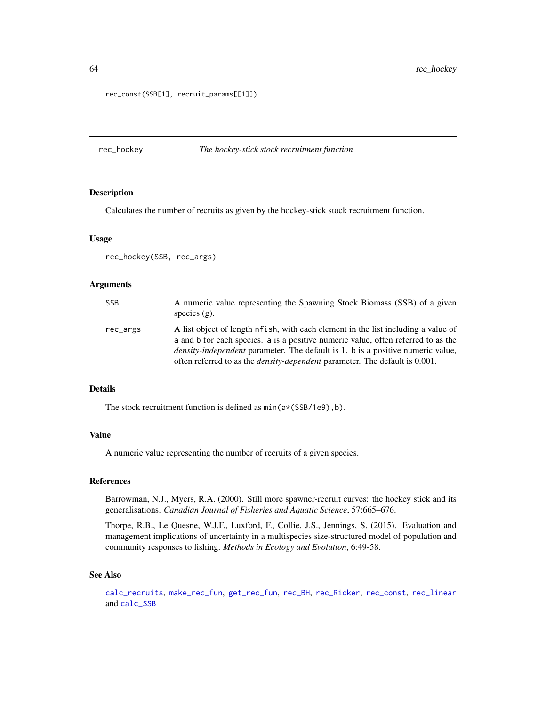64 rec\_hockey

```
rec_const(SSB[1], recruit_params[[1]])
```
#### <span id="page-63-0"></span>rec\_hockey *The hockey-stick stock recruitment function*

## Description

Calculates the number of recruits as given by the hockey-stick stock recruitment function.

#### Usage

rec\_hockey(SSB, rec\_args)

#### Arguments

| <b>SSB</b> | A numeric value representing the Spawning Stock Biomass (SSB) of a given<br>species $(g)$ .                                                                                                                                                                                                                                                              |
|------------|----------------------------------------------------------------------------------------------------------------------------------------------------------------------------------------------------------------------------------------------------------------------------------------------------------------------------------------------------------|
| rec_args   | A list object of length nf i sh, with each element in the list including a value of<br>a and b for each species. a is a positive numeric value, often referred to as the<br><i>density-independent</i> parameter. The default is 1. b is a positive numeric value,<br>often referred to as the <i>density-dependent</i> parameter. The default is 0.001. |

## Details

The stock recruitment function is defined as min(a\*(SSB/1e9),b).

#### Value

A numeric value representing the number of recruits of a given species.

## References

Barrowman, N.J., Myers, R.A. (2000). Still more spawner-recruit curves: the hockey stick and its generalisations. *Canadian Journal of Fisheries and Aquatic Science*, 57:665–676.

Thorpe, R.B., Le Quesne, W.J.F., Luxford, F., Collie, J.S., Jennings, S. (2015). Evaluation and management implications of uncertainty in a multispecies size-structured model of population and community responses to fishing. *Methods in Ecology and Evolution*, 6:49-58.

# See Also

[calc\\_recruits](#page-19-0), [make\\_rec\\_fun](#page-46-0), [get\\_rec\\_fun](#page-36-0), [rec\\_BH](#page-60-0), [rec\\_Ricker](#page-66-0), [rec\\_const](#page-61-0), [rec\\_linear](#page-64-0) and [calc\\_SSB](#page-21-0)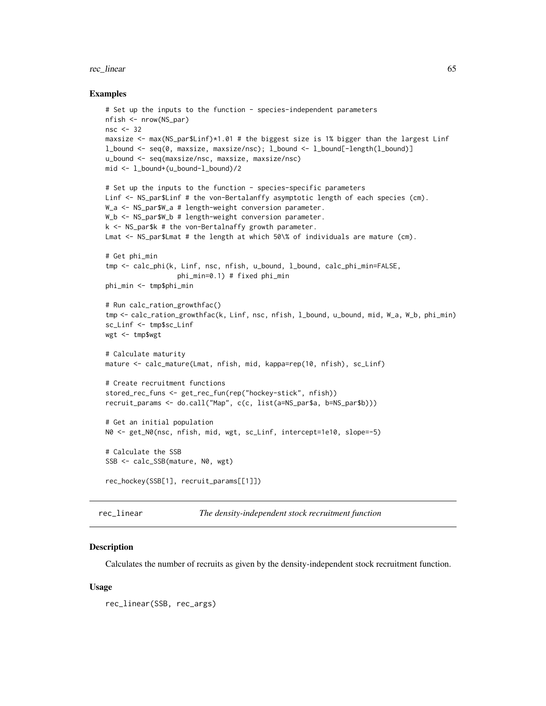#### rec\_linear 65

#### Examples

```
# Set up the inputs to the function - species-independent parameters
nfish <- nrow(NS_par)
nsc <- 32
maxsize <- max(NS_par$Linf)*1.01 # the biggest size is 1% bigger than the largest Linf
l_bound <- seq(0, maxsize, maxsize/nsc); l_bound <- l_bound[-length(l_bound)]
u_bound <- seq(maxsize/nsc, maxsize, maxsize/nsc)
mid <- l_bound+(u_bound-l_bound)/2
# Set up the inputs to the function - species-specific parameters
Linf <- NS_par$Linf # the von-Bertalanffy asymptotic length of each species (cm).
W_a <- NS_par$W_a # length-weight conversion parameter.
W_b <- NS_par$W_b # length-weight conversion parameter.
k <- NS_par$k # the von-Bertalnaffy growth parameter.
Lmat <- NS_par$Lmat # the length at which 50\% of individuals are mature (cm).
# Get phi_min
tmp <- calc_phi(k, Linf, nsc, nfish, u_bound, l_bound, calc_phi_min=FALSE,
                  phi_min=0.1) # fixed phi_min
phi_min <- tmp$phi_min
# Run calc_ration_growthfac()
tmp <- calc_ration_growthfac(k, Linf, nsc, nfish, l_bound, u_bound, mid, W_a, W_b, phi_min)
sc_Linf <- tmp$sc_Linf
wgt <- tmp$wgt
# Calculate maturity
mature <- calc_mature(Lmat, nfish, mid, kappa=rep(10, nfish), sc_Linf)
# Create recruitment functions
stored_rec_funs <- get_rec_fun(rep("hockey-stick", nfish))
recruit_params <- do.call("Map", c(c, list(a=NS_par$a, b=NS_par$b)))
# Get an initial population
N0 <- get_N0(nsc, nfish, mid, wgt, sc_Linf, intercept=1e10, slope=-5)
# Calculate the SSB
SSB <- calc_SSB(mature, N0, wgt)
rec_hockey(SSB[1], recruit_params[[1]])
```
<span id="page-64-0"></span>rec\_linear *The density-independent stock recruitment function*

#### Description

Calculates the number of recruits as given by the density-independent stock recruitment function.

### Usage

```
rec_linear(SSB, rec_args)
```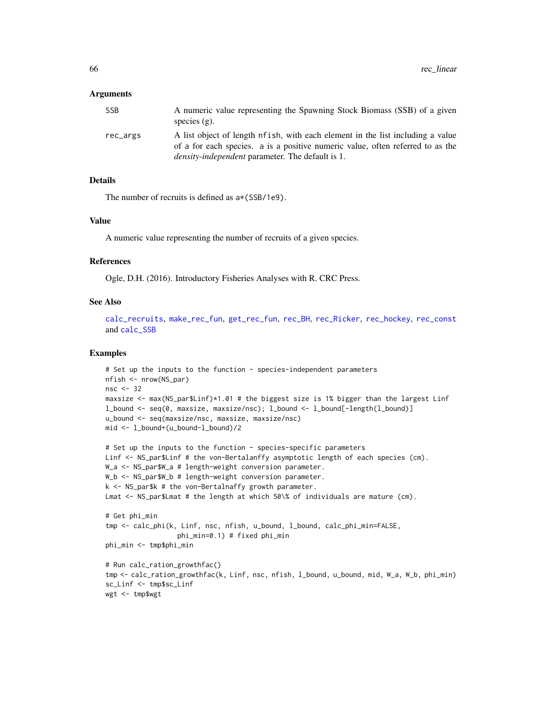### Arguments

| SSB.     | A numeric value representing the Spawning Stock Biomass (SSB) of a given        |
|----------|---------------------------------------------------------------------------------|
|          | species $(g)$ .                                                                 |
| rec_args | A list object of length nf ish, with each element in the list including a value |
|          | of a for each species. a is a positive numeric value, often referred to as the  |
|          | <i>density-independent</i> parameter. The default is 1.                         |

## Details

The number of recruits is defined as  $a*(SSB/1e9)$ .

#### Value

A numeric value representing the number of recruits of a given species.

#### References

Ogle, D.H. (2016). Introductory Fisheries Analyses with R. CRC Press.

#### See Also

[calc\\_recruits](#page-19-0), [make\\_rec\\_fun](#page-46-0), [get\\_rec\\_fun](#page-36-0), [rec\\_BH](#page-60-0), [rec\\_Ricker](#page-66-0), [rec\\_hockey](#page-63-0), [rec\\_const](#page-61-0) and [calc\\_SSB](#page-21-0)

```
# Set up the inputs to the function - species-independent parameters
nfish <- nrow(NS_par)
nsc <- 32
maxsize <- max(NS_par$Linf)*1.01 # the biggest size is 1% bigger than the largest Linf
l_bound <- seq(0, maxsize, maxsize/nsc); l_bound <- l_bound[-length(l_bound)]
u_bound <- seq(maxsize/nsc, maxsize, maxsize/nsc)
mid <- l_bound+(u_bound-l_bound)/2
```

```
# Set up the inputs to the function - species-specific parameters
Linf <- NS_par$Linf # the von-Bertalanffy asymptotic length of each species (cm).
W_a <- NS_par$W_a # length-weight conversion parameter.
W_b <- NS_par$W_b # length-weight conversion parameter.
k <- NS_par$k # the von-Bertalnaffy growth parameter.
Lmat <- NS_par$Lmat # the length at which 50\% of individuals are mature (cm).
# Get phi_min
tmp <- calc_phi(k, Linf, nsc, nfish, u_bound, l_bound, calc_phi_min=FALSE,
```

```
phi_min=0.1) # fixed phi_min
phi_min <- tmp$phi_min
```

```
# Run calc_ration_growthfac()
tmp <- calc_ration_growthfac(k, Linf, nsc, nfish, l_bound, u_bound, mid, W_a, W_b, phi_min)
sc_Linf <- tmp$sc_Linf
wgt <- tmp$wgt
```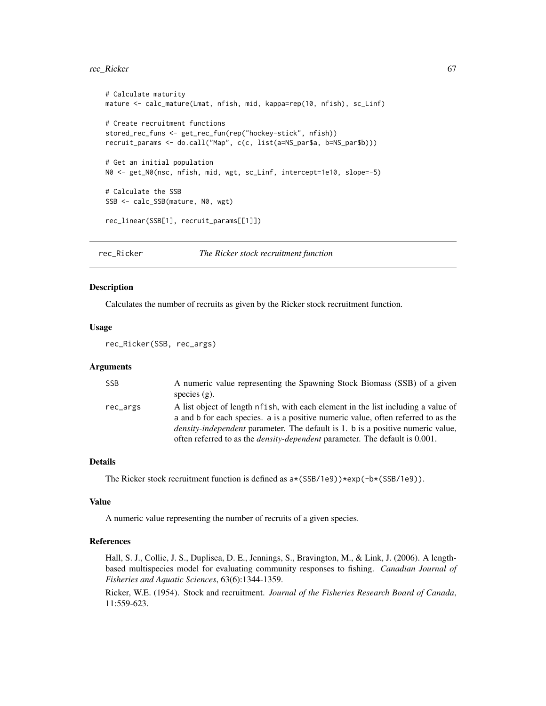#### rec\_Ricker 67

```
# Calculate maturity
mature <- calc_mature(Lmat, nfish, mid, kappa=rep(10, nfish), sc_Linf)
# Create recruitment functions
stored_rec_funs <- get_rec_fun(rep("hockey-stick", nfish))
recruit_params <- do.call("Map", c(c, list(a=NS_par$a, b=NS_par$b)))
# Get an initial population
N0 <- get_N0(nsc, nfish, mid, wgt, sc_Linf, intercept=1e10, slope=-5)
# Calculate the SSB
SSB <- calc_SSB(mature, N0, wgt)
rec_linear(SSB[1], recruit_params[[1]])
```
<span id="page-66-0"></span>rec\_Ricker *The Ricker stock recruitment function*

## Description

Calculates the number of recruits as given by the Ricker stock recruitment function.

## Usage

rec\_Ricker(SSB, rec\_args)

### Arguments

| SSB      | A numeric value representing the Spawning Stock Biomass (SSB) of a given<br>species $(g)$ .                                                                                                                                                                                                                                                             |
|----------|---------------------------------------------------------------------------------------------------------------------------------------------------------------------------------------------------------------------------------------------------------------------------------------------------------------------------------------------------------|
| rec_args | A list object of length of ish, with each element in the list including a value of<br>a and b for each species. a is a positive numeric value, often referred to as the<br><i>density-independent</i> parameter. The default is 1, b is a positive numeric value,<br>often referred to as the <i>density-dependent</i> parameter. The default is 0.001. |

# Details

The Ricker stock recruitment function is defined as  $a*(SSB/1e9))*exp(-b*(SSB/1e9))$ .

#### Value

A numeric value representing the number of recruits of a given species.

#### References

Hall, S. J., Collie, J. S., Duplisea, D. E., Jennings, S., Bravington, M., & Link, J. (2006). A lengthbased multispecies model for evaluating community responses to fishing. *Canadian Journal of Fisheries and Aquatic Sciences*, 63(6):1344-1359.

Ricker, W.E. (1954). Stock and recruitment. *Journal of the Fisheries Research Board of Canada*, 11:559-623.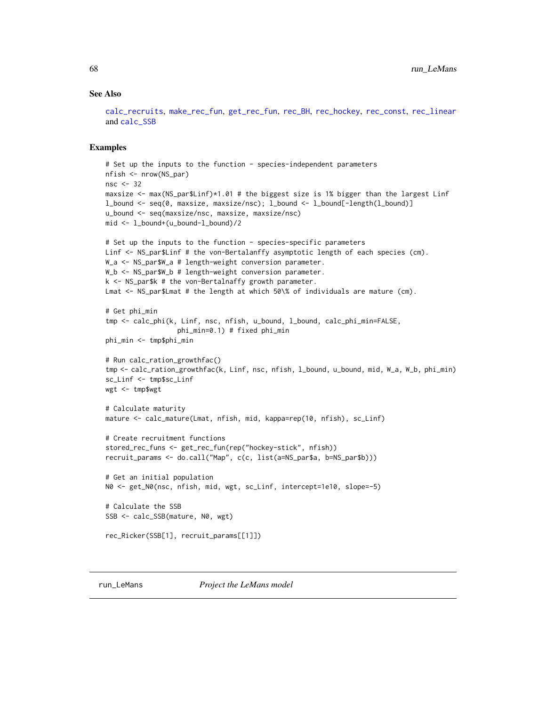### See Also

```
calc_recruits, make_rec_fun, get_rec_fun, rec_BH, rec_hockey, rec_const, rec_linear
and calc_SSB
```
#### Examples

```
# Set up the inputs to the function - species-independent parameters
nfish <- nrow(NS_par)
nsc < -32maxsize <- max(NS_par$Linf)*1.01 # the biggest size is 1% bigger than the largest Linf
l_bound <- seq(0, maxsize, maxsize/nsc); l_bound <- l_bound[-length(l_bound)]
u_bound <- seq(maxsize/nsc, maxsize, maxsize/nsc)
mid <- l_bound+(u_bound-l_bound)/2
# Set up the inputs to the function - species-specific parameters
Linf <- NS_par$Linf # the von-Bertalanffy asymptotic length of each species (cm).
W_a <- NS_par$W_a # length-weight conversion parameter.
W_b <- NS_par$W_b # length-weight conversion parameter.
k <- NS_par$k # the von-Bertalnaffy growth parameter.
Lmat <- NS_par$Lmat # the length at which 50\% of individuals are mature (cm).
# Get phi_min
tmp <- calc_phi(k, Linf, nsc, nfish, u_bound, l_bound, calc_phi_min=FALSE,
                  phi_min=0.1) # fixed phi_min
phi_min <- tmp$phi_min
# Run calc_ration_growthfac()
tmp <- calc_ration_growthfac(k, Linf, nsc, nfish, l_bound, u_bound, mid, W_a, W_b, phi_min)
sc_Linf <- tmp$sc_Linf
wgt <- tmp$wgt
# Calculate maturity
mature <- calc_mature(Lmat, nfish, mid, kappa=rep(10, nfish), sc_Linf)
# Create recruitment functions
stored_rec_funs <- get_rec_fun(rep("hockey-stick", nfish))
recruit_params <- do.call("Map", c(c, list(a=NS_par$a, b=NS_par$b)))
# Get an initial population
N0 <- get_N0(nsc, nfish, mid, wgt, sc_Linf, intercept=1e10, slope=-5)
# Calculate the SSB
SSB <- calc_SSB(mature, N0, wgt)
rec_Ricker(SSB[1], recruit_params[[1]])
```
<span id="page-67-0"></span>run\_LeMans *Project the LeMans model*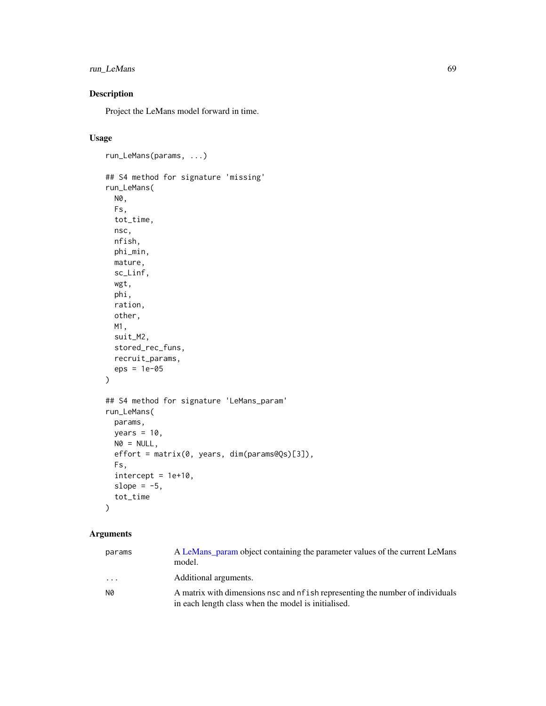# run\_LeMans 69

# Description

Project the LeMans model forward in time.

# Usage

```
run_LeMans(params, ...)
## S4 method for signature 'missing'
run_LeMans(
 N0,
  Fs,
  tot_time,
 nsc,
 nfish,
 phi_min,
 mature,
  sc_Linf,
 wgt,
 phi,
 ration,
 other,
 M1,
  suit_M2,
  stored_rec_funs,
 recruit_params,
  eps = 1e-05
)
## S4 method for signature 'LeMans_param'
run_LeMans(
 params,
 years = 10,
 NØ = NULL,effort = matrix(0, years, dim(params@Qs)[3]),
 Fs,
  intercept = 1e+10,slope = -5,
  tot_time
\mathcal{L}
```
# Arguments

| params                  | A LeMans_param object containing the parameter values of the current LeMans<br>model.                                                 |
|-------------------------|---------------------------------------------------------------------------------------------------------------------------------------|
| $\cdot$ $\cdot$ $\cdot$ | Additional arguments.                                                                                                                 |
| N0                      | A matrix with dimensions nsc and nf ish representing the number of individuals<br>in each length class when the model is initialised. |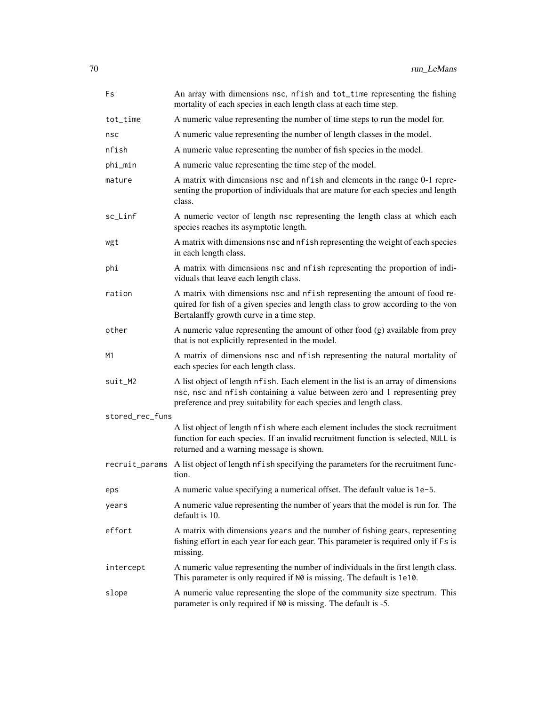| Fs              | An array with dimensions nsc, nfish and tot_time representing the fishing<br>mortality of each species in each length class at each time step.                                                                                        |
|-----------------|---------------------------------------------------------------------------------------------------------------------------------------------------------------------------------------------------------------------------------------|
| tot_time        | A numeric value representing the number of time steps to run the model for.                                                                                                                                                           |
| nsc             | A numeric value representing the number of length classes in the model.                                                                                                                                                               |
| nfish           | A numeric value representing the number of fish species in the model.                                                                                                                                                                 |
| phi_min         | A numeric value representing the time step of the model.                                                                                                                                                                              |
| mature          | A matrix with dimensions nsc and nf ish and elements in the range 0-1 repre-<br>senting the proportion of individuals that are mature for each species and length<br>class.                                                           |
| sc_Linf         | A numeric vector of length nsc representing the length class at which each<br>species reaches its asymptotic length.                                                                                                                  |
| wgt             | A matrix with dimensions nsc and nf ish representing the weight of each species<br>in each length class.                                                                                                                              |
| phi             | A matrix with dimensions nsc and nfish representing the proportion of indi-<br>viduals that leave each length class.                                                                                                                  |
| ration          | A matrix with dimensions nsc and nfish representing the amount of food re-<br>quired for fish of a given species and length class to grow according to the von<br>Bertalanffy growth curve in a time step.                            |
| other           | A numeric value representing the amount of other food (g) available from prey<br>that is not explicitly represented in the model.                                                                                                     |
| M1              | A matrix of dimensions nsc and nfish representing the natural mortality of<br>each species for each length class.                                                                                                                     |
| suit_M2         | A list object of length nfish. Each element in the list is an array of dimensions<br>nsc, nsc and nfish containing a value between zero and 1 representing prey<br>preference and prey suitability for each species and length class. |
| stored_rec_funs |                                                                                                                                                                                                                                       |
|                 | A list object of length nfish where each element includes the stock recruitment<br>function for each species. If an invalid recruitment function is selected, NULL is<br>returned and a warning message is shown.                     |
| recruit_params  | A list object of length nf ish specifying the parameters for the recruitment func-<br>tion.                                                                                                                                           |
| eps             | A numeric value specifying a numerical offset. The default value is 1e-5.                                                                                                                                                             |
| years           | A numeric value representing the number of years that the model is run for. The<br>default is 10.                                                                                                                                     |
| effort          | A matrix with dimensions years and the number of fishing gears, representing<br>fishing effort in each year for each gear. This parameter is required only if Fs is<br>missing.                                                       |
| intercept       | A numeric value representing the number of individuals in the first length class.<br>This parameter is only required if N0 is missing. The default is 1e10.                                                                           |
| slope           | A numeric value representing the slope of the community size spectrum. This<br>parameter is only required if N0 is missing. The default is -5.                                                                                        |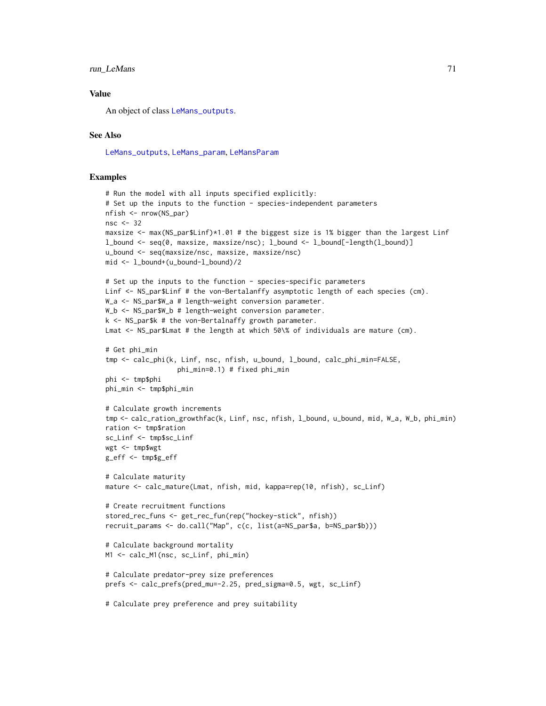## run LeMans 71

# Value

An object of class [LeMans\\_outputs](#page-45-1).

#### See Also

[LeMans\\_outputs](#page-45-1), [LeMans\\_param](#page-45-0), [LeMansParam](#page-40-0)

```
# Run the model with all inputs specified explicitly:
# Set up the inputs to the function - species-independent parameters
nfish <- nrow(NS_par)
nsc <-32maxsize \leq max(NS_par$Linf)*1.01 # the biggest size is 1% bigger than the largest Linf
l_bound <- seq(0, maxsize, maxsize/nsc); l_bound <- l_bound[-length(l_bound)]
u_bound <- seq(maxsize/nsc, maxsize, maxsize/nsc)
mid <- l_bound+(u_bound-l_bound)/2
# Set up the inputs to the function - species-specific parameters
Linf <- NS_par$Linf # the von-Bertalanffy asymptotic length of each species (cm).
W_a <- NS_par$W_a # length-weight conversion parameter.
W_b <- NS_par$W_b # length-weight conversion parameter.
k \leq -NS\_park # the von-Bertalnaffy growth parameter.
Lmat <- NS_par$Lmat # the length at which 50\% of individuals are mature (cm).
# Get phi_min
tmp <- calc_phi(k, Linf, nsc, nfish, u_bound, l_bound, calc_phi_min=FALSE,
                  phi_min=0.1) # fixed phi_min
phi <- tmp$phi
phi_min <- tmp$phi_min
# Calculate growth increments
tmp <- calc_ration_growthfac(k, Linf, nsc, nfish, l_bound, u_bound, mid, W_a, W_b, phi_min)
ration <- tmp$ration
sc_Linf <- tmp$sc_Linf
wgt <- tmp$wgt
g_eff <- tmp$g_eff
# Calculate maturity
mature <- calc_mature(Lmat, nfish, mid, kappa=rep(10, nfish), sc_Linf)
# Create recruitment functions
stored_rec_funs <- get_rec_fun(rep("hockey-stick", nfish))
recruit_params <- do.call("Map", c(c, list(a=NS_par$a, b=NS_par$b)))
# Calculate background mortality
M1 <- calc_M1(nsc, sc_Linf, phi_min)
# Calculate predator-prey size preferences
prefs <- calc_prefs(pred_mu=-2.25, pred_sigma=0.5, wgt, sc_Linf)
# Calculate prey preference and prey suitability
```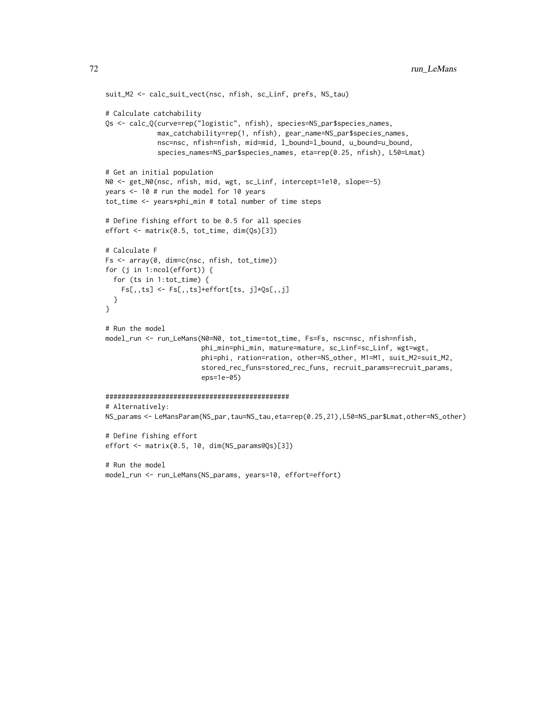```
suit_M2 <- calc_suit_vect(nsc, nfish, sc_Linf, prefs, NS_tau)
# Calculate catchability
Qs <- calc_Q(curve=rep("logistic", nfish), species=NS_par$species_names,
             max_catchability=rep(1, nfish), gear_name=NS_par$species_names,
             nsc=nsc, nfish=nfish, mid=mid, l_bound=l_bound, u_bound=u_bound,
             species_names=NS_par$species_names, eta=rep(0.25, nfish), L50=Lmat)
# Get an initial population
N0 <- get_N0(nsc, nfish, mid, wgt, sc_Linf, intercept=1e10, slope=-5)
years <- 10 # run the model for 10 years
tot_time <- years*phi_min # total number of time steps
# Define fishing effort to be 0.5 for all species
effort <- matrix(0.5, tot_time, dim(Qs)[3])
# Calculate F
Fs <- array(0, dim=c(nsc, nfish, tot_time))
for (j in 1:ncol(effort)) {
  for (ts in 1:tot_time) {
   Fs[,,ts] <- Fs[,,ts]+effort[ts, j]*Qs[,,j]
  }
}
# Run the model
model_run <- run_LeMans(N0=N0, tot_time=tot_time, Fs=Fs, nsc=nsc, nfish=nfish,
                        phi_min=phi_min, mature=mature, sc_Linf=sc_Linf, wgt=wgt,
                        phi=phi, ration=ration, other=NS_other, M1=M1, suit_M2=suit_M2,
                        stored_rec_funs=stored_rec_funs, recruit_params=recruit_params,
                        eps=1e-05)
##############################################
# Alternatively:
NS_params <- LeMansParam(NS_par,tau=NS_tau,eta=rep(0.25,21),L50=NS_par$Lmat,other=NS_other)
# Define fishing effort
effort <- matrix(0.5, 10, dim(NS_params@Qs)[3])
# Run the model
model_run <- run_LeMans(NS_params, years=10, effort=effort)
```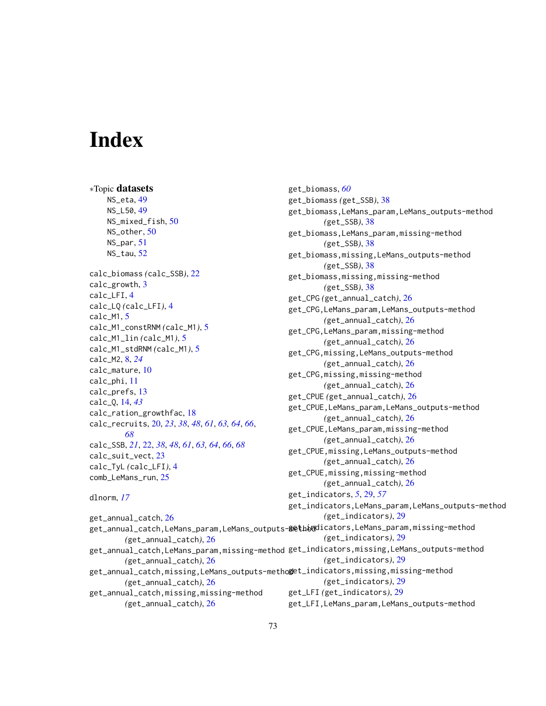## **Index**

∗Topic datasets NS\_eta, [49](#page-48-0) NS\_L50, [49](#page-48-0) NS\_mixed\_fish, [50](#page-49-0) NS\_other, [50](#page-49-0) NS\_par, [51](#page-50-0) NS\_tau, [52](#page-51-0) calc\_biomass *(*calc\_SSB*)*, [22](#page-21-0) calc\_growth, [3](#page-2-0) calc\_LFI, [4](#page-3-0) calc\_LQ *(*calc\_LFI*)*, [4](#page-3-0) calc\_M1, [5](#page-4-0) calc\_M1\_constRNM *(*calc\_M1*)*, [5](#page-4-0) calc\_M1\_lin *(*calc\_M1*)*, [5](#page-4-0) calc\_M1\_stdRNM *(*calc\_M1*)*, [5](#page-4-0) calc\_M2, [8,](#page-7-0) *[24](#page-23-0)* calc\_mature, [10](#page-9-0) calc\_phi, [11](#page-10-0) calc\_prefs, [13](#page-12-0) calc\_Q, [14,](#page-13-0) *[43](#page-42-0)* calc\_ration\_growthfac, [18](#page-17-0) calc\_recruits, [20,](#page-19-0) *[23](#page-22-0)*, *[38](#page-37-0)*, *[48](#page-47-0)*, *[61](#page-60-0)*, *[63,](#page-62-0) [64](#page-63-0)*, *[66](#page-65-0)*, *[68](#page-67-0)* calc\_SSB, *[21](#page-20-0)*, [22,](#page-21-0) *[38](#page-37-0)*, *[48](#page-47-0)*, *[61](#page-60-0)*, *[63,](#page-62-0) [64](#page-63-0)*, *[66](#page-65-0)*, *[68](#page-67-0)* calc\_suit\_vect, [23](#page-22-0) calc\_TyL *(*calc\_LFI*)*, [4](#page-3-0) comb\_LeMans\_run, [25](#page-24-0) dlnorm, *[17](#page-16-0)* get\_annual\_catch, [26](#page-25-0) get\_annual\_catch,LeMans\_param,LeMans\_outputs**-&@t**haddicators,LeMans\_param,missing-method *(*get\_annual\_catch*)*, [26](#page-25-0) get\_annual\_catch,LeMans\_param,missing-method get\_indicators,missing,LeMans\_outputs-method *(*get\_annual\_catch*)*, [26](#page-25-0) get\_annual\_catch,missing,LeMans\_outputs-metho**g**et\_indicators,missing,missing-method *(*get\_annual\_catch*)*, [26](#page-25-0) get\_annual\_catch,missing,missing-method *(*get\_annual\_catch*)*, [26](#page-25-0) get\_biomass, *[60](#page-59-0)* get\_biomass *(*get\_SSB*)*, [38](#page-37-0) get\_biomass,LeMans\_param,LeMans\_outputs-method *(*get\_SSB*)*, [38](#page-37-0) get\_biomass,LeMans\_param,missing-method *(*get\_SSB*)*, [38](#page-37-0) get\_biomass,missing,LeMans\_outputs-method *(*get\_SSB*)*, [38](#page-37-0) get\_biomass,missing,missing-method *(*get\_SSB*)*, [38](#page-37-0) get\_CPG *(*get\_annual\_catch*)*, [26](#page-25-0) get\_CPG,LeMans\_param,LeMans\_outputs-method *(*get\_annual\_catch*)*, [26](#page-25-0) get\_CPG,LeMans\_param,missing-method *(*get\_annual\_catch*)*, [26](#page-25-0) get\_CPG,missing,LeMans\_outputs-method *(*get\_annual\_catch*)*, [26](#page-25-0) get\_CPG,missing,missing-method *(*get\_annual\_catch*)*, [26](#page-25-0) get\_CPUE *(*get\_annual\_catch*)*, [26](#page-25-0) get\_CPUE,LeMans\_param,LeMans\_outputs-method *(*get\_annual\_catch*)*, [26](#page-25-0) get\_CPUE,LeMans\_param,missing-method *(*get\_annual\_catch*)*, [26](#page-25-0) get\_CPUE,missing,LeMans\_outputs-method *(*get\_annual\_catch*)*, [26](#page-25-0) get\_CPUE,missing,missing-method *(*get\_annual\_catch*)*, [26](#page-25-0) get\_indicators, *[5](#page-4-0)*, [29,](#page-28-0) *[57](#page-56-0)* get\_indicators,LeMans\_param,LeMans\_outputs-method *(*get\_indicators*)*, [29](#page-28-0) *(*get\_indicators*)*, [29](#page-28-0) *(*get\_indicators*)*, [29](#page-28-0) *(*get\_indicators*)*, [29](#page-28-0) get\_LFI *(*get\_indicators*)*, [29](#page-28-0) get\_LFI,LeMans\_param,LeMans\_outputs-method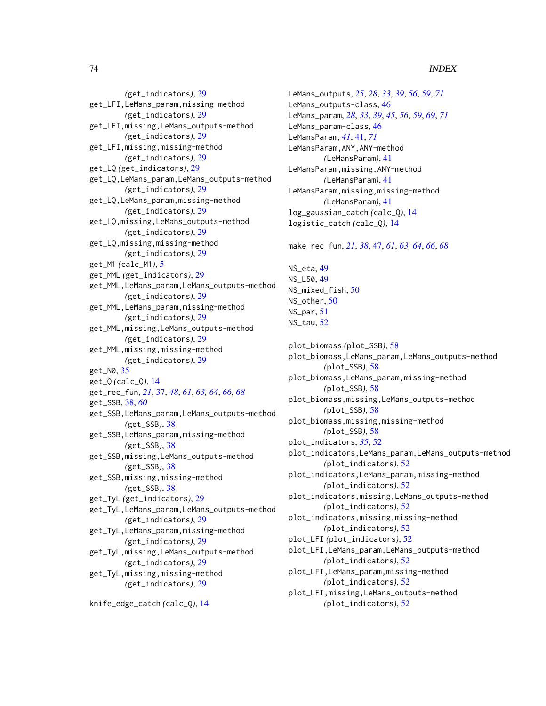## 74 INDEX

*(*get\_indicators*)*, [29](#page-28-0) get\_LFI,LeMans\_param,missing-method *(*get\_indicators*)*, [29](#page-28-0) get\_LFI,missing,LeMans\_outputs-method *(*get\_indicators*)*, [29](#page-28-0) get\_LFI,missing,missing-method *(*get\_indicators*)*, [29](#page-28-0) get\_LQ *(*get\_indicators*)*, [29](#page-28-0) get\_LQ,LeMans\_param,LeMans\_outputs-method *(*get\_indicators*)*, [29](#page-28-0) get\_LQ,LeMans\_param,missing-method *(*get\_indicators*)*, [29](#page-28-0) get\_LQ,missing,LeMans\_outputs-method *(*get\_indicators*)*, [29](#page-28-0) get\_LQ,missing,missing-method *(*get\_indicators*)*, [29](#page-28-0) get\_M1 *(*calc\_M1*)*, [5](#page-4-0) get\_MML *(*get\_indicators*)*, [29](#page-28-0) get\_MML,LeMans\_param,LeMans\_outputs-method *(*get\_indicators*)*, [29](#page-28-0) get\_MML,LeMans\_param,missing-method *(*get\_indicators*)*, [29](#page-28-0) get\_MML,missing,LeMans\_outputs-method *(*get\_indicators*)*, [29](#page-28-0) get\_MML,missing,missing-method *(*get\_indicators*)*, [29](#page-28-0) get\_N0, [35](#page-34-0) get\_Q *(*calc\_Q*)*, [14](#page-13-0) get\_rec\_fun, *[21](#page-20-0)*, [37,](#page-36-0) *[48](#page-47-0)*, *[61](#page-60-0)*, *[63,](#page-62-0) [64](#page-63-0)*, *[66](#page-65-0)*, *[68](#page-67-0)* get\_SSB, [38,](#page-37-0) *[60](#page-59-0)* get\_SSB,LeMans\_param,LeMans\_outputs-method *(*get\_SSB*)*, [38](#page-37-0) get\_SSB,LeMans\_param,missing-method *(*get\_SSB*)*, [38](#page-37-0) get\_SSB,missing,LeMans\_outputs-method *(*get\_SSB*)*, [38](#page-37-0) get\_SSB,missing,missing-method *(*get\_SSB*)*, [38](#page-37-0) get\_TyL *(*get\_indicators*)*, [29](#page-28-0) get\_TyL,LeMans\_param,LeMans\_outputs-method *(*get\_indicators*)*, [29](#page-28-0) get\_TyL,LeMans\_param,missing-method *(*get\_indicators*)*, [29](#page-28-0) get\_TyL,missing,LeMans\_outputs-method *(*get\_indicators*)*, [29](#page-28-0) get\_TyL,missing,missing-method *(*get\_indicators*)*, [29](#page-28-0)

knife\_edge\_catch *(*calc\_Q*)*, [14](#page-13-0)

LeMans\_outputs, *[25](#page-24-0)*, *[28](#page-27-0)*, *[33](#page-32-0)*, *[39](#page-38-0)*, *[56](#page-55-0)*, *[59](#page-58-0)*, *[71](#page-70-0)* LeMans\_outputs-class, [46](#page-45-0) LeMans\_param, *[28](#page-27-0)*, *[33](#page-32-0)*, *[39](#page-38-0)*, *[45](#page-44-0)*, *[56](#page-55-0)*, *[59](#page-58-0)*, *[69](#page-68-0)*, *[71](#page-70-0)* LeMans\_param-class, [46](#page-45-0) LeMansParam, *[41](#page-40-0)*, [41,](#page-40-0) *[71](#page-70-0)* LeMansParam,ANY,ANY-method *(*LeMansParam*)*, [41](#page-40-0) LeMansParam,missing,ANY-method *(*LeMansParam*)*, [41](#page-40-0) LeMansParam,missing,missing-method *(*LeMansParam*)*, [41](#page-40-0) log\_gaussian\_catch *(*calc\_Q*)*, [14](#page-13-0) logistic\_catch *(*calc\_Q*)*, [14](#page-13-0)

make\_rec\_fun, *[21](#page-20-0)*, *[38](#page-37-0)*, [47,](#page-46-0) *[61](#page-60-0)*, *[63,](#page-62-0) [64](#page-63-0)*, *[66](#page-65-0)*, *[68](#page-67-0)*

NS\_eta, [49](#page-48-0) NS\_L50, [49](#page-48-0) NS\_mixed\_fish, [50](#page-49-0) NS\_other, [50](#page-49-0) NS\_par, [51](#page-50-0) NS\_tau, [52](#page-51-0)

```
plot_biomass (plot_SSB), 58
plot_biomass,LeMans_param,LeMans_outputs-method
        (plot_SSB), 58
plot_biomass,LeMans_param,missing-method
        (plot_SSB), 58
plot_biomass,missing,LeMans_outputs-method
        (plot_SSB), 58
plot_biomass,missing,missing-method
        (plot_SSB), 58
plot_indicators, 35, 52
plot_indicators,LeMans_param,LeMans_outputs-method
        (plot_indicators), 52
plot_indicators,LeMans_param,missing-method
        (plot_indicators), 52
plot_indicators,missing,LeMans_outputs-method
        (plot_indicators), 52
plot_indicators,missing,missing-method
        (plot_indicators), 52
plot_LFI (plot_indicators), 52
plot_LFI,LeMans_param,LeMans_outputs-method
        (plot_indicators), 52
plot_LFI,LeMans_param,missing-method
        (plot_indicators), 52
plot_LFI,missing,LeMans_outputs-method
        (plot_indicators), 52
```